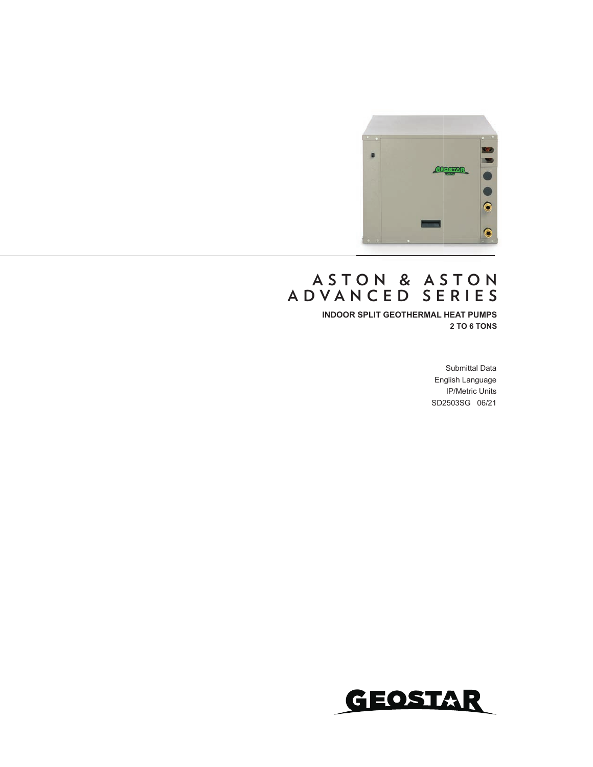

### **A S T O N & A S T O N ADVANCED SERIES**

**INDOOR SPLIT GEOTHERMAL HEAT PUMPS 2 TO 6 TONS**

> Submittal Data English Language IP/Metric Units SD2503SG 06/21

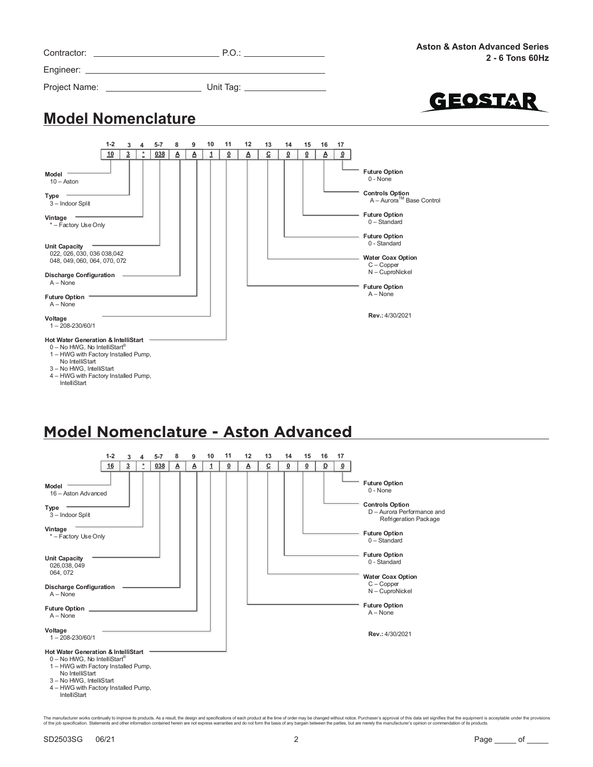|                                                                                                                                                                                 |         |                |         |   |          |    |    |                   |                |    |          |    |                         | <b>Aston &amp; Aston Advanced Series</b><br>2 - 6 Tons 60Hz                                                                                                                                                                                         |
|---------------------------------------------------------------------------------------------------------------------------------------------------------------------------------|---------|----------------|---------|---|----------|----|----|-------------------|----------------|----|----------|----|-------------------------|-----------------------------------------------------------------------------------------------------------------------------------------------------------------------------------------------------------------------------------------------------|
|                                                                                                                                                                                 |         |                |         |   |          |    |    |                   |                |    |          |    |                         |                                                                                                                                                                                                                                                     |
|                                                                                                                                                                                 |         |                |         |   |          |    |    |                   |                |    |          |    |                         | GEOSTAR                                                                                                                                                                                                                                             |
| <b>Model Nomenclature</b>                                                                                                                                                       |         |                |         |   |          |    |    |                   |                |    |          |    |                         |                                                                                                                                                                                                                                                     |
|                                                                                                                                                                                 | $1 - 2$ | 3              | $5 - 7$ | 8 | 9        | 10 | 11 | $12 \overline{ }$ | 13             | 14 | 15       | 16 | 17                      |                                                                                                                                                                                                                                                     |
|                                                                                                                                                                                 | 10      | $\overline{3}$ | 038     | A | $\Delta$ | 1  | ፬  | Α                 | $\overline{c}$ | ⊻  | $\Omega$ | Α  | $\overline{\mathbf{0}}$ |                                                                                                                                                                                                                                                     |
| Model<br>$10 -$ Aston<br>$Type =$<br>3-Indoor Split<br>Vintage 7<br>* - Factory Use Only<br><b>Unit Capacity</b><br>022, 026, 030, 036 038, 042<br>048, 049, 060, 064, 070, 072 |         |                |         |   |          |    |    |                   |                |    |          |    |                         | <b>Future Option</b><br>0 - None<br><b>Controls Option</b><br>A - Aurora <sup>™</sup> Base Control<br><b>Future Option</b><br>$0 -$ Standard<br><b>Future Option</b><br>0 - Standard<br><b>Water Coax Option</b><br>$C - Copper$<br>N - CuproNickel |
| <b>Discharge Configuration</b><br>$A - None$<br>Future Option =                                                                                                                 |         |                |         |   |          |    |    |                   |                |    |          |    |                         | <b>Future Option</b><br>$A - None$                                                                                                                                                                                                                  |

**Rev.:** 4/30/2021

#### A – None

**Voltage** 1 – 208-230/60/1

#### **Hot Water Generation & IntelliStart**

0 – No HWG, No IntelliStart®

- 1 HWG with Factory Installed Pump,
- No IntelliStart 3 – No HWG, IntelliStart
- 4 HWG with Factory Installed Pump,
- IntelliStart

## **Model Nomenclature - Aston Advanced**

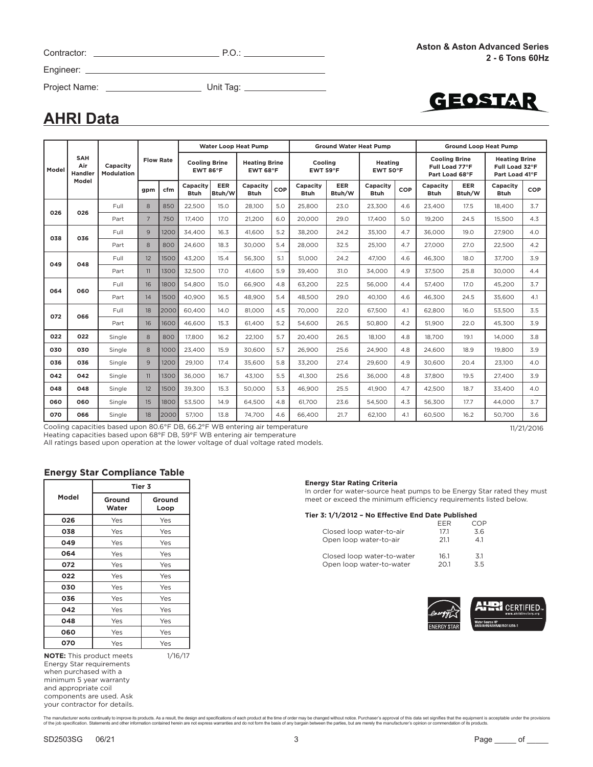|  | Contractor |  |
|--|------------|--|
|  |            |  |

Contractor: P.O.:

Engineer:

Project Name: Unit Tag:



### **AHRI Data**

|       |                                     |                                                                             |                  |      |                                  |               | <b>Water Loop Heat Pump</b>      |     |                         | <b>Ground Water Heat Pump</b> |                            |     | <b>Ground Loop Heat Pump</b>                             |                      |                                                          |            |
|-------|-------------------------------------|-----------------------------------------------------------------------------|------------------|------|----------------------------------|---------------|----------------------------------|-----|-------------------------|-------------------------------|----------------------------|-----|----------------------------------------------------------|----------------------|----------------------------------------------------------|------------|
| Model | <b>SAH</b><br>Air<br><b>Handler</b> | Capacity<br>Modulation                                                      | <b>Flow Rate</b> |      | <b>Cooling Brine</b><br>EWT 86°F |               | <b>Heating Brine</b><br>EWT 68°F |     | Cooling<br>EWT 59°F     |                               | <b>Heating</b><br>EWT 50°F |     | <b>Cooling Brine</b><br>Full Load 77°F<br>Part Load 68°F |                      | <b>Heating Brine</b><br>Full Load 32°F<br>Part Load 41°F |            |
|       | Model                               |                                                                             | gpm              | cfm  | Capacity<br><b>Btuh</b>          | EER<br>Btuh/W | Capacity<br><b>Btuh</b>          | COP | Capacity<br><b>Btuh</b> | <b>EER</b><br>Btuh/W          | Capacity<br><b>Btuh</b>    | COP | Capacity<br><b>Btuh</b>                                  | <b>EER</b><br>Btuh/W | Capacity<br><b>Btuh</b>                                  | COP        |
| 026   | 026                                 | Full                                                                        | 8                | 850  | 22,500                           | 15.0          | 28,100                           | 5.0 | 25,800                  | 23.0                          | 23.300                     | 4.6 | 23.400                                                   | 17.5                 | 18,400                                                   | 3.7        |
|       |                                     | Part                                                                        | $\overline{7}$   | 750  | 17.400                           | 17.0          | 21,200                           | 6.0 | 20.000                  | 29.0                          | 17.400                     | 5.0 | 19,200                                                   | 24.5                 | 15,500                                                   | 4.3        |
| 038   | 036                                 | Full                                                                        | 9                | 1200 | 34.400                           | 16.3          | 41.600                           | 5.2 | 38,200                  | 24.2                          | 35,100                     | 4.7 | 36,000                                                   | 19.0                 | 27,900                                                   | 4.0        |
|       |                                     | Part                                                                        | 8                | 800  | 24,600                           | 18.3          | 30,000                           | 5.4 | 28,000                  | 32.5                          | 25,100                     | 4.7 | 27.000                                                   | 27.0                 | 22,500                                                   | 4.2        |
| 049   | 048                                 | Full                                                                        | 12               | 1500 | 43.200                           | 15.4          | 56.300                           | 5.1 | 51.000                  | 24.2                          | 47.100                     | 4.6 | 46.300                                                   | 18.0                 | 37.700                                                   | 3.9        |
|       |                                     | Part                                                                        | 11               | 1300 | 32,500                           | 17.0          | 41,600                           | 5.9 | 39.400                  | 31.0                          | 34,000                     | 4.9 | 37.500                                                   | 25.8                 | 30.000                                                   | 4.4        |
| 064   | 060                                 | Full                                                                        | 16               | 1800 | 54,800                           | 15.0          | 66,900                           | 4.8 | 63,200                  | 22.5                          | 56,000                     | 4.4 | 57,400                                                   | 17.0                 | 45,200                                                   | 3.7        |
|       |                                     | Part                                                                        | 14               | 1500 | 40.900                           | 16.5          | 48.900                           | 5.4 | 48.500                  | 29.0                          | 40.100                     | 4.6 | 46.300                                                   | 24.5                 | 35.600                                                   | 4.1        |
| 072   | 066                                 | Full                                                                        | 18               | 2000 | 60,400                           | 14.0          | 81,000                           | 4.5 | 70,000                  | 22.0                          | 67,500                     | 4.1 | 62,800                                                   | 16.0                 | 53,500                                                   | 3.5        |
|       |                                     | Part                                                                        | 16               | 1600 | 46.600                           | 15.3          | 61.400                           | 5.2 | 54.600                  | 26.5                          | 50,800                     | 4.2 | 51.900                                                   | 22.0                 | 45.300                                                   | 3.9        |
| 022   | 022                                 | Single                                                                      | 8                | 800  | 17,800                           | 16.2          | 22,100                           | 5.7 | 20.400                  | 26.5                          | 18.100                     | 4.8 | 18.700                                                   | 19.1                 | 14.000                                                   | 3.8        |
| 030   | 030                                 | Single                                                                      | 8                | 1000 | 23.400                           | 15.9          | 30,600                           | 5.7 | 26,900                  | 25.6                          | 24,900                     | 4.8 | 24.600                                                   | 18.9                 | 19,800                                                   | 3.9        |
| 036   | 036                                 | Single                                                                      | 9                | 1200 | 29,100                           | 17.4          | 35,600                           | 5.8 | 33,200                  | 27.4                          | 29,600                     | 4.9 | 30,600                                                   | 20.4                 | 23,100                                                   | 4.0        |
| 042   | 042                                 | Single                                                                      | 11               | 1300 | 36,000                           | 16.7          | 43.100                           | 5.5 | 41.300                  | 25.6                          | 36.000                     | 4.8 | 37,800                                                   | 19.5                 | 27,400                                                   | 3.9        |
| 048   | 048                                 | Single                                                                      | 12               | 1500 | 39,300                           | 15.3          | 50,000                           | 5.3 | 46,900                  | 25.5                          | 41,900                     | 4.7 | 42,500                                                   | 18.7                 | 33,400                                                   | 4.0        |
| 060   | 060                                 | Single                                                                      | 15               | 1800 | 53,500                           | 14.9          | 64.500                           | 4.8 | 61.700                  | 23.6                          | 54,500                     | 4.3 | 56.300                                                   | 17.7                 | 44.000                                                   | 3.7        |
| 070   | 066                                 | Single                                                                      | 18               | 2000 | 57,100                           | 13.8          | 74.700                           | 4.6 | 66,400                  | 21.7                          | 62.100                     | 4.1 | 60.500                                                   | 16.2                 | 50.700                                                   | 3.6        |
|       |                                     | Cooling capacities based upon 80.6°F DB, 66.2°F WB entering air temperature |                  |      |                                  |               |                                  |     |                         |                               |                            |     |                                                          |                      |                                                          | 11/21/2016 |

Heating capacities based upon 68°F DB, 59°F WB entering air temperature

All ratings based upon operation at the lower voltage of dual voltage rated models.

#### **Energy Star Compliance Table**

|       |                 | Tier 3         |
|-------|-----------------|----------------|
| Model | Ground<br>Water | Ground<br>Loop |
| 026   | Yes             | Yes            |
| 038   | Yes             | Yes            |
| 049   | Yes             | Yes            |
| 064   | Yes             | Yes            |
| 072   | Yes             | Yes            |
| 022   | Yes             | Yes            |
| 030   | Yes             | Yes            |
| 036   | Yes             | Yes            |
| 042   | Yes             | Yes            |
| 048   | Yes             | Yes            |
| 060   | Yes             | Yes            |
| 070   | Yes             | Yes            |

**NOTE:** This product meets Energy Star requirements 1/16/17

when purchased with a minimum 5 year warranty and appropriate coil components are used. Ask your contractor for details.

#### **Energy Star Rating Criteria**

In order for water-source heat pumps to be Energy Star rated they must meet or exceed the minimum efficiency requirements listed below.

#### **Tier 3: 1/1/2012 – No Effective End Date Published**

|                            | FFR  | COP |
|----------------------------|------|-----|
| Closed loop water-to-air   | 171  | 3.6 |
| Open loop water-to-air     | 211  | 41  |
| Closed loop water-to-water | 16.1 | 3.1 |
| Open loop water-to-water   | 201  | 35  |

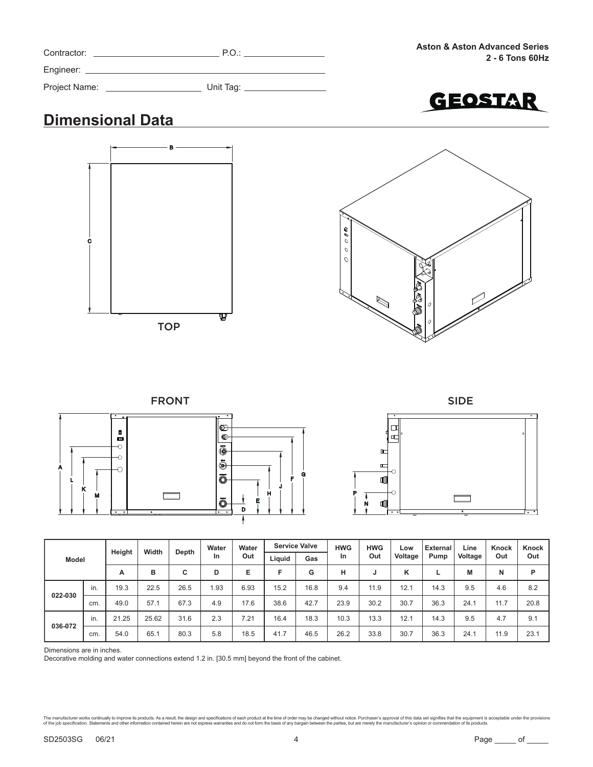| Contractor:   | P.O.      |
|---------------|-----------|
| Engineer:     |           |
| Project Name: | Unit Tag: |



# **Dimensional Data**





#### FRONT SIDE







| Model   |     | Height | Width |       | Water | Water<br>Out | <b>Service Valve</b> |      | <b>HWG</b> | <b>HWG</b> | Low<br>Voltage | <b>External</b><br>Pump | Line<br>Voltage | Knock<br>Out | <b>Knock</b><br>Out |
|---------|-----|--------|-------|-------|-------|--------------|----------------------|------|------------|------------|----------------|-------------------------|-----------------|--------------|---------------------|
|         |     |        |       | Depth | In    |              | Liguid               | Gas  | <b>In</b>  | Out        |                |                         |                 |              |                     |
|         |     | A      | в     | c     | D     | E            |                      | G    | н          |            | K              |                         | M               | N            | P                   |
| 022-030 | in. | 19.3   | 22.5  | 26.5  | .93   | 6.93         | 15.2                 | 16.8 | 9.4        | 11.9       | 12.1           | 14.3                    | 9.5             | 4.6          | 8.2                 |
|         | cm. | 49.0   | 57.1  | 67.3  | 4.9   | 17.6         | 38.6                 | 42.7 | 23.9       | 30.2       | 30.7           | 36.3                    | 24.1            | 11.7         | 20.8                |
| 036-072 | in. | 21.25  | 25.62 | 31.6  | 2.3   | 7.21         | 16.4                 | 18.3 | 10.3       | 13.3       | 12.1           | 14.3                    | 9.5             | 4.7          | 9.1                 |
|         | cm. | 54.0   | 65.1  | 80.3  | 5.8   | 18.5         | 41.7                 | 46.5 | 26.2       | 33.8       | 30.7           | 36.3                    | 24.1            | 11.9         | 23.1                |

Dimensions are in inches.

Decorative molding and water connections extend 1.2 in. [30.5 mm] beyond the front of the cabinet.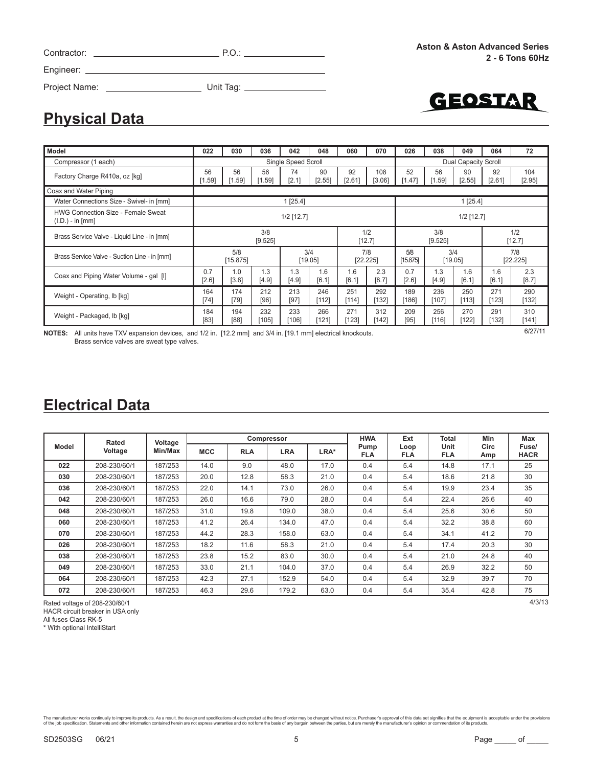| Contractor: |  |
|-------------|--|
| Engineer:   |  |

Project Name: Unit Tag:

GEOSTAR

[1.59]

56 [1.59]

56 [1.59]

Water Connections Size - Swivel- in [mm] 1 [25.4] 1 [25.4] 1 [25.4]

|  | <b>Electrical Data</b> |
|--|------------------------|
|  |                        |

**Physical Data**

Coax and Water Piping

Factory Charge R410a, oz [kg]  $\begin{array}{c} 56 \\ 14.5 \end{array}$ 

|              | Rated        | Voltage |                                        |      | Compressor |                    | <b>HWA</b>         | Ext                | Total       | <b>Min</b>           | Max |
|--------------|--------------|---------|----------------------------------------|------|------------|--------------------|--------------------|--------------------|-------------|----------------------|-----|
| <b>Model</b> | Voltage      | Min/Max | <b>MCC</b><br><b>RLA</b><br><b>LRA</b> |      | LRA*       | Pump<br><b>FLA</b> | Loop<br><b>FLA</b> | Unit<br><b>FLA</b> | Circ<br>Amp | Fuse/<br><b>HACR</b> |     |
| 022          | 208-230/60/1 | 187/253 | 14.0                                   | 9.0  | 48.0       | 17.0               | 0.4                | 5.4                | 14.8        | 17.1                 | 25  |
| 030          | 208-230/60/1 | 187/253 | 20.0                                   | 12.8 | 58.3       | 21.0               | 0.4                | 5.4                | 18.6        | 21.8                 | 30  |
| 036          | 208-230/60/1 | 187/253 | 22.0                                   | 14.1 | 73.0       | 26.0               | 0.4                | 5.4                | 19.9        | 23.4                 | 35  |
| 042          | 208-230/60/1 | 187/253 | 26.0                                   | 16.6 | 79.0       | 28.0               | 0.4                | 5.4                | 22.4        | 26.6                 | 40  |
| 048          | 208-230/60/1 | 187/253 | 31.0                                   | 19.8 | 109.0      | 38.0               | 0.4                | 5.4                | 25.6        | 30.6                 | 50  |
| 060          | 208-230/60/1 | 187/253 | 41.2                                   | 26.4 | 134.0      | 47.0               | 0.4                | 5.4                | 32.2        | 38.8                 | 60  |
| 070          | 208-230/60/1 | 187/253 | 44.2                                   | 28.3 | 158.0      | 63.0               | 0.4                | 5.4                | 34.1        | 41.2                 | 70  |
| 026          | 208-230/60/1 | 187/253 | 18.2                                   | 11.6 | 58.3       | 21.0               | 0.4                | 5.4                | 17.4        | 20.3                 | 30  |
| 038          | 208-230/60/1 | 187/253 | 23.8                                   | 15.2 | 83.0       | 30.0               | 0.4                | 5.4                | 21.0        | 24.8                 | 40  |
| 049          | 208-230/60/1 | 187/253 | 33.0                                   | 21.1 | 104.0      | 37.0               | 0.4                | 5.4                | 26.9        | 32.2                 | 50  |
| 064          | 208-230/60/1 | 187/253 | 42.3                                   | 27.1 | 152.9      | 54.0               | 0.4                | 5.4                | 32.9        | 39.7                 | 70  |
| 072          | 208-230/60/1 | 187/253 | 46.3                                   | 29.6 | 179.2      | 63.0               | 0.4                | 5.4                | 35.4        | 42.8                 | 75  |

Rated voltage of 208-230/60/1 4/3/13 HACR circuit breaker in USA only All fuses Class RK-5 \* With optional IntelliStart

The manufacturer works continually to improve this products. As a result, the design and specifications of each product at the time of order may be changed without notice. Purchaser's approval of this data set signifies th

3] 290 [132] 310 [141]

104 [2.95]

90 [2.55]

92 [2.61]

|                                                                                                                                                                                    |                 |                | $1/2$ [12.7]   |              | $1/2$ [12.7]    |                 |                 |                |              |                 |                |
|------------------------------------------------------------------------------------------------------------------------------------------------------------------------------------|-----------------|----------------|----------------|--------------|-----------------|-----------------|-----------------|----------------|--------------|-----------------|----------------|
|                                                                                                                                                                                    |                 | 3/8<br>[9.525] |                |              |                 | 1/2<br>$[12.7]$ |                 | 3/8<br>[9.525] |              |                 | 1/2<br>[12.7]  |
|                                                                                                                                                                                    | 5/8<br>[15.875] |                | 3/4<br>[19.05] |              | 7/8<br>[22.225] |                 | 5/8<br>[15.875] | 3/4<br>[19.05] |              | 7/8<br>[22.225] |                |
| 0.7<br>$[2.6]$                                                                                                                                                                     | 1.0<br>$[3.8]$  | 1.3<br>[4.9]   | 1.3<br>$[4.9]$ | 1.6<br>[6.1] | 1.6<br>[6.1]    | 2.3<br>[8.7]    | 0.7<br>$[2.6]$  | 1.3<br>[4.9]   | 1.6<br>[6.1] | 1.6<br>[6.1]    | 2.3<br>$[8.7]$ |
| 164<br>$[74]$                                                                                                                                                                      | 174<br>$[79]$   | 212<br>$[96]$  | 213<br>$[97]$  | 246<br>[112] | 251<br>[114]    | 292<br>[132]    | 189<br>[186]    | 236<br>[107]   | 250<br>[113] | 271<br>[123]    | 290<br>$[132]$ |
| 184<br>$[83]$                                                                                                                                                                      | 194<br>[88]     | 232<br>[105]   | 233<br>[106]   | 266<br>[121] | 271<br>$[123]$  | 312<br>[142]    | 209<br>$[95]$   | 256<br>$[116]$ | 270<br>[122] | 291<br>$[132]$  | 310<br>$[141]$ |
| 6/27/11<br>All units have TXV expansion devices, and 1/2 in. [12.2 mm] and 3/4 in. [19.1 mm] electrical knockouts.<br><b>NOTES:</b><br>Brass service valves are sweat type valves. |                 |                |                |              |                 |                 |                 |                |              |                 |                |
|                                                                                                                                                                                    |                 |                |                |              |                 |                 |                 |                |              |                 |                |

**Model 022 030 036 042 048 060 070 026 038 049 064 72** Compressor (1 each) Single Speed Scroll Single Speed Scroll Dual Capacity Scroll Dual Capacity Scroll Dual Capacity Scroll Dual Capacity Scroll Dual Capacity Scroll Dual Capacity Scroll Dual Capacity Scroll Dual Capacity S

> 74 [2.1]

90 [2.55]

92 [2.61]

108 [3.06]

52 [1.47]

56 [1.59]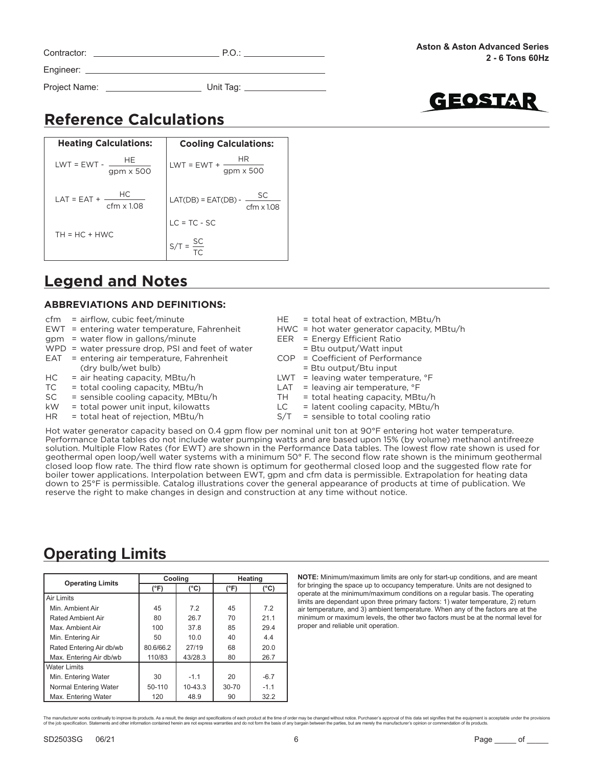| Contractor:   | P.O.      |
|---------------|-----------|
| Engineer:     |           |
| Project Name: | Unit Tag: |



# **Reference Calculations**

**Heating Calculations: Cooling Calculations:**  $LWT = EWT + -$ LAT(DB) = EAT(DB) - SC  $LC = TC - SC$  $S/T = \frac{SC}{T}$ HR gpm x 500 cfm x 1.08 TC **HE** gpm x 500  $LWT = EWT -$ LAT = EAT +  $\frac{HC}{1}$  $TH = HC + HWC$ cfm x 1.08

### **Legend and Notes**

#### **ABBREVIATIONS AND DEFINITIONS:**

|  |  |  |  | $EWT =$ entering water temperature, Fahrenheit |  |
|--|--|--|--|------------------------------------------------|--|
|  |  |  |  |                                                |  |

- gpm = water flow in gallons/minute WPD = water pressure drop, PSI and feet of water
- EAT = entering air temperature, Fahrenheit
- (dry bulb/wet bulb)
- $HC = air heating capacity, MBtu/h$
- $TC = total cooling capacity, MBtu/h$
- SC = sensible cooling capacity, MBtu/h
- kW = total power unit input, kilowatts
- $HR = total heat of rejection, MBtu/h$
- HE = total heat of extraction, MBtu/h
- HWC = hot water generator capacity, MBtu/h
- EER = Energy Efficient Ratio
	- = Btu output/Watt input
- COP = Coefficient of Performance
	- = Btu output/Btu input
- LWT = leaving water temperature,  $\textdegree$ F
- LAT = leaving air temperature,  $\degree$ F
- $TH = total heating capacity, MBtu/h$
- $LC =$  latent cooling capacity, MBtu/h
- $S/T =$  sensible to total cooling ratio

Hot water generator capacity based on 0.4 gpm flow per nominal unit ton at 90°F entering hot water temperature. Performance Data tables do not include water pumping watts and are based upon 15% (by volume) methanol antifreeze solution. Multiple Flow Rates (for EWT) are shown in the Performance Data tables. The lowest flow rate shown is used for geothermal open loop/well water systems with a minimum 50° F. The second flow rate shown is the minimum geothermal closed loop flow rate. The third flow rate shown is optimum for geothermal closed loop and the suggested flow rate for boiler tower applications. Interpolation between EWT, gpm and cfm data is permissible. Extrapolation for heating data down to 25°F is permissible. Catalog illustrations cover the general appearance of products at time of publication. We reserve the right to make changes in design and construction at any time without notice.

## **Operating Limits**

| <b>Operating Limits</b>  |               | Cooling       | Heating       |               |  |  |
|--------------------------|---------------|---------------|---------------|---------------|--|--|
|                          | $(^{\circ}F)$ | $(^{\circ}C)$ | $(^{\circ}F)$ | $(^{\circ}C)$ |  |  |
| Air Limits               |               |               |               |               |  |  |
| Min. Ambient Air         | 45            | 7.2           | 45            | 7.2           |  |  |
| <b>Rated Ambient Air</b> | 80            | 26.7          | 70            | 21.1          |  |  |
| Max. Ambient Air         | 100           | 37.8          | 85            | 29.4          |  |  |
| Min. Entering Air        | 50            | 10.0          | 40            | 4.4           |  |  |
| Rated Entering Air db/wb | 80.6/66.2     | 27/19         | 68            | 20.0          |  |  |
| Max. Entering Air db/wb  | 110/83        | 43/28.3       | 80            | 26.7          |  |  |
| <b>Water Limits</b>      |               |               |               |               |  |  |
| Min. Entering Water      | 30            | $-1.1$        | 20            | $-6.7$        |  |  |
| Normal Entering Water    | 50-110        | $10 - 43.3$   | $30 - 70$     | $-1.1$        |  |  |
| Max. Entering Water      | 120           | 48.9          | 90            | 32.2          |  |  |

**NOTE:** Minimum/maximum limits are only for start-up conditions, and are meant for bringing the space up to occupancy temperature. Units are not designed to operate at the minimum/maximum conditions on a regular basis. The operating limits are dependant upon three primary factors: 1) water temperature, 2) return air temperature, and 3) ambient temperature. When any of the factors are at the minimum or maximum levels, the other two factors must be at the normal level for proper and reliable unit operation.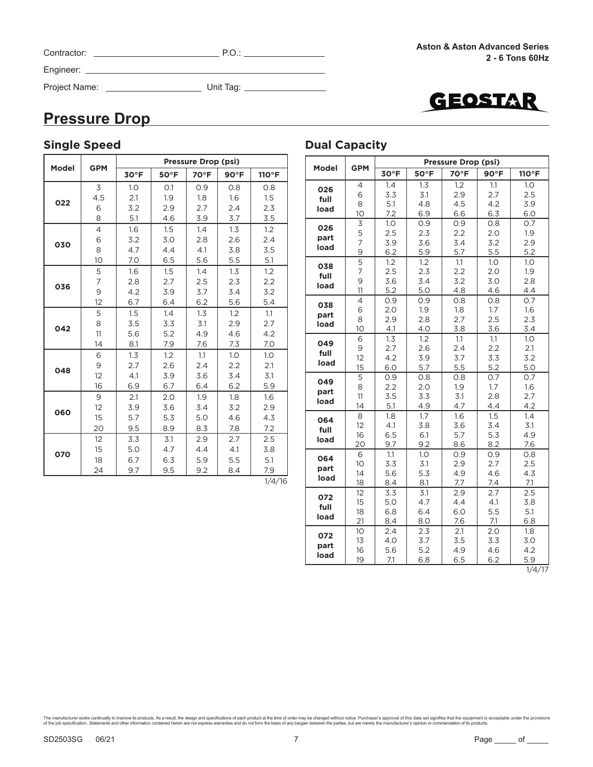| Contractor:   | P.O.      |
|---------------|-----------|
| Engineer:     |           |
| Project Name: | Unit Tag: |



 $\overline{\phantom{0}}$ 

## **Pressure Drop**

| <b>Single Speed</b> |                |      |                |                     |                |        | <b>Dual Capacity</b> |                  |                               |
|---------------------|----------------|------|----------------|---------------------|----------------|--------|----------------------|------------------|-------------------------------|
| <b>Model</b>        | <b>GPM</b>     |      |                | Pressure Drop (psi) |                |        | <b>Model</b>         | <b>GPM</b>       |                               |
|                     |                | 30°F | $50^{\circ}$ F | 70°F                | $90^{\circ}$ F | 110°F  |                      |                  | 3 <sub>C</sub>                |
|                     | 3              | 1.0  | O.1            | 0.9                 | 0.8            | 0.8    | 026                  | $\overline{4}$   | 1.                            |
| 022                 | 4.5            | 2.1  | 1.9            | 1.8                 | 1.6            | 1.5    | full                 | 6                | 3                             |
|                     | 6              | 3.2  | 2.9            | 2.7                 | 2.4            | 2.3    | load                 | 8                | $\frac{5}{7}$                 |
|                     | 8              | 5.1  | 4.6            | 3.9                 | 3.7            | 3.5    |                      | 10               |                               |
|                     | $\overline{4}$ | 1.6  | 1.5            | 1.4                 | 1.3            | 1.2    | 026                  | $\mathsf 3$<br>5 | 1.<br>$\overline{\mathbf{c}}$ |
| 030                 | 6              | 3.2  | 3.0            | 2.8                 | 2.6            | 2.4    | part                 | 7                | $\overline{3}$                |
|                     | 8              | 4.7  | 4.4            | 4.1                 | 3.8            | 3.5    | load                 | $\mathsf 9$      | 6                             |
|                     | 10             | 7.0  | 6.5            | 5.6                 | 5.5            | 5.1    |                      | 5                | 1.                            |
|                     | $\overline{5}$ | 1.6  | 1.5            | 1.4                 | 1.3            | 1.2    | 038<br>full          | $\overline{7}$   | $\overline{2}$                |
| 036                 | $\overline{7}$ | 2.8  | 2.7            | 2.5                 | 2.3            | 2.2    | load                 | $\mathsf 9$      | 3                             |
|                     | 9              | 4.2  | 3.9            | 3.7                 | 3.4            | 3.2    |                      | 11               | 5                             |
|                     | 12             | 6.7  | 6.4            | 6.2                 | 5.6            | 5.4    | 038                  | $\overline{4}$   | $\circ$                       |
|                     | 5              | 1.5  | 1.4            | 1.3                 | 1.2            | 1.1    | part                 | 6                | $\overline{2}$                |
| 042                 | 8              | 3.5  | 3.3            | 3.1                 | 2.9            | 2.7    | load                 | 8<br>10          | $\overline{c}$                |
|                     | 11             | 5.6  | 5.2            | 4.9                 | 4.6            | 4.2    |                      | 6                | 4<br>1.                       |
|                     | 14             | 8.1  | 7.9            | 7.6                 | 7.3            | 7.0    | 049                  | 9                | $\overline{c}$                |
|                     | 6              | 1.3  | 1.2            | 1.1                 | 1.0            | 1.0    | full                 | 12               | $\overline{4}$                |
| 048                 | 9              | 2.7  | 2.6            | 2.4                 | 2.2            | 2.1    | load                 | 15               | 6                             |
|                     | 12             | 4.1  | 3.9            | 3.6                 | 3.4            | 3.1    |                      | 5                | $\circ$                       |
|                     | 16             | 6.9  | 6.7            | 6.4                 | 6.2            | 5.9    | 049<br>part          | 8                | $\overline{c}$                |
|                     | 9              | 2.1  | 2.0            | 1.9                 | 1.8            | 1.6    | load                 | 11               | 3                             |
| 060                 | 12             | 3.9  | 3.6            | 3.4                 | 3.2            | 2.9    |                      | 14               | 5                             |
|                     | 15             | 5.7  | 5.3            | 5.0                 | 4.6            | 4.3    | 064                  | 8                | 1.                            |
|                     | 20             | 9.5  | 8.9            | 8.3                 | 7.8            | 7.2    | full                 | 12               | 4                             |
|                     | 12             | 3.3  | 3.1            | 2.9                 | 2.7            | 2.5    | load                 | 16<br>20         | 6<br>9                        |
| 070                 | 15             | 5.0  | 4.7            | 4.4                 | 4.1            | 3.8    |                      | 6                | $\mathbf{1}$                  |
|                     | 18             | 6.7  | 6.3            | 5.9                 | 5.5            | 5.1    | 064                  | 10               | 3                             |
|                     | 24             | 9.7  | 9.5            | 9.2                 | 8.4            | 7.9    | part                 | 14               | 5                             |
|                     |                |      |                |                     |                | 1/4/16 | load                 | 18               | 8                             |

|       | <b>GPM</b>     |                             |            | Pressure Drop (psi) |            |            |
|-------|----------------|-----------------------------|------------|---------------------|------------|------------|
| Model |                | 30°F                        | 50°F       | 70°F                | 90°F       | 110°F      |
| 026   | $\overline{4}$ | 1.4                         | 1.3        | 1.2                 | 1.1        | 1.0        |
| full  | 6              | 3.3                         | 3.1        | 2.9                 | 2.7        | 2.5        |
| load  | 8              | 5.1                         | 4.8        | 4.5                 | 4.2        | 3.9        |
|       | 10             | 7.2                         | 6.9        | 6.6                 | 6.3        | 6.0        |
| 026   | 3              | 1.0                         | 0.9        | 0.9                 | 0.8        | 0.7        |
| part  | 5              | 2.5                         | 2.3        | 2.2                 | 2.0        | 1.9        |
| load  | 7              | 3.9                         | 3.6        | 3.4                 | 3.2        | 2.9        |
|       | 9              | 6.2                         | 5.9        | 5.7                 | 5.5        | 5.2        |
| 038   | 5              | 1.2                         | 1.2        | 1.1                 | 1.0        | 1.0        |
| full  | 7              | 2.5                         | 2.3        | 2.2                 | 2.0        | 1.9        |
| load  | 9              | 3.6                         | 3.4        | 3.2                 | 3.0        | 2.8        |
|       | 11             | 5.2                         | 5.0        | 4.8                 | 4.6        | 4.4        |
| 038   | 4              | 0.9                         | 0.9        | 0.8                 | 0.8        | 0.7        |
| part  | 6              | 2.0                         | 1.9        | 1.8                 | 1.7        | 1.6        |
| load  | 8              | 2.9                         | 2.8        | 2.7                 | 2.5        | 2.3        |
|       | 10             | 4.1                         | 4.0        | 3.8                 | 3.6        | 3.4        |
| 049   | 6              | 1.3                         | 1.2        | 1.1                 | 1.1        | 1.0        |
| full  | 9              | 2.7                         | 2.6        | 2.4                 | 2.2        | 2.1        |
| load  | 12             | 4.2                         | 3.9        | 3.7                 | 3.3        | 3.2        |
|       | 15             | 6.0                         | 5.7        | 5.5                 | 5.2        | 5.0        |
| 049   | 5              | 0.9                         | 0.8        | 0.8                 | 0.7        | 0.7        |
| part  | 8              | 2.2                         | 2.0        | 1.9                 | 1.7        | 1.6        |
| load  | 11             | 3.5                         | 3.3        | 3.1                 | 2.8        | 2.7        |
|       | 14             | 5.1                         | 4.9        | 4.7                 | 4.4        | 4.2        |
| 064   | 8              | 1.8                         | 1.7        | 1.6                 | 1.5        | 1.4        |
| full  | 12             | 4.1                         | 3.8        | 3.6                 | 3.4        | 3.1        |
| load  | 16             | 6.5                         | 6.1        | 5.7                 | 5.3        | 4.9        |
|       | 20             | 9.7                         | 9.2        | 8.6                 | 8.2        | 7.6        |
| 064   | 6              | 1.1                         | 1.0        | 0.9                 | 0.9        | 0.8        |
| part  | 10<br>14       | 3.3                         | 3.1        | 2.9                 | 2.7        | 2.5        |
| load  | 18             | 5.6<br>8.4                  | 5.3<br>8.1 | 4.9<br>7.7          | 4.6<br>7.4 | 4.3<br>7.1 |
|       | 12             | $\overline{3}.\overline{3}$ | 3.1        | 2.9                 | 2.7        | 2.5        |
| 072   | 15             | 5.0                         | 4.7        | 4.4                 | 4.1        | 3.8        |
| full  | 18             | 6.8                         | 6.4        | 6.0                 | 5.5        | 5.1        |
| load  | 21             | 8.4                         | 8.0        | 7.6                 | 7.1        | 6.8        |
|       | 10             | 2.4                         | 2.3        | 2.1                 | 2.0        | 1.8        |
| 072   | 13             | 4.0                         | 3.7        | 3.5                 | 3.3        | 3.0        |
| part  | 16             | 5.6                         | 5.2        | 4.9                 | 4.6        | 4.2        |
| load  | 19             | 7.1                         | 6.8        | 6.5                 | 6.2        | 5.9        |

 $\frac{1}{4/17}$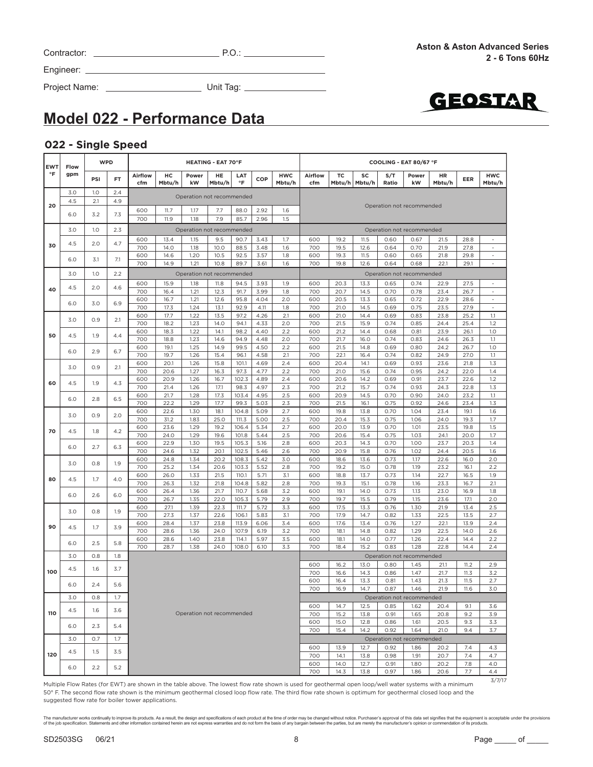| Contractor: | ה ר<br>ب |
|-------------|----------|

Project Name: Unit Tag:



# **Model 022 - Performance Data**

#### **022 - Single Speed**

| <b>EWT</b><br>°F | Flow | <b>WPD</b>        |     | <b>HEATING - EAT 70°F</b> |              |                           |              |                  |              |                      |                                          | COOLING - EAT 80/67 °F |              |                           |                           |              |              |                          |  |  |  |  |
|------------------|------|-------------------|-----|---------------------------|--------------|---------------------------|--------------|------------------|--------------|----------------------|------------------------------------------|------------------------|--------------|---------------------------|---------------------------|--------------|--------------|--------------------------|--|--|--|--|
|                  | gpm  | PSI               | FT  | Airflow<br>cfm            | HC<br>Mbtu/h | Power<br>kW               | HE<br>Mbtu/h | LAT<br>$\circ$ F | COP          | <b>HWC</b><br>Mbtu/h | Airflow<br>cfm                           | <b>TC</b><br>Mbtu/h    | SC<br>Mbtu/h | S/T<br>Ratio              | Power<br>kW               | HR<br>Mbtu/h | EER          | <b>HWC</b><br>Mbtu/h     |  |  |  |  |
|                  | 3.0  | 1.0               | 2.4 |                           |              | Operation not recommended |              |                  |              |                      |                                          |                        |              |                           |                           |              |              |                          |  |  |  |  |
| 20               | 4.5  | 2.1               | 4.9 | 600                       | 11.7         | 1.17                      | 7.7          | 88.0             | 2.92         | 1.6                  |                                          |                        |              | Operation not recommended |                           |              |              |                          |  |  |  |  |
|                  | 6.0  | 3.2               | 7.3 | 700                       | 11.9         | 1.18                      | 7.9          | 85.7             | 2.96         | 1.5                  |                                          |                        |              |                           |                           |              |              |                          |  |  |  |  |
|                  | 3.0  | 1.0               | 2.3 |                           |              | Operation not recommended |              |                  |              |                      | Operation not recommended                |                        |              |                           |                           |              |              |                          |  |  |  |  |
| 30               | 4.5  | 2.0               | 4.7 | 600                       | 13.4         | 1.15                      | 9.5          | 90.7             | 3.43         | 1.7                  | 600                                      | 19.2                   | 11.5         | 0.60                      | 0.67                      | 21.5         | 28.8         |                          |  |  |  |  |
|                  |      |                   |     | 700<br>600                | 14.0<br>14.6 | 1.18<br>1.20              | 10.0<br>10.5 | 88.5<br>92.5     | 3.48<br>3.57 | 1.6<br>1.8           | 700<br>600                               | 19.5<br>19.3           | 12.6<br>11.5 | 0.64<br>0.60              | 0.70<br>0.65              | 21.9<br>21.8 | 27.8<br>29.8 | $\omega$<br>÷,           |  |  |  |  |
|                  | 6.0  | 3.1               | 7.1 | 700                       | 14.9         | 1.21                      | 10.8         | 89.7             | 3.61         | 1.6                  | 700                                      | 19.8                   | 12.6         | 0.64                      | 0.68                      | 22.1         | 29.1         | $\sim$                   |  |  |  |  |
|                  | 3.0  | 1.0               | 2.2 |                           |              | Operation not recommended |              |                  |              |                      |                                          |                        |              |                           | Operation not recommended |              |              |                          |  |  |  |  |
| 40               | 4.5  | 2.0               | 4.6 | 600                       | 15.9         | 1.18                      | 11.8         | 94.5             | 3.93         | 1.9                  | 600                                      | 20.3                   | 13.3         | 0.65                      | 0.74                      | 22.9         | 27.5         | $\overline{\phantom{a}}$ |  |  |  |  |
|                  |      |                   |     | 700<br>600                | 16.4<br>16.7 | 1.21<br>1.21              | 12.3<br>12.6 | 91.7<br>95.8     | 3.99<br>4.04 | 1.8<br>2.0           | 700<br>600                               | 20.7<br>20.5           | 14.5<br>13.3 | 0.70<br>0.65              | 0.78<br>0.72              | 23.4<br>22.9 | 26.7<br>28.6 | ä,<br>$\sim$             |  |  |  |  |
|                  | 6.0  | 3.0               | 6.9 | 700                       | 17.3         | 1.24                      | 13.1         | 92.9             | 4.11         | 1.8                  | 700                                      | 21.0                   | 14.5         | 0.69                      | 0.75                      | 23.5         | 27.9         | $\overline{\phantom{a}}$ |  |  |  |  |
|                  | 3.0  | 0.9               | 2.1 | 600<br>700                | 17.7<br>18.2 | 1.22                      | 13.5         | 97.2             | 4.26         | 2.1                  | 600<br>700                               | 21.0<br>21.5           | 14.4         | 0.69                      | 0.83                      | 23.8         | 25.2         | 1.1                      |  |  |  |  |
|                  |      |                   |     | 600                       | 18.3         | 1.23<br>1.22              | 14.0<br>14.1 | 94.1<br>98.2     | 4.33<br>4.40 | 2.0<br>2.2           | 600                                      | 21.2                   | 15.9<br>14.4 | 0.74<br>0.68              | 0.85<br>0.81              | 24.4<br>23.9 | 25.4<br>26.1 | 1.2<br>1.0               |  |  |  |  |
| 50               | 4.5  | 1.9               | 4.4 | 700                       | 18.8         | 1.23                      | 14.6         | 94.9             | 4.48         | 2.0                  | 700                                      | 21.7                   | 16.0         | 0.74                      | 0.83                      | 24.6         | 26.3         | 1.1                      |  |  |  |  |
|                  | 6.0  | 2.9               | 6.7 | 600<br>700                | 19.1<br>19.7 | 1.25<br>1.26              | 14.9<br>15.4 | 99.5<br>96.1     | 4.50<br>4.58 | 2.2<br>2.1           | 600<br>700                               | 21.5<br>22.1           | 14.8<br>16.4 | 0.69<br>0.74              | 0.80<br>0.82              | 24.2<br>24.9 | 26.7<br>27.0 | 1.0<br>1.1               |  |  |  |  |
|                  |      |                   |     | 600                       | 20.1         | 1.26                      | 15.8         | 101.1            | 4.69         | 2.4                  | 600                                      | 20.4                   | 14.1         | 0.69                      | 0.93                      | 23.6         | 21.8         | 1.3                      |  |  |  |  |
|                  | 3.0  | 0.9               | 2.1 | 700                       | 20.6         | 1.27                      | 16.3         | 97.3             | 4.77         | 2.2                  | 700                                      | 21.0                   | 15.6         | 0.74                      | 0.95                      | 24.2         | 22.0         | 1.4                      |  |  |  |  |
| 60               | 4.5  | 1.9               | 4.3 | 600<br>700                | 20.9<br>21.4 | 1.26<br>1.26              | 16.7<br>17.1 | 102.3<br>98.3    | 4.89<br>4.97 | 2.4<br>2.3           | 600<br>700                               | 20.6<br>21.2           | 14.2<br>15.7 | 0.69<br>0.74              | 0.91<br>0.93              | 23.7<br>24.3 | 22.6<br>22.8 | 1.2<br>1.3               |  |  |  |  |
|                  | 6.0  | 2.8               | 6.5 | 600                       | 21.7         | 1.28                      | 17.3         | 103.4            | 4.95         | 2.5                  | 600                                      | 20.9                   | 14.5         | 0.70                      | 0.90                      | 24.0         | 23.2         | 1.1                      |  |  |  |  |
|                  |      |                   |     | 700                       | 22.2         | 1.29                      | 17.7         | 99.3             | 5.03         | 2.3                  | 700                                      | 21.5                   | 16.1         | 0.75                      | 0.92                      | 24.6         | 23.4         | 1.3                      |  |  |  |  |
| 70               | 3.0  | 0.9               | 2.0 | 600<br>700                | 22.6<br>31.2 | 1.30<br>1.83              | 18.1<br>25.0 | 104.8<br>111.3   | 5.09<br>5.00 | 2.7<br>2.5           | 600<br>700                               | 19.8<br>20.4           | 13.8<br>15.3 | 0.70<br>0.75              | 1.04<br>1.06              | 23.4<br>24.0 | 19.1<br>19.3 | 1.6<br>1.7               |  |  |  |  |
|                  |      | 4.5<br>1.8<br>4.2 |     | 600                       | 23.6         | 1.29                      | 19.2         | 106.4            | 5.34         | 2.7                  | 600                                      | 20.0                   | 13.9         | 0.70                      | 1.01                      | 23.5         | 19.8         | 1.5                      |  |  |  |  |
|                  |      |                   |     | 700<br>600                | 24.0<br>22.9 | 1.29<br>1.30              | 19.6<br>19.5 | 101.8<br>105.3   | 5.44<br>5.16 | 2.5<br>2.8           | 700<br>600                               | 20.6<br>20.3           | 15.4<br>14.3 | 0.75<br>0.70              | 1.03<br>1.00              | 24.1<br>23.7 | 20.0<br>20.3 | 1.7<br>1.4               |  |  |  |  |
|                  | 6.0  | 2.7               | 6.3 | 700                       | 24.6         | 1.32                      | 20.1         | 102.5            | 5.46         | 2.6                  | 700                                      | 20.9                   | 15.8         | 0.76                      | 1.02                      | 24.4         | 20.5         | 1.6                      |  |  |  |  |
|                  | 3.0  | 0.8               | 1.9 | 600                       | 24.8         | 1.34                      | 20.2         | 108.3            | 5.42         | 3.0                  | 600                                      | 18.6                   | 13.6         | 0.73                      | 1.17                      | 22.6         | 16.0         | 2.0                      |  |  |  |  |
|                  |      |                   |     | 700<br>600                | 25.2<br>26.0 | 1.34<br>1.33              | 20.6<br>21.5 | 103.3<br>110.1   | 5.52<br>5.71 | 2.8<br>3.1           | 700<br>600                               | 19.2<br>18.8           | 15.0<br>13.7 | 0.78<br>0.73              | 1.19<br>1.14              | 23.2<br>22.7 | 16.1<br>16.5 | 2.2<br>1.9               |  |  |  |  |
| 80               | 4.5  | 1.7               | 4.0 | 700                       | 26.3         | 1.32                      | 21.8         | 104.8            | 5.82         | 2.8                  | 700                                      | 19.3                   | 15.1         | 0.78                      | 1.16                      | 23.3         | 16.7         | 2.1                      |  |  |  |  |
|                  | 6.0  | 2.6               | 6.0 | 600                       | 26.4         | 1.36                      | 21.7         | 110.7            | 5.68         | 3.2                  | 600                                      | 19.1                   | 14.0         | 0.73                      | 1.13                      | 23.0         | 16.9         | 1.8                      |  |  |  |  |
|                  |      |                   |     | 700<br>600                | 26.7<br>27.1 | 1.35<br>1.39              | 22.0<br>22.3 | 105.3<br>111.7   | 5.79<br>5.72 | 2.9<br>3.3           | 700<br>600                               | 19.7<br>17.5           | 15.5<br>13.3 | 0.79<br>0.76              | 1.15<br>1.30              | 23.6<br>21.9 | 17.1<br>13.4 | 2.0<br>2.5               |  |  |  |  |
|                  | 3.0  | 0.8               | 1.9 | 700                       | 27.3         | 1.37                      | 22.6         | 106.1            | 5.83         | 3.1                  | 700                                      | 17.9                   | 14.7         | 0.82                      | 1.33                      | 22.5         | 13.5         | 2.7                      |  |  |  |  |
| 90               | 4.5  | 1.7               | 3.9 | 600<br>700                | 28.4<br>28.6 | 1.37<br>1.36              | 23.8<br>24.0 | 113.9<br>107.9   | 6.06<br>6.19 | 3.4<br>3.2           | 600<br>700                               | 17.6<br>18.1           | 13.4<br>14.8 | 0.76<br>0.82              | 1.27<br>1.29              | 22.1<br>22.5 | 13.9<br>14.0 | 2.4<br>2.6               |  |  |  |  |
|                  |      |                   |     | 600                       | 28.6         | 1.40                      | 23.8         | 114.1            | 5.97         | 3.5                  | 600                                      | 18.1                   | 14.0         | 0.77                      | 1.26                      | 22.4         | 14.4         | 2.2                      |  |  |  |  |
|                  | 6.0  | 2.5               | 5.8 | 700                       | 28.7         | 1.38                      | 24.0         | 108.0            | 6.10         | 3.3                  | 700                                      | 18.4                   | 15.2         | 0.83                      | 1.28                      | 22.8         | 14.4         | 2.4                      |  |  |  |  |
|                  | 3.0  | 0.8               | 1.8 |                           |              |                           |              |                  |              |                      |                                          |                        | 13.0         |                           | Operation not recommended |              |              |                          |  |  |  |  |
| 100              | 4.5  | 1.6               | 3.7 |                           |              |                           |              |                  |              |                      | 600<br>700                               | 16.2<br>16.6           | 14.3         | 0.80<br>0.86              | 1.45<br>1.47              | 21.1<br>21.7 | 11.2<br>11.3 | 2.9<br>3.2               |  |  |  |  |
|                  | 6.0  | 2.4               | 5.6 |                           |              |                           |              |                  |              |                      | 600<br>700                               | 16.4<br>16.9           | 13.3<br>14.7 | 0.81<br>0.87              | 1.43<br>1.46              | 21.3<br>21.9 | 11.5<br>11.6 | 2.7<br>3.0               |  |  |  |  |
|                  | 3.0  | 0.8               | 1.7 |                           |              |                           |              |                  |              |                      |                                          |                        |              |                           | Operation not recommended |              |              |                          |  |  |  |  |
|                  | 4.5  | 1.6               | 3.6 |                           |              |                           |              |                  |              |                      | 600                                      | 14.7                   | 12.5         | 0.85                      | 1.62                      | 20.4         | 9.1          | 3.6                      |  |  |  |  |
| 110              |      |                   |     |                           |              | Operation not recommended |              |                  |              |                      | 700<br>600                               | 15.2<br>15.0           | 13.8<br>12.8 | 0.91<br>0.86              | 1.65<br>1.61              | 20.8<br>20.5 | 9.2<br>9.3   | 3.9<br>3.3               |  |  |  |  |
|                  | 6.0  | 2.3               | 5.4 |                           |              |                           |              |                  |              |                      | 700                                      | 15.4                   | 14.2         | 0.92                      | 1.64                      | 21.0         | 9.4          | 3.7                      |  |  |  |  |
|                  | 3.0  | O.7               | 1.7 |                           |              |                           |              |                  |              |                      | Operation not recommended<br>600<br>13.9 |                        |              |                           |                           |              |              |                          |  |  |  |  |
| 120              | 4.5  | 1.5               | 3.5 |                           |              |                           |              |                  |              |                      |                                          |                        | 12.7<br>13.8 | 0.92<br>0.98              | 1.86<br>1.91              | 20.2<br>20.7 | 7.4<br>7.4   | 4.3<br>4.7               |  |  |  |  |
|                  | 6.0  | 2.2               | 5.2 |                           |              |                           |              |                  |              |                      | 700<br>600                               | 14.1<br>14.0           | 12.7         | 0.91                      | 1.80                      | 20.2         | 7.8          | 4.0                      |  |  |  |  |
|                  |      |                   |     |                           |              |                           |              |                  |              |                      | 700                                      | 14.3                   | 13.8         | 0.97                      | 1.86                      | 20.6         | 7.7          | 4.4<br>3/7/17            |  |  |  |  |

Multiple Flow Rates (for EWT) are shown in the table above. The lowest flow rate shown is used for geothermal open loop/well water systems with a minimum 50° F. The second flow rate shown is the minimum geothermal closed loop flow rate. The third flow rate shown is optimum for geothermal closed loop and the suggested flow rate for boiler tower applications.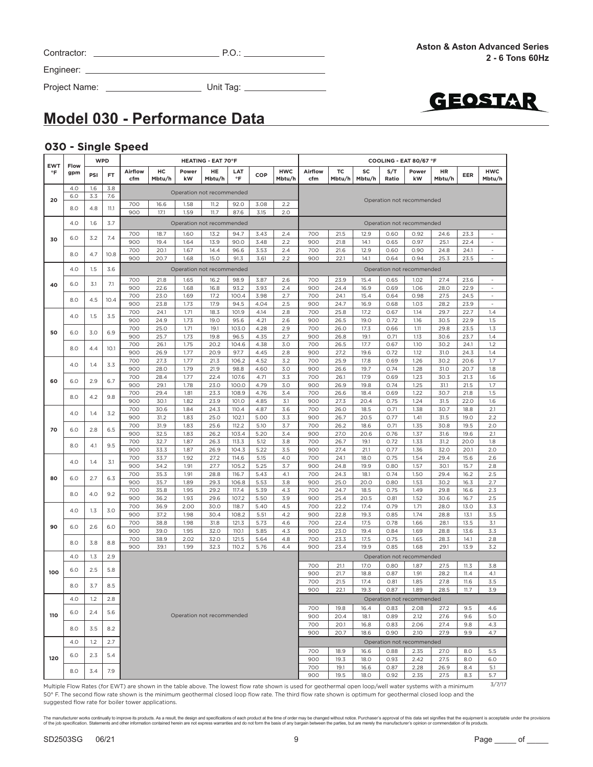| Contractor: |  |
|-------------|--|
|             |  |
|             |  |

Contractor: P.O.:

Engineer:

Project Name: Unit Tag:



### **Model 030 - Performance Data**

#### **030 - Single Speed**

| <b>EWT</b> | Flow | <b>WPD</b> |      | <b>HEATING - EAT 70°F</b> |              |                           |              |                |              |                      |                | COOLING - EAT 80/67 °F |              |              |                           |              |              |                                                      |  |
|------------|------|------------|------|---------------------------|--------------|---------------------------|--------------|----------------|--------------|----------------------|----------------|------------------------|--------------|--------------|---------------------------|--------------|--------------|------------------------------------------------------|--|
| $\circ$ F  | gpm  | <b>PSI</b> | FT   | Airflow<br>cfm            | HC<br>Mbtu/h | Power<br>kW               | HE<br>Mbtu/h | LAT<br>°F      | COP          | <b>HWC</b><br>Mbtu/h | Airflow<br>cfm | тc<br>Mbtu/h           | SC<br>Mbtu/h | S/T<br>Ratio | Power<br>kW               | HR<br>Mbtu/h | EER          | <b>HWC</b><br>Mbtu/h                                 |  |
|            | 4.0  | 1.6        | 3.8  |                           |              | Operation not recommended |              |                |              |                      |                |                        |              |              |                           |              |              |                                                      |  |
| 20         | 6.0  | 3.3        | 7.6  |                           | 16.6         |                           |              |                |              | 2.2                  |                |                        |              |              | Operation not recommended |              |              |                                                      |  |
|            | 8.0  | 4.8        | 11.1 | 700<br>900                | 17.1         | 1.58<br>1.59              | 11.2<br>11.7 | 92.0<br>87.6   | 3.08<br>3.15 | 2.0                  |                |                        |              |              |                           |              |              |                                                      |  |
|            | 4.0  | 1.6        | 3.7  |                           |              | Operation not recommended |              |                |              |                      |                |                        |              |              | Operation not recommended |              |              |                                                      |  |
|            | 6.0  |            | 7.4  | 700                       | 18.7         | 1.60                      | 13.2         | 94.7           | 3.43         | 2.4                  | 700            | 21.5                   | 12.9         | 0.60         | 0.92                      | 24.6         | 23.3         | $\sim$                                               |  |
| 30         |      | 3.2        |      | 900                       | 19.4         | 1.64                      | 13.9         | 90.0           | 3.48         | 2.2                  | 900            | 21.8                   | 14.1         | 0.65         | 0.97                      | 25.1         | 22.4         | $\overline{\phantom{a}}$                             |  |
|            | 8.0  | 4.7        | 10.8 | 700                       | 20.1         | 1.67                      | 14.4         | 96.6           | 3.53         | 2.4                  | 700            | 21.6                   | 12.9         | 0.60         | 0.90                      | 24.8         | 24.1         | $\sim$                                               |  |
|            |      |            |      | 900                       | 20.7         | 1.68                      | 15.0         | 91.3           | 3.61         | 2.2                  | 900            | 22.1                   | 14.1         | 0.64         | 0.94                      | 25.3         | 23.5         | $\sim$                                               |  |
|            | 4.0  | 1.5        | 3.6  |                           |              | Operation not recommended |              |                |              |                      |                |                        |              |              | Operation not recommended |              |              |                                                      |  |
| 40         | 6.0  | 3.1        | 7.1  | 700<br>900                | 21.8         | 1.65<br>1.68              | 16.2         | 98.9<br>93.2   | 3.87         | 2.6<br>2.4           | 700<br>900     | 23.9                   | 15.4<br>16.9 | 0.65         | 1.02<br>1.06              | 27.4<br>28.0 | 23.6<br>22.9 | $\overline{\phantom{a}}$<br>$\overline{\phantom{a}}$ |  |
|            |      |            |      | 700                       | 22.6<br>23.0 | 1.69                      | 16.8<br>17.2 | 100.4          | 3.93<br>3.98 | 2.7                  | 700            | 24.4<br>24.1           | 15.4         | 0.69<br>0.64 | 0.98                      | 27.5         | 24.5         | $\sim$                                               |  |
|            | 8.0  | 4.5        | 10.4 | 900                       | 23.8         | 1.73                      | 17.9         | 94.5           | 4.04         | 2.5                  | 900            | 24.7                   | 16.9         | 0.68         | 1.03                      | 28.2         | 23.9         | $\sim$                                               |  |
|            | 4.0  | 1.5        | 3.5  | 700                       | 24.1         | 1.71                      | 18.3         | 101.9          | 4.14         | 2.8                  | 700            | 25.8                   | 17.2         | 0.67         | 1.14                      | 29.7         | 22.7         | 1.4                                                  |  |
| 50         |      |            |      | 900                       | 24.9         | 1.73                      | 19.0         | 95.6           | 4.21         | 2.6                  | 900            | 26.5                   | 19.0         | 0.72         | 1.16                      | 30.5         | 22.9         | 1.5                                                  |  |
|            | 6.0  | 3.0        | 6.9  | 700<br>900                | 25.0<br>25.7 | 1.71<br>1.73              | 19.1<br>19.8 | 103.0<br>96.5  | 4.28<br>4.35 | 2.9<br>2.7           | 700<br>900     | 26.0<br>26.8           | 17.3<br>19.1 | 0.66<br>0.71 | 1.11<br>1.13              | 29.8<br>30.6 | 23.5<br>23.7 | 1.3<br>1.4                                           |  |
|            |      |            |      | 700                       | 26.1         | 1.75                      | 20.2         | 104.6          | 4.38         | 3.0                  | 700            | 26.5                   | 17.7         | 0.67         | 1.10                      | 30.2         | 24.1         | 1.2                                                  |  |
|            | 8.0  | 4.4        | 10.1 | 900                       | 26.9         | 1.77                      | 20.9         | 97.7           | 4.45         | 2.8                  | 900            | 27.2                   | 19.6         | 0.72         | 1.12                      | 31.0         | 24.3         | 1.4                                                  |  |
|            | 4.0  | 1.4        | 3.3  | 700                       | 27.3         | 1.77                      | 21.3         | 106.2          | 4.52         | 3.2                  | 700            | 25.9                   | 17.8         | 0.69         | 1.26                      | 30.2         | 20.6         | 1.7                                                  |  |
|            |      |            |      | 900<br>700                | 28.0<br>28.4 | 1.79<br>1.77              | 21.9<br>22.4 | 98.8<br>107.6  | 4.60<br>4.71 | 3.0<br>3.3           | 900<br>700     | 26.6<br>26.1           | 19.7<br>17.9 | 0.74<br>0.69 | 1.28<br>1.23              | 31.0<br>30.3 | 20.7<br>21.3 | 1.8<br>1.6                                           |  |
| 60         | 6.0  | 2.9        | 6.7  | 900                       | 29.1         | 1.78                      | 23.0         | 100.0          | 4.79         | 3.0                  | 900            | 26.9                   | 19.8         | 0.74         | 1.25                      | 31.1         | 21.5         | 1.7                                                  |  |
|            | 8.0  | 4.2        | 9.8  | 700                       | 29.4         | 1.81                      | 23.3         | 108.9          | 4.76         | 3.4                  | 700            | 26.6                   | 18.4         | 0.69         | 1.22                      | 30.7         | 21.8         | 1.5                                                  |  |
|            |      |            |      | 900                       | 30.1         | 1.82                      | 23.9         | 101.0          | 4.85         | 3.1                  | 900            | 27.3                   | 20.4         | 0.75         | 1.24                      | 31.5         | 22.0         | 1.6                                                  |  |
|            | 4.0  | 1.4        | 3.2  | 700<br>900                | 30.6<br>31.2 | 1.84<br>1.83              | 24.3<br>25.0 | 110.4<br>102.1 | 4.87<br>5.00 | 3.6<br>3.3           | 700<br>900     | 26.0<br>26.7           | 18.5<br>20.5 | 0.71<br>0.77 | 1.38<br>1.41              | 30.7<br>31.5 | 18.8<br>19.0 | 2.1<br>2.2                                           |  |
| 70         |      |            |      | 700                       | 31.9         | 1.83                      | 25.6         | 112.2          | 5.10         | 3.7                  | 700            | 26.2                   | 18.6         | 0.71         | 1.35                      | 30.8         | 19.5         | 2.0                                                  |  |
|            | 6.0  | 2.8        | 6.5  | 900                       | 32.5         | 1.83                      | 26.2         | 103.4          | 5.20         | 3.4                  | 900            | 27.0                   | 20.6         | 0.76         | 1.37                      | 31.6         | 19.6         | 2.1                                                  |  |
|            | 8.0  | 4.1        | 9.5  | 700                       | 32.7         | 1.87                      | 26.3         | 113.3          | 5.12         | 3.8                  | 700            | 26.7                   | 19.1         | 0.72         | 1.33                      | 31.2         | 20.0         | 1.8                                                  |  |
|            |      |            |      | 900                       | 33.3         | 1.87                      | 26.9         | 104.3          | 5.22         | 3.5                  | 900            | 27.4                   | 21.1         | 0.77         | 1.36                      | 32.0         | 20.1         | 2.0                                                  |  |
|            | 4.0  | 1.4        | 3.1  | 700<br>900                | 33.7<br>34.2 | 1.92<br>1.91              | 27.2<br>27.7 | 114.6<br>105.2 | 5.15<br>5.25 | 4.0<br>3.7           | 700<br>900     | 24.1<br>24.8           | 18.0<br>19.9 | 0.75<br>0.80 | 1.54<br>1.57              | 29.4<br>30.1 | 15.6<br>15.7 | 2.6<br>2.8                                           |  |
|            |      |            |      | 700                       | 35.3         | 1.91                      | 28.8         | 116.7          | 5.43         | 4.1                  | 700            | 24.3                   | 18.1         | 0.74         | 1.50                      | 29.4         | 16.2         | 2.5                                                  |  |
| 80         | 6.0  | 2.7        | 6.3  | 900                       | 35.7         | 1.89                      | 29.3         | 106.8          | 5.53         | 3.8                  | 900            | 25.0                   | 20.0         | 0.80         | 1.53                      | 30.2         | 16.3         | 2.7                                                  |  |
|            | 8.0  | 4.0        | 9.2  | 700                       | 35.8         | 1.95                      | 29.2         | 117.4          | 5.39         | 4.3                  | 700            | 24.7                   | 18.5         | 0.75         | 1.49                      | 29.8         | 16.6         | 2.3                                                  |  |
|            |      |            |      | 900<br>700                | 36.2<br>36.9 | 1.93<br>2.00              | 29.6<br>30.0 | 107.2<br>118.7 | 5.50<br>5.40 | 3.9<br>4.5           | 900<br>700     | 25.4<br>22.2           | 20.5<br>17.4 | 0.81<br>0.79 | 1.52<br>1.71              | 30.6<br>28.0 | 16.7<br>13.0 | 2.5<br>3.3                                           |  |
|            | 4.0  | 1.3        | 3.0  | 900                       | 37.2         | 1.98                      | 30.4         | 108.2          | 5.51         | 4.2                  | 900            | 22.8                   | 19.3         | 0.85         | 1.74                      | 28.8         | 13.1         | 3.5                                                  |  |
| 90         | 6.0  | 2.6        | 6.0  | 700                       | 38.8         | 1.98                      | 31.8         | 121.3          | 5.73         | 4.6                  | 700            | 22.4                   | 17.5         | 0.78         | 1.66                      | 28.1         | 13.5         | 3.1                                                  |  |
|            |      |            |      | 900                       | 39.0         | 1.95                      | 32.0         | 110.1          | 5.85         | 4.3                  | 900            | 23.0                   | 19.4         | 0.84         | 1.69                      | 28.8         | 13.6         | 3.3                                                  |  |
|            | 8.0  | 3.8        | 8.8  | 700<br>900                | 38.9<br>39.1 | 2.02<br>1.99              | 32.0<br>32.3 | 121.5<br>110.2 | 5.64<br>5.76 | 4.8<br>4.4           | 700<br>900     | 23.3<br>23.4           | 17.5<br>19.9 | 0.75<br>0.85 | 1.65<br>1.68              | 28.3<br>29.1 | 14.1<br>13.9 | 2.8<br>3.2                                           |  |
|            | 4.0  | 1.3        | 2.9  |                           |              |                           |              |                |              |                      |                |                        |              |              | Operation not recommended |              |              |                                                      |  |
| 100        | 6.0  | 2.5        | 5.8  |                           |              |                           |              |                |              |                      | 700<br>900     | 21.1<br>21.7           | 17.0<br>18.8 | 0.80<br>0.87 | 1.87<br>1.91              | 27.5<br>28.2 | 11.3<br>11.4 | 3.8<br>4.1                                           |  |
|            |      |            |      |                           |              |                           |              |                |              |                      | 700            | 21.5                   | 17.4         | 0.81         | 1.85                      | 27.8         | 11.6         | 3.5                                                  |  |
|            | 8.0  | 3.7        | 8.5  |                           |              |                           |              |                |              |                      | 900            | 22.1                   | 19.3         | 0.87         | 1.89                      | 28.5         | 11.7         | 3.9                                                  |  |
|            | 4.0  | 1.2        | 2.8  |                           |              |                           |              |                |              |                      |                |                        |              |              | Operation not recommended |              |              |                                                      |  |
| 110        | 6.0  | 2.4        | 5.6  |                           |              | Operation not recommended |              |                |              |                      | 700<br>900     | 19.8<br>20.4           | 16.4<br>18.1 | 0.83<br>0.89 | 2.08<br>2.12              | 27.2<br>27.6 | 9.5<br>9.6   | 4.6<br>5.0                                           |  |
|            | 8.0  | 3.5<br>8.2 |      |                           |              |                           |              |                |              |                      | 700            | 20.1                   | 16.8         | 0.83         | 2.06                      | 27.4         | 9.8          | 4.3                                                  |  |
|            |      |            |      |                           |              |                           |              |                |              |                      | 900            | 20.7                   | 18.6         | 0.90         | 2.10                      | 27.9         | 9.9          | 4.7                                                  |  |
|            | 4.0  | 1.2        | 2.7  |                           |              |                           |              |                |              |                      |                |                        |              |              | Operation not recommended |              |              |                                                      |  |
| 120        | 6.0  | 2.3        | 5.4  |                           |              |                           |              |                |              |                      | 700            | 18.9                   | 16.6         | 0.88         | 2.35                      | 27.0         | 8.0          | 5.5                                                  |  |
|            |      |            |      |                           |              |                           |              |                |              | 900<br>700           | 19.3<br>19.1   | 18.0<br>16.6           | 0.93<br>0.87 | 2.42<br>2.28 | 27.5<br>26.9              | 8.0<br>8.4   | 6.0<br>5.1   |                                                      |  |
|            | 8.0  | 3.4        | 7.9  |                           |              |                           |              |                |              |                      | 900            | 19.5                   | 18.0         | 0.92         | 2.35                      | 27.5         | 8.3          | 5.7                                                  |  |

Multiple Flow Rates (for EWT) are shown in the table above. The lowest flow rate shown is used for geothermal open loop/well water systems with a minimum 50° F. The second flow rate shown is the minimum geothermal closed loop flow rate. The third flow rate shown is optimum for geothermal closed loop and the suggested flow rate for boiler tower applications.

The manufacturer works continually to improve this products. As a result, the design and specifications of each product at the time of order may be changed without notice. Purchaser's approval of this data set signifies th

3/7/17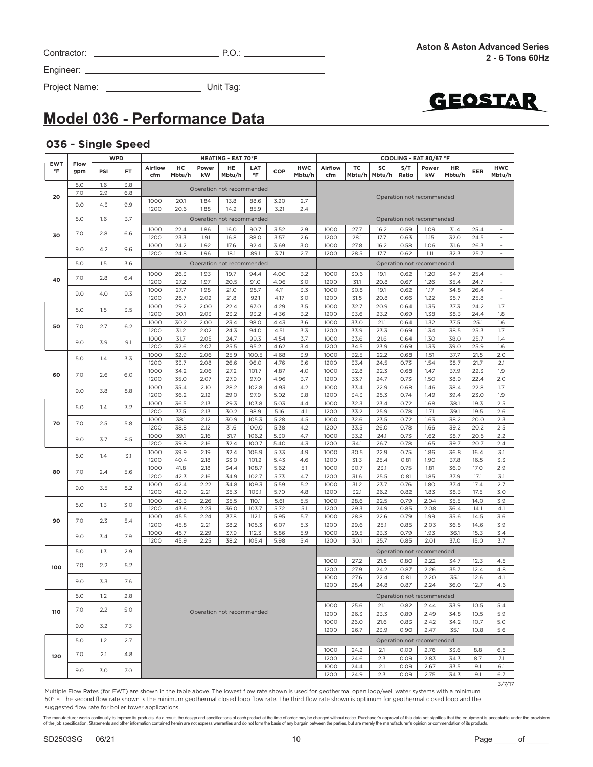| Contractor: |  |
|-------------|--|
|             |  |

Project Name: Unit Tag:



# **Model 036 - Performance Data**

#### **036 - Single Speed**

|                         |             | <b>WPD</b><br><b>HEATING - EAT 70°F</b> |     |                                                     |              |              |                           |                  |              |                      | COOLING - EAT 80/67 °F                                      |                           |              |              |                           |              |              |                          |  |  |
|-------------------------|-------------|-----------------------------------------|-----|-----------------------------------------------------|--------------|--------------|---------------------------|------------------|--------------|----------------------|-------------------------------------------------------------|---------------------------|--------------|--------------|---------------------------|--------------|--------------|--------------------------|--|--|
| <b>EWT</b><br>$\circ$ F | Flow<br>gpm | PSI                                     | FT. | Airflow<br>cfm                                      | HC<br>Mbtu/h | Power<br>kW  | HE<br>Mbtu/h              | LAT<br>$\circ$ F | COP          | <b>HWC</b><br>Mbtu/h | Airflow<br>cfm                                              | ТC<br>Mbtu/h              | SC<br>Mbtu/h | S/T<br>Ratio | Power<br>kW               | HR<br>Mbtu/h | EER          | <b>HWC</b><br>Mbtu/h     |  |  |
|                         | 5.0         | 1.6                                     | 3.8 |                                                     |              |              |                           |                  |              |                      |                                                             |                           |              |              |                           |              |              |                          |  |  |
| 20                      | 7.0         | 2.9                                     | 6.8 |                                                     |              |              | Operation not recommended |                  |              |                      |                                                             |                           |              |              |                           |              |              |                          |  |  |
|                         | 9.0         | 4.3                                     | 9.9 | 20.1<br>3.20<br>2.7<br>1000<br>1.84<br>88.6<br>13.8 |              |              |                           |                  |              |                      |                                                             | Operation not recommended |              |              |                           |              |              |                          |  |  |
|                         |             |                                         |     | 1200                                                | 20.6         | 1.88         | 14.2                      | 85.9             | 3.21         | 2.4                  |                                                             |                           |              |              |                           |              |              |                          |  |  |
|                         | 5.0         | 1.6                                     | 3.7 |                                                     |              |              | Operation not recommended |                  |              |                      |                                                             |                           |              |              | Operation not recommended |              |              |                          |  |  |
|                         |             |                                         |     | 1000                                                | 22.4         | 1.86         | 16.0                      | 90.7             | 3.52         | 2.9                  | 1000                                                        | 27.7                      | 16.2         | 0.59         | 1.09                      | 31.4         | 25.4         | $\overline{\phantom{a}}$ |  |  |
| 30                      | 7.0         | 2.8                                     | 6.6 | 1200                                                | 23.3         | 1.91         | 16.8                      | 88.0             | 3.57         | 2.6                  | 1200                                                        | 28.1                      | 17.7         | 0.63         | 1.15                      | 32.0         | 24.5         | $\sim$                   |  |  |
|                         | 9.0         | 4.2                                     | 9.6 | 1000                                                | 24.2         | 1.92         | 17.6                      | 92.4             | 3.69         | 3.0                  | 1000                                                        | 27.8                      | 16.2         | 0.58         | 1.06                      | 31.6         | 26.3         | $\omega$                 |  |  |
|                         |             |                                         |     | 1200                                                | 24.8         | 1.96         | 18.1                      | 89.1             | 3.71         | 2.7                  | 1200                                                        | 28.5                      | 17.7         | 0.62         | 1.11                      | 32.3         | 25.7         | $\overline{\phantom{a}}$ |  |  |
|                         | 5.0         | 1.5                                     | 3.6 |                                                     |              |              | Operation not recommended |                  |              |                      | Operation not recommended                                   |                           |              |              |                           |              |              |                          |  |  |
|                         |             |                                         |     | 1000                                                | 26.3         | 1.93         | 19.7                      | 94.4             | 4.00         | 3.2                  | 1000                                                        | 30.6                      | 19.1         | 0.62         | 1.20                      | 34.7         | 25.4         | $\overline{\phantom{a}}$ |  |  |
| 40                      | 7.0         | 2.8                                     | 6.4 | 1200                                                | 27.2         | 1.97         | 20.5                      | 91.0             | 4.06         | 3.0                  | 1200                                                        | 31.1                      | 20.8         | 0.67         | 1.26                      | 35.4         | 24.7         | $\overline{\phantom{a}}$ |  |  |
|                         | 9.0         | 4.0                                     | 9.3 | 1000                                                | 27.7         | 1.98         | 21.0                      | 95.7             | 4.11         | 3.3                  | 1000                                                        | 30.8                      | 19.1         | 0.62         | 1.17                      | 34.8         | 26.4         | $\blacksquare$           |  |  |
|                         |             |                                         |     | 1200                                                | 28.7         | 2.02         | 21.8                      | 92.1             | 4.17         | 3.0                  | 1200                                                        | 31.5                      | 20.8         | 0.66         | 1.22                      | 35.7         | 25.8         | $\mathcal{L}$            |  |  |
|                         | 5.0         | 1.5                                     | 3.5 | 1000                                                | 29.2         | 2.00         | 22.4                      | 97.0             | 4.29         | 3.5                  | 1000                                                        | 32.7                      | 20.9         | 0.64         | 1.35                      | 37.3         | 24.2         | 1.7                      |  |  |
|                         |             |                                         |     | 1200                                                | 30.1         | 2.03         | 23.2                      | 93.2             | 4.36         | 3.2                  | 1200                                                        | 33.6                      | 23.2         | 0.69         | 1.38                      | 38.3         | 24.4         | 1.8                      |  |  |
| 50                      | 7.0         | 2.7                                     | 6.2 | 1000                                                | 30.2         | 2.00         | 23.4                      | 98.0             | 4.43         | 3.6                  | 1000                                                        | 33.0                      | 21.1         | 0.64         | 1.32                      | 37.5         | 25.1         | 1.6                      |  |  |
|                         |             |                                         |     | 1200                                                | 31.2         | 2.02         | 24.3                      | 94.0             | 4.51         | 3.3                  | 1200                                                        | 33.9                      | 23.3         | 0.69         | 1.34                      | 38.5         | 25.3         | 1.7                      |  |  |
|                         | 9.0         | 3.9                                     | 9.1 | 1000                                                | 31.7         | 2.05         | 24.7                      | 99.3             | 4.54         | 3.7                  | 1000                                                        | 33.6                      | 21.6         | 0.64         | 1.30                      | 38.0         | 25.7         | 1.4                      |  |  |
|                         |             |                                         |     | 1200<br>1000                                        | 32.6<br>32.9 | 2.07<br>2.06 | 25.5<br>25.9              | 95.2<br>100.5    | 4.62<br>4.68 | 3.4<br>3.9           | 1200<br>1000                                                | 34.5<br>32.5              | 23.9<br>22.2 | 0.69<br>0.68 | 1.33<br>1.51              | 39.0<br>37.7 | 25.9<br>21.5 | 1.6<br>2.0               |  |  |
|                         | 5.0         | 1.4                                     | 3.3 | 1200                                                | 33.7         | 2.08         | 26.6                      | 96.0             | 4.76         | 3.6                  | 1200                                                        | 33.4                      | 24.5         | 0.73         | 1.54                      | 38.7         | 21.7         | 2.1                      |  |  |
|                         |             |                                         |     | 1000                                                | 34.2         | 2.06         | 27.2                      | 101.7            | 4.87         | 4.0                  | 1000                                                        | 32.8                      | 22.3         | 0.68         | 1.47                      | 37.9         | 22.3         | 1.9                      |  |  |
| 60                      | 7.0         | 2.6                                     | 6.0 | 1200                                                | 35.0         | 2.07         | 27.9                      | 97.0             | 4.96         | 3.7                  | 1200                                                        | 33.7                      | 24.7         | 0.73         | 1.50                      | 38.9         | 22.4         | 2.0                      |  |  |
|                         |             |                                         |     | 1000                                                | 35.4         | 2.10         | 28.2                      | 102.8            | 4.93         | 4.2                  | 1000                                                        | 33.4                      | 22.9         | 0.68         | 1.46                      | 38.4         | 22.8         | 1.7                      |  |  |
|                         | 9.0         | 3.8                                     | 8.8 | 1200                                                | 36.2         | 2.12         | 29.0                      | 97.9             | 5.02         | 3.8                  | 1200                                                        | 34.3                      | 25.3         | 0.74         | 1.49                      | 39.4         | 23.0         | 1.9                      |  |  |
|                         |             |                                         |     | 1000                                                | 36.5         | 2.13         | 29.3                      | 103.8            | 5.03         | 4.4                  | 1000                                                        | 32.3                      | 23.4         | 0.72         | 1.68                      | 38.1         | 19.3         | 2.5                      |  |  |
| 70                      | 5.0         | 1.4                                     | 3.2 | 1200                                                | 37.5         | 2.13         | 30.2                      | 98.9             | 5.16         | 4.1                  | 1200                                                        | 33.2                      | 25.9         | 0.78         | 1.71                      | 39.1         | 19.5         | 2.6                      |  |  |
|                         | 7.0         | 2.5                                     | 5.8 | 1000                                                | 38.1         | 2.12         | 30.9                      | 105.3            | 5.28         | 4.5                  | 1000                                                        | 32.6                      | 23.5         | 0.72         | 1.63                      | 38.2         | 20.0         | 2.3                      |  |  |
|                         |             |                                         |     | 1200                                                | 38.8         | 2.12         | 31.6                      | 100.0            | 5.38         | 4.2                  | 1200                                                        | 33.5                      | 26.0         | 0.78         | 1.66                      | 39.2         | 20.2         | 2.5                      |  |  |
|                         | 9.0         | 3.7                                     | 8.5 | 1000                                                | 39.1         | 2.16         | 31.7                      | 106.2            | 5.30         | 4.7                  | 1000                                                        | 33.2                      | 24.1         | 0.73         | 1.62                      | 38.7         | 20.5         | 2.2                      |  |  |
|                         |             |                                         |     | 1200                                                | 39.8         | 2.16         | 32.4                      | 100.7            | 5.40         | 4.3                  | 1200                                                        | 34.1                      | 26.7         | 0.78         | 1.65                      | 39.7         | 20.7         | 2.4                      |  |  |
|                         | 5.0         | 1.4                                     | 3.1 | 1000                                                | 39.9         | 2.19         | 32.4                      | 106.9            | 5.33         | 4.9                  | 1000                                                        | 30.5                      | 22.9         | 0.75         | 1.86                      | 36.8         | 16.4         | 3.1                      |  |  |
|                         |             |                                         |     | 1200                                                | 40.4         | 2.18         | 33.0                      | 101.2            | 5.43         | 4.6<br>5.1           | 1200<br>1000                                                | 31.3                      | 25.4         | 0.81         | 1.90                      | 37.8         | 16.5<br>17.0 | 3.3                      |  |  |
| 80                      | 7.0         | 2.4                                     | 5.6 | 1000<br>1200                                        | 41.8<br>42.3 | 2.18<br>2.16 | 34.4<br>34.9              | 108.7<br>102.7   | 5.62<br>5.73 | 4.7                  | 1200                                                        | 30.7<br>31.6              | 23.1<br>25.5 | 0.75<br>0.81 | 1.81<br>1.85              | 36.9<br>37.9 | 17.1         | 2.9<br>3.1               |  |  |
|                         |             |                                         |     | 1000                                                | 42.4         | 2.22         | 34.8                      | 109.3            | 5.59         | 5.2                  | 1000                                                        | 31.2                      | 23.7         | 0.76         | 1.80                      | 37.4         | 17.4         | 2.7                      |  |  |
|                         | 9.0         | 3.5                                     | 8.2 | 1200                                                | 42.9         | 2.21         | 35.3                      | 103.1            | 5.70         | 4.8                  | 1200                                                        | 32.1                      | 26.2         | 0.82         | 1.83                      | 38.3         | 17.5         | 3.0                      |  |  |
|                         |             |                                         |     | 1000                                                | 43.3         | 2.26         | 35.5                      | 110.1            | 5.61         | 5.5                  | 1000                                                        | 28.6                      | 22.5         | 0.79         | 2.04                      | 35.5         | 14.0         | 3.9                      |  |  |
|                         | 5.0         | 1.3                                     | 3.0 | 1200                                                | 43.6         | 2.23         | 36.0                      | 103.7            | 5.72         | 5.1                  | 1200                                                        | 29.3                      | 24.9         | 0.85         | 2.08                      | 36.4         | 14.1         | 4.1                      |  |  |
|                         |             |                                         |     | 1000                                                | 45.5         | 2.24         | 37.8                      | 112.1            | 5.95         | 5.7                  | 1000                                                        | 28.8                      | 22.6         | 0.79         | 1.99                      | 35.6         | 14.5         | 3.6                      |  |  |
| 90                      | 7.0         | 2.3                                     | 5.4 | 1200                                                | 45.8         | 2.21         | 38.2                      | 105.3            | 6.07         | 5.3                  | 1200                                                        | 29.6                      | 25.1         | 0.85         | 2.03                      | 36.5         | 14.6         | 3.9                      |  |  |
|                         | 9.0         | 3.4                                     | 7.9 | 1000                                                | 45.7         | 2.29         | 37.9                      | 112.3            | 5.86         | 5.9                  | 1000                                                        | 29.5                      | 23.3         | 0.79         | 1.93                      | 36.1         | 15.3         | 3.4                      |  |  |
|                         |             |                                         |     | 1200                                                | 45.9         | 2.25         | 38.2                      | 105.4            | 5.98         | 5.4                  | 1200                                                        | 30.1                      | 25.7         | 0.85         | 2.01                      | 37.0         | 15.0         | 3.7                      |  |  |
|                         | 5.0         | 1.3                                     | 2.9 |                                                     |              |              |                           |                  |              |                      |                                                             |                           |              |              | Operation not recommended |              |              |                          |  |  |
|                         | 7.0         | 2.2                                     | 5.2 |                                                     |              |              |                           |                  |              |                      | 1000                                                        | 27.2                      | 21.8         | 0.80         | 2.22                      | 34.7         | 12.3         | 4.5                      |  |  |
| 100                     |             |                                         |     |                                                     |              |              |                           |                  |              |                      | 1200                                                        | 27.9                      | 24.2         | 0.87         | 2.26                      | 35.7         | 12.4         | 4.8                      |  |  |
|                         | 9.0         | 3.3                                     | 7.6 |                                                     |              |              |                           |                  |              |                      | 1000                                                        | 27.6                      | 22.4         | 0.81         | 2.20                      | 35.1         | 12.6         | 4.1                      |  |  |
|                         |             |                                         |     |                                                     |              |              |                           |                  |              |                      | 1200                                                        | 28.4                      | 24.8         | 0.87         | 2.24                      | 36.0         | 12.7         | 4.6                      |  |  |
|                         | 5.0         | 1.2                                     | 2.8 |                                                     |              |              |                           |                  |              |                      |                                                             |                           |              |              | Operation not recommended |              |              |                          |  |  |
|                         |             |                                         |     |                                                     |              |              |                           |                  |              |                      | 1000                                                        | 25.6                      | 21.1         | 0.82         | 2.44                      | 33.9         | 10.5         | 5.4                      |  |  |
| 110                     | 7.0         | 2.2                                     | 5.0 |                                                     |              |              | Operation not recommended |                  |              |                      | 1200                                                        | 26.3                      | 23.3         | 0.89         | 2.49                      | 34.8         | 10.5         | 5.9                      |  |  |
|                         | 9.0         | 3.2                                     | 7.3 |                                                     |              |              |                           |                  |              |                      | 1000                                                        | 26.0                      | 21.6         | 0.83         | 2.42                      | 34.2         | 10.7         | 5.0                      |  |  |
|                         |             |                                         |     |                                                     |              |              |                           |                  |              |                      | 1200<br>23.9<br>0.90<br>26.7<br>2.47<br>35.1<br>10.8<br>5.6 |                           |              |              |                           |              |              |                          |  |  |
|                         | 5.0         | 1.2                                     | 2.7 |                                                     |              |              |                           |                  |              |                      | Operation not recommended                                   |                           |              |              |                           |              |              |                          |  |  |
|                         |             |                                         |     |                                                     |              |              |                           |                  |              |                      | 1000                                                        | 24.2                      | 2.1          | 0.09         | 2.76                      | 33.6         | 8.8          | 6.5                      |  |  |
| 120                     | 7.0         | 2.1                                     | 4.8 |                                                     |              |              |                           |                  |              |                      |                                                             |                           | 2.3          | 0.09         | 2.83                      | 34.3         | 8.7          | 7.1                      |  |  |
|                         |             |                                         |     |                                                     |              |              |                           |                  |              |                      | 1200<br>1000                                                | 24.6<br>24.4              | 2.1          | 0.09         | 2.67                      | 33.5         | 9.1          | 6.1                      |  |  |
|                         | 9.0         | 3.0                                     | 7.0 |                                                     |              |              |                           |                  |              |                      | 1200                                                        | 24.9                      | 2.3          | 0.09         | 2.75                      | 34.3         | 9.1          | 6.7                      |  |  |

 $3/7/17$ 

Multiple Flow Rates (for EWT) are shown in the table above. The lowest flow rate shown is used for geothermal open loop/well water systems with a minimum 50° F. The second flow rate shown is the minimum geothermal closed loop flow rate. The third flow rate shown is optimum for geothermal closed loop and the suggested flow rate for boiler tower applications.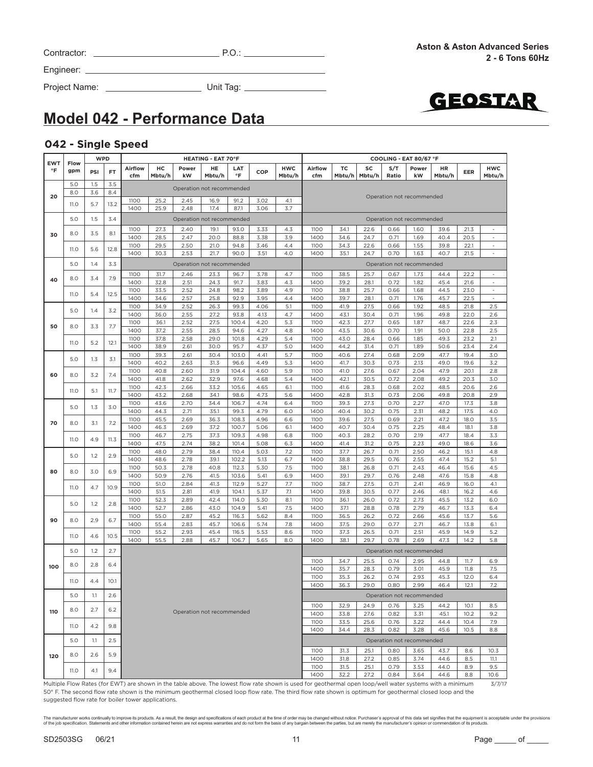| Contractor: |  |
|-------------|--|
|             |  |

Project Name: Unit Tag:



### **Model 042 - Performance Data**

#### **042 - Single Speed**

| EWT |             | <b>WPD</b> |           |                | <b>HEATING - EAT 70°F</b> |                           |              |                |              |                      |                                                                                                                                                           |              | COOLING - EAT 80/67 °F |              |                           |              |              |                          |  |
|-----|-------------|------------|-----------|----------------|---------------------------|---------------------------|--------------|----------------|--------------|----------------------|-----------------------------------------------------------------------------------------------------------------------------------------------------------|--------------|------------------------|--------------|---------------------------|--------------|--------------|--------------------------|--|
| °F  | Flow<br>gpm | PSI        | <b>FT</b> | Airflow<br>cfm | HC<br>Mbtu/h              | Power<br>kW               | HE<br>Mbtu/h | LAT<br>°F      | COP          | <b>HWC</b><br>Mbtu/h | Airflow<br>cfm                                                                                                                                            | TC<br>Mbtu/h | SC<br>Mbtu/h           | S/T<br>Ratio | Power<br>kW               | HR<br>Mbtu/h | EER          | <b>HWC</b><br>Mbtu/h     |  |
|     | 5.0         | 1.5        | 3.5       |                |                           |                           |              |                |              |                      |                                                                                                                                                           |              |                        |              |                           |              |              |                          |  |
| 20  | 8.0         | 3.6        | 8.4       |                |                           | Operation not recommended |              |                |              |                      |                                                                                                                                                           |              |                        |              | Operation not recommended |              |              |                          |  |
|     | 11.O        | 5.7        | 13.2      | 1100           | 25.2                      | 2.45                      | 16.9         | 91.2           | 3.02         | 4.1                  |                                                                                                                                                           |              |                        |              |                           |              |              |                          |  |
|     |             |            |           | 1400           | 25.9                      | 2.48                      | 17.4         | 87.1           | 3.06         | 3.7                  |                                                                                                                                                           |              |                        |              |                           |              |              |                          |  |
|     | 5.0         | 1.5        | 3.4       |                |                           | Operation not recommended |              |                |              |                      |                                                                                                                                                           |              |                        |              | Operation not recommended |              |              |                          |  |
| 30  | 8.0         | 3.5        | 8.1       | 1100           | 27.3                      | 2.40                      | 19.1         | 93.0           | 3.33         | 4.3                  | 1100                                                                                                                                                      | 34.1         | 22.6                   | 0.66         | 1.60                      | 39.6         | 21.3         | ÷,                       |  |
|     |             |            |           | 1400<br>1100   | 28.5<br>29.5              | 2.47<br>2.50              | 20.0<br>21.0 | 88.8<br>94.8   | 3.38<br>3.46 | 3.9<br>4.4           | 1400<br>1100                                                                                                                                              | 34.6<br>34.3 | 24.7<br>22.6           | 0.71<br>0.66 | 1.69<br>1.55              | 40.4<br>39.8 | 20.5<br>22.1 | ÷,<br>ä,                 |  |
|     | 11.O        | 5.6        | 12.8      | 1400           | 30.3                      | 2.53                      | 21.7         | 90.0           | 3.51         | 4.0                  | 1400                                                                                                                                                      | 35.1         | 24.7                   | 0.70         | 1.63                      | 40.7         | 21.5         | ٠                        |  |
|     | 5.0         | 1.4        | 3.3       |                |                           | Operation not recommended |              |                |              |                      |                                                                                                                                                           |              |                        |              | Operation not recommended |              |              |                          |  |
|     |             |            |           | 1100           | 31.7                      | 2.46                      | 23.3         | 96.7           | 3.78         | 4.7                  | 1100                                                                                                                                                      | 38.5         | 25.7                   | 0.67         | 1.73                      | 44.4         | 22.2         | $\overline{\phantom{a}}$ |  |
| 40  | 8.0         | 3.4        | 7.9       | 1400           | 32.8                      | 2.51                      | 24.3         | 91.7           | 3.83         | 4.3                  | 1400                                                                                                                                                      | 39.2         | 28.1                   | 0.72         | 1.82                      | 45.4         | 21.6         | $\overline{\phantom{a}}$ |  |
|     | 11.O        |            |           | 1100           | 33.5                      | 2.52                      | 24.8         | 98.2           | 3.89         | 4.9                  | 1100                                                                                                                                                      | 38.8         | 25.7                   | 0.66         | 1.68                      | 44.5         | 23.0         | $\frac{1}{2}$            |  |
|     |             | 5.4        | 12.5      | 1400           | 34.6                      | 2.57                      | 25.8         | 92.9           | 3.95         | 4.4                  | 1400                                                                                                                                                      | 39.7         | 28.1                   | 0.71         | 1.76                      | 45.7         | 22.5         | $\sim$                   |  |
|     | 5.0         | 1.4        | 3.2       | 1100           | 34.9                      | 2.52                      | 26.3         | 99.3           | 4.06         | 5.1                  | 1100                                                                                                                                                      | 41.9         | 27.5                   | 0.66         | 1.92                      | 48.5         | 21.8         | 2.5                      |  |
|     |             |            |           | 1400<br>1100   | 36.0<br>36.1              | 2.55<br>2.52              | 27.2<br>27.5 | 93.8<br>100.4  | 4.13<br>4.20 | 4.7<br>5.3           | 1400<br>1100                                                                                                                                              | 43.1<br>42.3 | 30.4<br>27.7           | 0.71<br>0.65 | 1.96<br>1.87              | 49.8<br>48.7 | 22.0<br>22.6 | 2.6<br>2.3               |  |
| 50  | 8.0         | 3.3        | 7.7       | 1400           | 37.2                      | 2.55                      | 28.5         | 94.6           | 4.27         | 4.8                  | 1400                                                                                                                                                      | 43.5         | 30.6                   | 0.70         | 1.91                      | 50.0         | 22.8         | 2.5                      |  |
|     |             |            |           | 1100           | 37.8                      | 2.58                      | 29.0         | 101.8          | 4.29         | 5.4                  | 1100                                                                                                                                                      | 43.0         | 28.4                   | 0.66         | 1.85                      | 49.3         | 23.2         | 2.1                      |  |
|     | 11.O        | 5.2        | 12.1      | 1400           | 38.9                      | 2.61                      | 30.0         | 95.7           | 4.37         | 5.0                  | 1400                                                                                                                                                      | 44.2         | 31.4                   | 0.71         | 1.89                      | 50.6         | 23.4         | 2.4                      |  |
|     | 5.0         | 1.3        | 3.1       | 1100           | 39.3                      | 2.61                      | 30.4         | 103.0          | 4.41         | 5.7                  | 1100                                                                                                                                                      | 40.6         | 27.4                   | 0.68         | 2.09                      | 47.7         | 19.4         | 3.0                      |  |
|     |             |            |           | 1400           | 40.2                      | 2.63                      | 31.3         | 96.6           | 4.49         | 5.3                  | 1400                                                                                                                                                      | 41.7<br>41.0 | 30.3                   | 0.73         | 2.13                      | 49.0         | 19.6         | 3.2                      |  |
| 60  | 8.0         | 3.2        | 7.4       | 1100<br>1400   | 40.8<br>41.8              | 2.60<br>2.62              | 31.9<br>32.9 | 104.4<br>97.6  | 4.60<br>4.68 | 5.9<br>5.4           | 1100<br>1400                                                                                                                                              | 42.1         | 27.6<br>30.5           | 0.67<br>0.72 | 2.04<br>2.08              | 47.9<br>49.2 | 20.1<br>20.3 | 2.8<br>3.0               |  |
|     |             |            |           | 1100           | 42.3                      | 2.66                      | 33.2         | 105.6          | 4.65         | 6.1                  | 1100                                                                                                                                                      | 41.6         | 28.3                   | 0.68         | 2.02                      | 48.5         | 20.6         | 2.6                      |  |
|     | 11.O        | 5.1        | 11.7      | 1400           | 43.2                      | 2.68                      | 34.1         | 98.6           | 4.73         | 5.6                  | 1400                                                                                                                                                      | 42.8         | 31.3                   | 0.73         | 2.06                      | 49.8         | 20.8         | 2.9                      |  |
|     | 5.0         | 1.3        | 3.0       | 1100           | 43.6                      | 2.70                      | 34.4         | 106.7          | 4.74         | 6.4                  | 1100                                                                                                                                                      | 39.3         | 27.3                   | 0.70         | 2.27                      | 47.0         | 17.3         | 3.8                      |  |
|     |             |            |           | 1400<br>1100   | 44.3                      | 2.71                      | 35.1         | 99.3           | 4.79         | 6.0                  | 1400                                                                                                                                                      | 40.4         | 30.2<br>27.5           | 0.75         | 2.31                      | 48.2         | 17.5         | 4.0                      |  |
| 70  | 8.0         | 3.1        | 7.2       | 1400           | 45.5<br>46.3              | 2.69<br>2.69              | 36.3<br>37.2 | 108.3<br>100.7 | 4.96<br>5.06 | 6.6<br>6.1           | 1100<br>1400                                                                                                                                              | 39.6<br>40.7 | 30.4                   | 0.69<br>0.75 | 2.21<br>2.25              | 47.2<br>48.4 | 18.0<br>18.1 | 3.5<br>3.8               |  |
|     |             |            |           | 1100           | 46.7                      | 2.75                      | 37.3         | 109.3          | 4.98         | 6.8                  | 1100                                                                                                                                                      | 40.3         | 28.2                   | 0.70         | 2.19                      | 47.7         | 18.4         | 3.3                      |  |
|     | 11.0        | 4.9        | 11.3      | 1400           | 47.5                      | 2.74                      | 38.2         | 101.4          | 5.08         | 6.3                  | 1400                                                                                                                                                      | 41.4         | 31.2                   | 0.75         | 2.23                      | 49.0         | 18.6         | 3.6                      |  |
|     | 5.0         | 1.2        | 2.9       | 1100           | 48.0                      | 2.79                      | 38.4         | 110.4          | 5.03         | 7.2                  | 1100                                                                                                                                                      | 37.7         | 26.7                   | 0.71         | 2.50                      | 46.2         | 15.1         | 4.8                      |  |
|     |             |            |           | 1400           | 48.6                      | 2.78                      | 39.1         | 102.2          | 5.13         | 6.7                  | 1400                                                                                                                                                      | 38.8         | 29.5                   | 0.76         | 2.55                      | 47.4         | 15.2         | 5.1                      |  |
| 80  | 8.0         | 3.0        | 6.9       | 1100<br>1400   | 50.3<br>50.9              | 2.78<br>2.76              | 40.8<br>41.5 | 112.3<br>103.6 | 5.30<br>5.41 | 7.5<br>6.9           | 1100<br>1400                                                                                                                                              | 38.1<br>39.1 | 26.8<br>29.7           | 0.71<br>0.76 | 2.43<br>2.48              | 46.4<br>47.6 | 15.6<br>15.8 | 4.5<br>4.8               |  |
|     |             |            |           | 1100           | 51.0                      | 2.84                      | 41.3         | 112.9          | 5.27         | 7.7                  | 1100                                                                                                                                                      | 38.7         | 27.5                   | 0.71         | 2.41                      | 46.9         | 16.0         | 4.1                      |  |
|     | 11.O        | 4.7        | 10.9      | 1400           | 51.5                      | 2.81                      | 41.9         | 104.1          | 5.37         | 7.1                  | 1400                                                                                                                                                      | 39.8         | 30.5                   | 0.77         | 2.46                      | 48.1         | 16.2         | 4.6                      |  |
|     | 5.0         | 1.2        | 2.8       | 1100           | 52.3                      | 2.89                      | 42.4         | 114.0          | 5.30         | 8.1                  | 1100                                                                                                                                                      | 36.1         | 26.0                   | 0.72         | 2.73                      | 45.5         | 13.2         | 6.0                      |  |
|     |             |            |           | 1400           | 52.7                      | 2.86                      | 43.0         | 104.9          | 5.41         | 7.5                  | 1400                                                                                                                                                      | 37.1         | 28.8                   | 0.78         | 2.79                      | 46.7         | 13.3         | 6.4                      |  |
| 90  | 8.0         | 2.9        | 6.7       | 1100<br>1400   | 55.0<br>55.4              | 2.87<br>2.83              | 45.2<br>45.7 | 116.3<br>106.6 | 5.62<br>5.74 | 8.4<br>7.8           | 1100<br>1400                                                                                                                                              | 36.5<br>37.5 | 26.2<br>29.0           | 0.72<br>0.77 | 2.66<br>2.71              | 45.6<br>46.7 | 13.7<br>13.8 | 5.6<br>6.1               |  |
|     |             |            |           | 1100           | 55.2                      | 2.93                      | 45.4         | 116.5          | 5.53         | 8.6                  | 1100                                                                                                                                                      | 37.3         | 26.5                   | 0.71         | 2.51                      | 45.9         | 14.9         | 5.2                      |  |
|     | 11.O        | 4.6        | 10.5      | 1400           | 55.5                      | 2.88                      | 45.7         | 106.7          | 5.65         | 8.0                  | 1400                                                                                                                                                      | 38.1         | 29.7                   | 0.78         | 2.69                      | 47.3         | 14.2         | 5.8                      |  |
|     | 5.0         | 1.2        | 2.7       |                |                           |                           |              |                |              |                      |                                                                                                                                                           |              |                        |              | Operation not recommended |              |              |                          |  |
|     |             |            |           |                |                           |                           |              |                |              |                      | 1100                                                                                                                                                      | 34.7         | 25.5                   | 0.74         | 2.95                      | 44.8         | 11.7         | 6.9                      |  |
| 100 | 8.0         | 2.8        | 6.4       |                |                           |                           |              |                |              |                      | 1400                                                                                                                                                      | 35.7         | 28.3                   | 0.79         | 3.01                      | 45.9         | 11.8         | 7.5                      |  |
|     | 11.0        | 4.4        | 10.1      |                |                           |                           |              |                |              |                      | 1100                                                                                                                                                      | 35.3         | 26.2                   | 0.74         | 2.93                      | 45.3         | 12.0         | 6.4                      |  |
|     |             |            |           |                |                           |                           |              |                |              |                      | 1400                                                                                                                                                      | 36.3         | 29.0                   | 0.80         | 2.99                      | 46.4         | 12.1         | 7.2                      |  |
|     | 5.0         | 1.1        | 2.6       |                |                           |                           |              |                |              |                      |                                                                                                                                                           |              |                        |              | Operation not recommended |              |              |                          |  |
| 110 | 8.0         | 2.7        | 6.2       |                |                           | Operation not recommended |              |                |              |                      | 1100                                                                                                                                                      | 32.9         | 24.9                   | 0.76         | 3.25                      | 44.2         | 10.1         | 8.5                      |  |
|     |             |            |           |                |                           |                           |              |                |              |                      | 1400<br>1100                                                                                                                                              | 33.8<br>33.5 | 27.6<br>25.6           | 0.82<br>0.76 | 3.31<br>3.22              | 45.1<br>44.4 | 10.2<br>10.4 | 9.2<br>7.9               |  |
|     | 11.O        | 4.2        | 9.8       |                |                           |                           |              |                |              |                      | 1400                                                                                                                                                      | 34.4         | 28.3                   | 0.82         | 3.28                      | 45.6         | 10.5         | 8.8                      |  |
|     | 5.0         | 1.1        | 2.5       |                |                           |                           |              |                |              |                      |                                                                                                                                                           |              |                        |              | Operation not recommended |              |              |                          |  |
|     |             |            |           |                |                           |                           |              |                |              |                      | 1100                                                                                                                                                      | 31.3         | 25.1                   | 0.80         | 3.65                      | 43.7         | 8.6          | 10.3                     |  |
| 120 | 8.0         | 2.6        | 5.9       |                |                           |                           |              |                |              |                      | 1400                                                                                                                                                      | 31.8         | 27.2                   | 0.85         | 3.74                      | 44.6         | 8.5          | 11.1                     |  |
|     |             |            |           |                |                           |                           |              |                |              |                      | 1100                                                                                                                                                      | 31.5         | 25.1                   | 0.79         | 3.53                      | 44.0         | 8.9          | 9.5                      |  |
|     | 11.O        | 4.1        | 9.4       |                |                           |                           |              |                |              |                      | 1400                                                                                                                                                      | 32.2         | 27.2                   | 0.84         | 3.64                      | 44.6         | 8.8          | 10.6                     |  |
|     |             |            |           |                |                           |                           |              |                |              |                      | Multiple Flow Rates (for FWT) are shown in the table above. The lowest flow rate shown is used for geothermal open loop/well water systems with a minimum |              |                        |              |                           |              |              | 3/7/17                   |  |

Multiple Flow Rates (for EWT) are shown in the table above. The lowest flow rate shown is used for geothermal open loop/well water systems with a minimum 50° F. The second flow rate shown is the minimum geothermal closed loop flow rate. The third flow rate shown is optimum for geothermal closed loop and the suggested flow rate for boiler tower applications.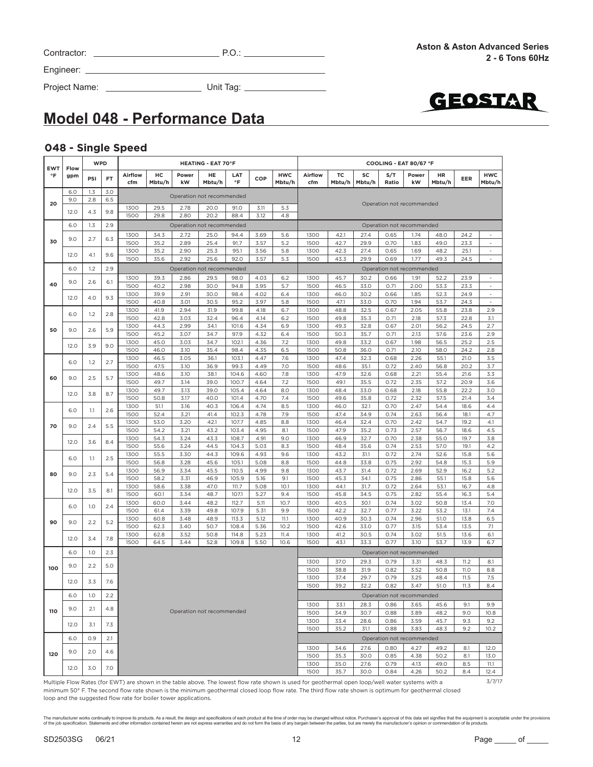| Contractor: | $P.O$ |
|-------------|-------|
|             |       |

Project Name: Unit Tag:



# **Model 048 - Performance Data**

#### **048 - Single Speed**

|                  |             | <b>WPD</b> |            |                |              |                                   | <b>HEATING - EAT 70°F</b> |                  |              |                      | COOLING - EAT 80/67 °F                                                                                                                             |              |              |              |                           |              |              |                                    |
|------------------|-------------|------------|------------|----------------|--------------|-----------------------------------|---------------------------|------------------|--------------|----------------------|----------------------------------------------------------------------------------------------------------------------------------------------------|--------------|--------------|--------------|---------------------------|--------------|--------------|------------------------------------|
| <b>EWT</b><br>°F | Flow<br>gpm | PSI        | FT.        | Airflow<br>cfm | HC<br>Mbtu/h | Power<br>kW                       | HE<br>Mbtu/h              | LAT<br>$\circ$ F | COP          | <b>HWC</b><br>Mbtu/h | Airflow<br>cfm                                                                                                                                     | тс<br>Mbtu/h | SC<br>Mbtu/h | S/T<br>Ratio | Power<br>kW               | HR<br>Mbtu/h | EER          | <b>HWC</b><br>Mbtu/h               |
|                  | 6.0<br>9.0  | 1.3<br>2.8 | 3.0<br>6.5 |                |              | Operation not recommended         |                           |                  |              |                      |                                                                                                                                                    |              |              |              |                           |              |              |                                    |
| 20               | 12.0        | 4.3        | 9.8        | 1300           | 29.5         | 2.78                              | 20.0                      | 91.0             | 3.11         | 5.3                  |                                                                                                                                                    |              |              |              | Operation not recommended |              |              |                                    |
|                  | 6.0         | 1.3        | 2.9        | 1500           | 29.8         | 2.80<br>Operation not recommended | 20.2                      | 88.4             | 3.12         | 4.8                  |                                                                                                                                                    |              |              |              | Operation not recommended |              |              |                                    |
|                  |             |            |            | 1300           | 34.3         | 2.72                              | 25.0                      | 94.4             | 3.69         | 5.6                  | 1300                                                                                                                                               | 42.1         | 27.4         | 0.65         | 1.74                      | 48.0         | 24.2         | $\sim$                             |
| 30               | 9.0         | 2.7        | 6.3        | 1500           | 35.2         | 2.89                              | 25.4                      | 91.7             | 3.57         | 5.2                  | 1500                                                                                                                                               | 42.7         | 29.9         | 0.70         | 1.83                      | 49.0         | 23.3         | $\overline{\phantom{a}}$           |
|                  | 12.0        | 4.1        | 9.6        | 1300<br>1500   | 35.2<br>35.6 | 2.90<br>2.92                      | 25.3<br>25.6              | 95.1<br>92.0     | 3.56<br>3.57 | 5.8<br>5.3           | 1300<br>1500                                                                                                                                       | 42.3<br>43.3 | 27.4<br>29.9 | 0.65<br>0.69 | 1.69<br>1.77              | 48.2<br>49.3 | 25.1<br>24.5 | $\sim$<br>$\overline{\phantom{a}}$ |
|                  | 6.0         | 1.2        | 2.9        |                |              | Operation not recommended         |                           |                  |              |                      |                                                                                                                                                    |              |              |              | Operation not recommended |              |              |                                    |
|                  |             |            |            | 1300           | 39.3         | 2.86                              | 29.5                      | 98.0             | 4.03         | 6.2                  | 1300                                                                                                                                               | 45.7         | 30.2         | 0.66         | 1.91                      | 52.2         | 23.9         | $\sim$                             |
| 40               | 9.0         | 2.6        | 6.1        | 1500           | 40.2         | 2.98                              | 30.0                      | 94.8             | 3.95         | 5.7                  | 1500                                                                                                                                               | 46.5         | 33.0         | 0.71         | 2.00                      | 53.3         | 23.3         | $\overline{\phantom{a}}$           |
|                  | 12.0        | 4.0        | 9.3        | 1300           | 39.9         | 2.91                              | 30.0                      | 98.4             | 4.02         | 6.4                  | 1300                                                                                                                                               | 46.0         | 30.2         | 0.66         | 1.85                      | 52.3         | 24.9         | $\overline{\phantom{a}}$           |
|                  |             |            |            | 1500           | 40.8         | 3.01                              | 30.5                      | 95.2             | 3.97         | 5.8                  | 1500                                                                                                                                               | 47.1         | 33.0         | 0.70         | 1.94                      | 53.7         | 24.3         | $\sim$                             |
|                  | 6.0         | 1.2        | 2.8        | 1300           | 41.9         | 2.94                              | 31.9                      | 99.8             | 4.18         | 6.7                  | 1300                                                                                                                                               | 48.8         | 32.5         | 0.67         | 2.05                      | 55.8         | 23.8         | 2.9                                |
|                  |             |            |            | 1500<br>1300   | 42.8<br>44.3 | 3.03<br>2.99                      | 32.4<br>34.1              | 96.4<br>101.6    | 4.14<br>4.34 | 6.2<br>6.9           | 1500<br>1300                                                                                                                                       | 49.8<br>49.3 | 35.3<br>32.8 | 0.71<br>0.67 | 2.18<br>2.01              | 57.3<br>56.2 | 22.8<br>24.5 | 3.1<br>2.7                         |
| 50               | 9.0         | 2.6        | 5.9        | 1500           | 45.2         | 3.07                              | 34.7                      | 97.9             | 4.32         | 6.4                  | 1500                                                                                                                                               | 50.3         | 35.7         | 0.71         | 2.13                      | 57.6         | 23.6         | 2.9                                |
|                  |             |            |            | 1300           | 45.0         | 3.03                              | 34.7                      | 102.1            | 4.36         | 7.2                  | 1300                                                                                                                                               | 49.8         | 33.2         | 0.67         | 1.98                      | 56.5         | 25.2         | 2.5                                |
|                  | 12.0        | 3.9        | 9.0        | 1500           | 46.0         | 3.10                              | 35.4                      | 98.4             | 4.35         | 6.5                  | 1500                                                                                                                                               | 50.8         | 36.0         | 0.71         | 2.10                      | 58.0         | 24.2         | 2.8                                |
|                  | 6.0         | 1.2        | 2.7        | 1300           | 46.5         | 3.05                              | 36.1                      | 103.1            | 4.47         | 7.6                  | 1300                                                                                                                                               | 47.4         | 32.3         | 0.68         | 2.26                      | 55.1         | 21.0         | 3.5                                |
|                  |             |            |            | 1500           | 47.5         | 3.10                              | 36.9                      | 99.3             | 4.49         | 7.0                  | 1500                                                                                                                                               | 48.6         | 35.1         | 0.72         | 2.40                      | 56.8         | 20.2         | 3.7                                |
| 60               | 9.0         | 2.5        | 5.7        | 1300<br>1500   | 48.6<br>49.7 | 3.10<br>3.14                      | 38.1<br>39.0              | 104.6<br>100.7   | 4.60<br>4.64 | 7.8<br>7.2           | 1300<br>1500                                                                                                                                       | 47.9<br>49.1 | 32.6<br>35.5 | 0.68<br>0.72 | 2.21<br>2.35              | 55.4<br>57.2 | 21.6<br>20.9 | 3.3<br>3.6                         |
|                  |             |            |            | 1300           | 49.7         | 3.13                              | 39.0                      | 105.4            | 4.64         | 8.0                  | 1300                                                                                                                                               | 48.4         | 33.0         | 0.68         | 2.18                      | 55.8         | 22.2         | 3.0                                |
|                  | 12.0        | 3.8        | 8.7        | 1500           | 50.8         | 3.17                              | 40.0                      | 101.4            | 4.70         | 7.4                  | 1500                                                                                                                                               | 49.6         | 35.8         | 0.72         | 2.32                      | 57.5         | 21.4         | 3.4                                |
|                  | 6.0         | 1.1        | 2.6        | 1300           | 51.1         | 3.16                              | 40.3                      | 106.4            | 4.74         | 8.5                  | 1300                                                                                                                                               | 46.0         | 32.1         | 0.70         | 2.47                      | 54.4         | 18.6         | 4.4                                |
|                  |             |            |            | 1500           | 52.4         | 3.21                              | 41.4                      | 102.3            | 4.78         | 7.9                  | 1500                                                                                                                                               | 47.4         | 34.9         | 0.74         | 2.63                      | 56.4         | 18.1         | 4.7                                |
| 70               | 9.0         | 2.4        | 5.5        | 1300           | 53.0         | 3.20                              | 42.1                      | 107.7            | 4.85         | 8.8                  | 1300                                                                                                                                               | 46.4         | 32.4         | 0.70         | 2.42                      | 54.7         | 19.2         | 4.1                                |
|                  | 12.0        |            |            | 1500<br>1300   | 54.2<br>54.3 | 3.21<br>3.24                      | 43.2<br>43.3              | 103.4<br>108.7   | 4.95<br>4.91 | 8.1<br>9.0           | 1500<br>1300                                                                                                                                       | 47.9<br>46.9 | 35.2<br>32.7 | 0.73<br>0.70 | 2.57<br>2.38              | 56.7<br>55.0 | 18.6<br>19.7 | 4.5<br>3.8                         |
|                  |             | 3.6        | 8.4        | 1500           | 55.6         | 3.24                              | 44.5                      | 104.3            | 5.03         | 8.3                  | 1500                                                                                                                                               | 48.4         | 35.6         | 0.74         | 2.53                      | 57.0         | 19.1         | 4.2                                |
|                  |             |            |            | 1300           | 55.5         | 3.30                              | 44.3                      | 109.6            | 4.93         | 9.6                  | 1300                                                                                                                                               | 43.2         | 31.1         | 0.72         | 2.74                      | 52.6         | 15.8         | 5.6                                |
|                  | 6.0         | $1.1\,$    | 2.5        | 1500           | 56.8         | 3.28                              | 45.6                      | 105.1            | 5.08         | 8.8                  | 1500                                                                                                                                               | 44.8         | 33.8         | 0.75         | 2.92                      | 54.8         | 15.3         | 5.9                                |
| 80               | 9.0         | 2.3        | 5.4        | 1300           | 56.9         | 3.34                              | 45.5                      | 110.5            | 4.99         | 9.8                  | 1300                                                                                                                                               | 43.7         | 31.4         | 0.72         | 2.69                      | 52.9         | 16.2         | 5.2                                |
|                  |             |            |            | 1500<br>1300   | 58.2<br>58.6 | 3.31<br>3.38                      | 46.9<br>47.0              | 105.9<br>111.7   | 5.16<br>5.08 | 9.1<br>10.1          | 1500<br>1300                                                                                                                                       | 45.3<br>44.1 | 34.1<br>31.7 | 0.75<br>0.72 | 2.86<br>2.64              | 55.1<br>53.1 | 15.8<br>16.7 | 5.6<br>4.8                         |
|                  | 12.0        | 3.5        | 8.1        | 1500           | 60.1         | 3.34                              | 48.7                      | 107.1            | 5.27         | 9.4                  | 1500                                                                                                                                               | 45.8         | 34.5         | 0.75         | 2.82                      | 55.4         | 16.3         | 5.4                                |
|                  |             |            |            | 1300           | 60.0         | 3.44                              | 48.2                      | 112.7            | 5.11         | 10.7                 | 1300                                                                                                                                               | 40.5         | 30.1         | 0.74         | 3.02                      | 50.8         | 13.4         | 7.0                                |
|                  | 6.0         | 1.0        | 2.4        | 1500           | 61.4         | 3.39                              | 49.8                      | 107.9            | 5.31         | 9.9                  | 1500                                                                                                                                               | 42.2         | 32.7         | 0.77         | 3.22                      | 53.2         | 13.1         | 7.4                                |
| 90               | 9.0         | 2.2        | 5.2        | 1300           | 60.8         | 3.48                              | 48.9                      | 113.3            | 5.12         | 11.1                 | 1300                                                                                                                                               | 40.9         | 30.3         | 0.74         | 2.96                      | 51.0         | 13.8         | 6.5                                |
|                  |             |            |            | 1500           | 62.3         | 3.40                              | 50.7                      | 108.4            | 5.36         | 10.2                 | 1500                                                                                                                                               | 42.6         | 33.0         | 0.77         | 3.15                      | 53.4         | 13.5         | 7.1                                |
|                  | 12.0        | 3.4        | 7.8        | 1300<br>1500   | 62.8<br>64.5 | 3.52<br>3.44                      | 50.8<br>52.8              | 114.8<br>109.8   | 5.23<br>5.50 | 11.4<br>10.6         | 1300<br>1500                                                                                                                                       | 41.2<br>43.1 | 30.5<br>33.3 | 0.74<br>0.77 | 3.02<br>3.10              | 51.5<br>53.7 | 13.6<br>13.9 | 6.1<br>6.7                         |
|                  | 6.0         | 1.0        | 2.3        |                |              |                                   |                           |                  |              |                      |                                                                                                                                                    |              |              |              | Operation not recommended |              |              |                                    |
|                  | 9.0         | 2.2        | 5.0        |                |              |                                   |                           |                  |              |                      | 1300                                                                                                                                               | 37.0         | 29.3         | 0.79         | 3.31                      | 48.3         | 11.2         | 8.1                                |
| 100              |             |            |            |                |              |                                   |                           |                  |              |                      | 1500                                                                                                                                               | 38.8         | 31.9         | 0.82         | 3.52                      | 50.8         | <b>11.0</b>  | 8.8                                |
|                  | 12.0        | 3.3        | 7.6        |                |              |                                   |                           |                  |              |                      | 1300<br>1500                                                                                                                                       | 37.4<br>39.2 | 29.7<br>32.2 | 0.79<br>0.82 | 3.25<br>3.47              | 48.4<br>51.0 | 11.5<br>11.3 | 7.5<br>8.4                         |
|                  | 6.0         | 1.0        | 2.2        |                |              |                                   |                           |                  |              |                      |                                                                                                                                                    |              |              |              | Operation not recommended |              |              |                                    |
|                  |             |            |            |                |              |                                   |                           |                  |              |                      | 1300                                                                                                                                               | 33.1         | 28.3         | 0.86         | 3.65                      | 45.6         | 9.1          | 9.9                                |
| 110              | 9.0         | 2.1        | 4.8        |                |              | Operation not recommended         |                           |                  |              |                      | 1500                                                                                                                                               | 34.9         | 30.7         | 0.88         | 3.89                      | 48.2         | 9.0          | 10.8                               |
|                  | 12.0        | 3.1        | 7.3        |                |              |                                   |                           |                  |              |                      | 1300                                                                                                                                               | 33.4         | 28.6         | 0.86         | 3.59                      | 45.7         | 9.3          | 9.2                                |
|                  |             |            |            |                |              |                                   |                           |                  |              |                      | 1500                                                                                                                                               | 35.2         | 31.1         | 0.88         | 3.83                      | 48.3         | 9.2          | 10.2                               |
|                  | 6.0         | 0.9        | 2.1        |                |              |                                   |                           |                  |              |                      |                                                                                                                                                    |              |              |              | Operation not recommended |              |              |                                    |
| 120              | 9.0         | 2.0        | 4.6        |                |              |                                   |                           |                  |              |                      | 1300                                                                                                                                               | 34.6         | 27.6         | 0.80         | 4.27                      | 49.2         | 8.1          | 12.0                               |
|                  |             |            |            |                |              |                                   |                           |                  |              |                      | 1500<br>1300                                                                                                                                       | 35.3<br>35.0 | 30.0<br>27.6 | 0.85<br>0.79 | 4.38<br>4.13              | 50.2<br>49.0 | 8.1<br>8.5   | 13.0<br>11.1                       |
|                  | 12.0        | 3.0        | 7.0        |                |              |                                   |                           |                  |              |                      | 1500                                                                                                                                               | 35.7         | 30.0         | 0.84         | 4.26                      | 50.2         | 8.4          | 12.4                               |
|                  |             |            |            |                |              |                                   |                           |                  |              |                      | Multiple Flow Pates (for FWT) are shown in the table above. The lowest flow rate shown is used for geothermal open loop (well water systems with a |              |              |              |                           |              |              | 3/7/17                             |

Multiple Flow Rates (for EWT) are shown in the table above. The lowest flow rate shown is used for geothermal open loop/well water systems with a minimum 50° F. The second flow rate shown is the minimum geothermal closed loop flow rate. The third flow rate shown is optimum for geothermal closed loop and the suggested flow rate for boiler tower applications.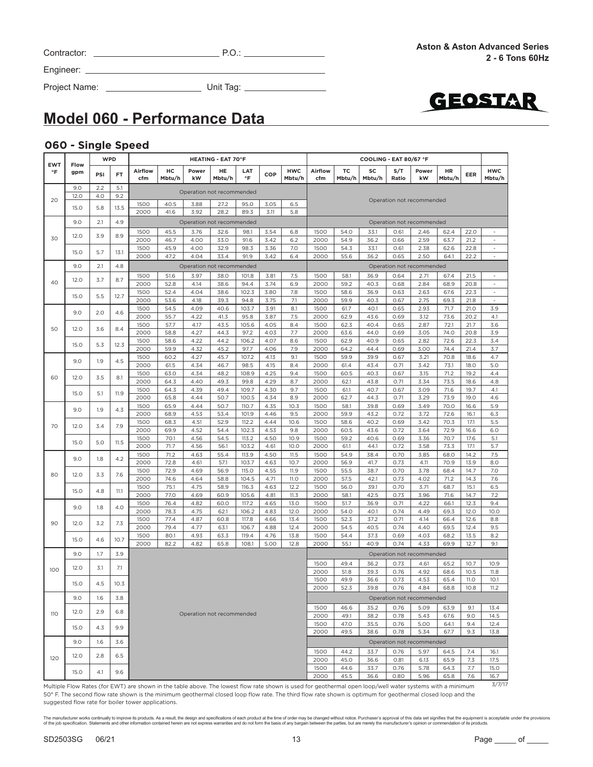| Contractor: |  |
|-------------|--|
|             |  |

Contractor: P.O.:

Engineer:

Project Name: Unit Tag:



# **Model 060 - Performance Data**

#### **060 - Single Speed**

|                         |             | <b>WPD</b> |      |                                                                                                                                                        |              |                           | <b>HEATING - EAT 70°F</b> |                  |              |                      | COOLING - EAT 80/67 °F |              |              |              |                           |                     |              |                                          |
|-------------------------|-------------|------------|------|--------------------------------------------------------------------------------------------------------------------------------------------------------|--------------|---------------------------|---------------------------|------------------|--------------|----------------------|------------------------|--------------|--------------|--------------|---------------------------|---------------------|--------------|------------------------------------------|
| <b>EWT</b><br>$\circ$ F | Flow<br>gpm | PSI        | FT   | <b>Airflow</b><br>cfm                                                                                                                                  | HС<br>Mbtu/h | Power<br>kW               | HE<br>Mbtu/h              | LAT<br>$\circ$ F | COP          | <b>HWC</b><br>Mbtu/h | Airflow<br>cfm         | TC<br>Mbtu/h | SC<br>Mbtu/h | S/T<br>Ratio | Power<br>kW               | <b>HR</b><br>Mbtu/h | EER          | <b>HWC</b><br>Mbtu/h                     |
|                         | 9.0         | 2.2        | 5.1  |                                                                                                                                                        |              | Operation not recommended |                           |                  |              |                      |                        |              |              |              |                           |                     |              |                                          |
| 20                      | 12.0        | 4.0        | 9.2  |                                                                                                                                                        |              |                           |                           |                  |              |                      |                        |              |              |              | Operation not recommended |                     |              |                                          |
|                         | 15.0        | 5.8        | 13.5 | 1500                                                                                                                                                   | 40.5         | 3.88                      | 27.2                      | 95.0             | 3.05         | 6.5                  |                        |              |              |              |                           |                     |              |                                          |
|                         |             |            |      | 2000                                                                                                                                                   | 41.6         | 3.92                      | 28.2                      | 89.3             | 3.11         | 5.8                  |                        |              |              |              |                           |                     |              |                                          |
|                         | 9.0         | 2.1        | 4.9  |                                                                                                                                                        |              | Operation not recommended |                           |                  |              |                      |                        |              |              |              | Operation not recommended |                     |              |                                          |
|                         | 12.0        | 3.9        | 8.9  | 1500                                                                                                                                                   | 45.5         | 3.76                      | 32.6                      | 98.1             | 3.54         | 6.8                  | 1500                   | 54.0         | 33.1         | 0.61         | 2.46                      | 62.4                | 22.0         |                                          |
| 30                      |             |            |      | 2000                                                                                                                                                   | 46.7         | 4.00                      | 33.0                      | 91.6             | 3.42         | 6.2                  | 2000                   | 54.9         | 36.2         | 0.66         | 2.59                      | 63.7                | 21.2         | $\sim$                                   |
|                         | 15.0        | 5.7        | 13.1 | 1500                                                                                                                                                   | 45.9         | 4.00                      | 32.9                      | 98.3             | 3.36         | 7.0                  | 1500                   | 54.3         | 33.1         | 0.61         | 2.38                      | 62.6                | 22.8         | ÷,                                       |
|                         |             |            |      | 2000                                                                                                                                                   | 47.2         | 4.04                      | 33.4                      | 91.9             | 3.42         | 6.4                  | 2000                   | 55.6         | 36.2         | 0.65         | 2.50                      | 64.1                | 22.2         | $\sim$                                   |
|                         | 9.0         | 2.1        | 4.8  |                                                                                                                                                        |              | Operation not recommended |                           |                  |              |                      |                        |              |              |              | Operation not recommended |                     |              |                                          |
| 40                      | 12.0        | 3.7        | 8.7  | 1500                                                                                                                                                   | 51.6         | 3.97                      | 38.0                      | 101.8            | 3.81         | 7.5                  | 1500                   | 58.1         | 36.9         | 0.64         | 2.71                      | 67.4                | 21.5         | $\sim$                                   |
|                         |             |            |      | 2000                                                                                                                                                   | 52.8         | 4.14                      | 38.6                      | 94.4             | 3.74         | 6.9                  | 2000                   | 59.2         | 40.3         | 0.68         | 2.84                      | 68.9                | 20.8         | $\qquad \qquad \blacksquare$<br>$\omega$ |
|                         | 15.0        | 5.5        | 12.7 | 1500<br>2000                                                                                                                                           | 52.4<br>53.6 | 4.04<br>4.18              | 38.6<br>39.3              | 102.3<br>94.8    | 3.80<br>3.75 | 7.8<br>7.1           | 1500<br>2000           | 58.6<br>59.9 | 36.9<br>40.3 | 0.63<br>0.67 | 2.63<br>2.75              | 67.6<br>69.3        | 22.3         | $\sim$                                   |
|                         |             |            |      | 1500                                                                                                                                                   | 54.5         | 4.09                      | 40.6                      | 103.7            | 3.91         | 8.1                  | 1500                   | 61.7         | 40.1         | 0.65         | 2.93                      | 71.7                | 21.8<br>21.0 | 3.9                                      |
|                         | 9.0         | 2.0        | 4.6  | 2000                                                                                                                                                   | 55.7         | 4.22                      | 41.3                      | 95.8             | 3.87         | 7.5                  | 2000                   | 62.9         | 43.6         | 0.69         | 3.12                      | 73.6                | 20.2         | 4.1                                      |
|                         |             |            |      | 1500                                                                                                                                                   | 57.7         | 4.17                      | 43.5                      | 105.6            | 4.05         | 8.4                  | 1500                   | 62.3         | 40.4         | 0.65         | 2.87                      | 72.1                | 21.7         | 3.6                                      |
| 50                      | 12.0        | 3.6        | 8.4  | 2000                                                                                                                                                   | 58.8         | 4.27                      | 44.3                      | 97.2             | 4.03         | 7.7                  | 2000                   | 63.6         | 44.0         | 0.69         | 3.05                      | 74.0                | 20.8         | 3.9                                      |
|                         | 15.0        | 5.3        | 12.3 | 1500                                                                                                                                                   | 58.6         | 4.22                      | 44.2                      | 106.2            | 4.07         | 8.6                  | 1500                   | 62.9         | 40.9         | 0.65         | 2.82                      | 72.6                | 22.3         | 3.4                                      |
|                         |             |            |      | 2000                                                                                                                                                   | 59.9         | 4.32                      | 45.2                      | 97.7             | 4.06         | 7.9                  | 2000                   | 64.2         | 44.4         | 0.69         | 3.00                      | 74.4                | 21.4         | 3.7                                      |
|                         | 9.0         | 1.9        | 4.5  | 1500                                                                                                                                                   | 60.2         | 4.27                      | 45.7                      | 107.2            | 4.13         | 9.1                  | 1500                   | 59.9         | 39.9         | 0.67         | 3.21                      | 70.8                | 18.6         | 4.7                                      |
|                         |             |            |      | 2000                                                                                                                                                   | 61.5         | 4.34                      | 46.7                      | 98.5             | 4.15         | 8.4                  | 2000                   | 61.4         | 43.4         | 0.71         | 3.42                      | 73.1                | 18.0         | 5.0                                      |
| 60                      | 12.0        | 3.5        | 8.1  | 1500                                                                                                                                                   | 63.0         | 4.34                      | 48.2                      | 108.9            | 4.25         | 9.4                  | 1500                   | 60.5         | 40.3         | 0.67         | 3.15                      | 71.2                | 19.2         | 4.4                                      |
|                         |             |            |      | 2000                                                                                                                                                   | 64.3         | 4.40<br>4.39              | 49.3<br>49.4              | 99.8<br>109.7    | 4.29<br>4.30 | 8.7<br>9.7           | 2000                   | 62.1         | 43.8<br>40.7 | 0.71<br>0.67 | 3.34<br>3.09              | 73.5<br>71.6        | 18.6<br>19.7 | 4.8                                      |
|                         | 15.0        | 5.1        | 11.9 | 1500<br>2000                                                                                                                                           | 64.3<br>65.8 | 4.44                      | 50.7                      | 100.5            | 4.34         | 8.9                  | 1500<br>2000           | 61.1<br>62.7 | 44.3         | 0.71         | 3.29                      | 73.9                | 19.0         | 4.1<br>4.6                               |
|                         |             |            |      | 1500                                                                                                                                                   | 65.9         | 4.44                      | 50.7                      | 110.7            | 4.35         | 10.3                 | 1500                   | 58.1         | 39.8         | 0.69         | 3.49                      | 70.0                | 16.6         | 5.9                                      |
|                         | 9.0         | 1.9        | 4.3  | 2000                                                                                                                                                   | 68.9         | 4.53                      | 53.4                      | 101.9            | 4.46         | 9.5                  | 2000                   | 59.9         | 43.2         | 0.72         | 3.72                      | 72.6                | 16.1         | 6.3                                      |
|                         |             |            |      | 1500                                                                                                                                                   | 68.3         | 4.51                      | 52.9                      | 112.2            | 4.44         | 10.6                 | 1500                   | 58.6         | 40.2         | 0.69         | 3.42                      | 70.3                | 17.1         | 5.5                                      |
| 70                      | 12.0        | 3.4        | 7.9  | 2000                                                                                                                                                   | 69.9         | 4.52                      | 54.4                      | 102.3            | 4.53         | 9.8                  | 2000                   | 60.5         | 43.6         | 0.72         | 3.64                      | 72.9                | 16.6         | 6.0                                      |
|                         | 15.0        | 5.0        | 11.5 | 1500                                                                                                                                                   | 70.1         | 4.56                      | 54.5                      | 113.2            | 4.50         | 10.9                 | 1500                   | 59.2         | 40.6         | 0.69         | 3.36                      | 70.7                | 17.6         | 5.1                                      |
|                         |             |            |      | 2000                                                                                                                                                   | 71.7         | 4.56                      | 56.1                      | 103.2            | 4.61         | 10.0                 | 2000                   | 61.1         | 44.1         | 0.72         | 3.58                      | 73.3                | 17.1         | 5.7                                      |
|                         | 9.0         | 1.8        | 4.2  | 1500                                                                                                                                                   | 71.2         | 4.63                      | 55.4                      | 113.9            | 4.50         | 11.5                 | 1500                   | 54.9         | 38.4         | 0.70         | 3.85                      | 68.0                | 14.2         | 7.5                                      |
|                         |             |            |      | 2000                                                                                                                                                   | 72.8         | 4.61                      | 57.1                      | 103.7            | 4.63         | 10.7                 | 2000                   | 56.9         | 41.7         | 0.73         | 4.11                      | 70.9                | 13.9         | 8.0                                      |
| 80                      | 12.0        | 3.3        | 7.6  | 1500<br>2000                                                                                                                                           | 72.9<br>74.6 | 4.69                      | 56.9                      | 115.0            | 4.55         | 11.9                 | 1500                   | 55.5         | 38.7         | 0.70<br>0.73 | 3.78<br>4.02              | 68.4<br>71.2        | 14.7         | 7.0<br>7.6                               |
|                         |             |            |      | 1500                                                                                                                                                   | 75.1         | 4.64<br>4.75              | 58.8<br>58.9              | 104.5<br>116.3   | 4.71<br>4.63 | 11.0<br>12.2         | 2000<br>1500           | 57.5<br>56.0 | 42.1<br>39.1 | 0.70         | 3.71                      | 68.7                | 14.3<br>15.1 | 6.5                                      |
|                         | 15.0        | 4.8        | 11.1 | 2000                                                                                                                                                   | 77.0         | 4.69                      | 60.9                      | 105.6            | 4.81         | 11.3                 | 2000                   | 58.1         | 42.5         | 0.73         | 3.96                      | 71.6                | 14.7         | 7.2                                      |
|                         |             |            |      | 1500                                                                                                                                                   | 76.4         | 4.82                      | 60.0                      | 117.2            | 4.65         | 13.0                 | 1500                   | 51.7         | 36.9         | 0.71         | 4.22                      | 66.1                | 12.3         | 9.4                                      |
|                         | 9.0         | 1.8        | 4.0  | 2000                                                                                                                                                   | 78.3         | 4.75                      | 62.1                      | 106.2            | 4.83         | 12.0                 | 2000                   | 54.0         | 40.1         | 0.74         | 4.49                      | 69.3                | 12.0         | 10.0                                     |
| 90                      | 12.0        | 3.2        |      | 1500                                                                                                                                                   | 77.4         | 4.87                      | 60.8                      | 117.8            | 4.66         | 13.4                 | 1500                   | 52.3         | 37.2         | 0.71         | 4.14                      | 66.4                | 12.6         | 8.8                                      |
|                         |             |            | 7.3  | 2000                                                                                                                                                   | 79.4         | 4.77                      | 63.1                      | 106.7            | 4.88         | 12.4                 | 2000                   | 54.5         | 40.5         | 0.74         | 4.40                      | 69.5                | 12.4         | 9.5                                      |
|                         | 15.0        | 4.6        | 10.7 | 1500                                                                                                                                                   | 80.1         | 4.93                      | 63.3                      | 119.4            | 4.76         | 13.8                 | 1500                   | 54.4         | 37.3         | 0.69         | 4.03                      | 68.2                | 13.5         | 8.2                                      |
|                         |             |            |      | 2000                                                                                                                                                   | 82.2         | 4.82                      | 65.8                      | 108.1            | 5.00         | 12.8                 | 2000                   | 55.1         | 40.9         | 0.74         | 4.33                      | 69.9                | 12.7         | 9.1                                      |
|                         | 9.0         | 1.7        | 3.9  |                                                                                                                                                        |              |                           |                           |                  |              |                      |                        |              |              |              | Operation not recommended |                     |              |                                          |
|                         |             |            |      |                                                                                                                                                        |              |                           |                           |                  |              |                      | 1500                   | 49.4         | 36.2         | 0.73         | 4.61                      | 65.2                | 10.7         | 10.9                                     |
| 100                     | 12.0        | 3.1        | 7.1  |                                                                                                                                                        |              |                           |                           |                  |              |                      | 2000                   | 51.8         | 39.3         | 0.76         | 4.92                      | 68.6                | 10.5         | 11.8                                     |
|                         | 15.0        | 4.5        | 10.3 |                                                                                                                                                        |              |                           |                           |                  |              |                      | 1500                   | 49.9         | 36.6         | 0.73         | 4.53                      | 65.4                | <b>11.0</b>  | 10.1                                     |
|                         |             |            |      |                                                                                                                                                        |              |                           |                           |                  |              |                      | 2000                   | 52.3         | 39.8         | 0.76         | 4.84                      | 68.8                | 10.8         | 11.2                                     |
|                         | 9.0         | 1.6        | 3.8  |                                                                                                                                                        |              |                           |                           |                  |              |                      |                        |              |              |              | Operation not recommended |                     |              |                                          |
|                         |             |            |      |                                                                                                                                                        |              |                           |                           |                  |              |                      | 1500                   | 46.6         | 35.2         | 0.76         | 5.09                      | 63.9                | 9.1          | 13.4                                     |
| 110                     | 12.0        | 2.9        | 6.8  |                                                                                                                                                        |              | Operation not recommended |                           |                  |              |                      | 2000                   | 49.1         | 38.2         | 0.78         | 5.43                      | 67.6                | 9.0          | 14.5                                     |
|                         | 15.0        | 4.3        | 9.9  |                                                                                                                                                        |              |                           |                           |                  |              |                      | 1500                   | 47.0         | 35.5         | 0.76         | 5.00                      | 64.1                | 9.4          | 12.4                                     |
|                         |             |            |      |                                                                                                                                                        |              |                           |                           |                  |              |                      | 2000                   | 49.5         | 38.6         | 0.78         | 5.34                      | 67.7                | 9.3          | 13.8                                     |
|                         | 9.0         | 1.6        | 3.6  |                                                                                                                                                        |              |                           |                           |                  |              |                      |                        |              |              |              | Operation not recommended |                     |              |                                          |
|                         |             |            |      |                                                                                                                                                        |              |                           |                           |                  |              |                      | 1500                   | 44.2         | 33.7         | 0.76         | 5.97                      | 64.5                | 7.4          | 16.1                                     |
| 120                     | 12.0        | 2.8        | 6.5  |                                                                                                                                                        |              |                           |                           |                  |              |                      | 2000                   | 45.0         | 36.6         | 0.81         | 6.13                      | 65.9                | 7.3          | 17.5                                     |
|                         |             |            |      |                                                                                                                                                        |              |                           |                           |                  |              |                      | 1500                   | 44.6         | 33.7         | 0.76         | 5.78                      | 64.3                | 7.7          | 15.0                                     |
|                         | 15.0        | 4.1        | 9.6  |                                                                                                                                                        |              |                           |                           |                  |              |                      | 2000                   | 45.5         | 36.6         | 0.80         | 5.96                      | 65.8                | 7.6          | 16.7                                     |
|                         |             |            |      | Multiple Elow Pates (for EWT) are shown in the table above. The lowest flow rate shown is used for geethermal epen leep (well water systems with a min |              |                           |                           |                  |              |                      |                        |              |              |              |                           |                     |              | 3/7/17                                   |

Multiple Flow Rates (for EWT) are shown in the table above. The lowest flow rate shown is used for geothermal open loop/well water systems with a minimum 50° F. The second flow rate shown is the minimum geothermal closed loop flow rate. The third flow rate shown is optimum for geothermal closed loop and the suggested flow rate for boiler tower applications.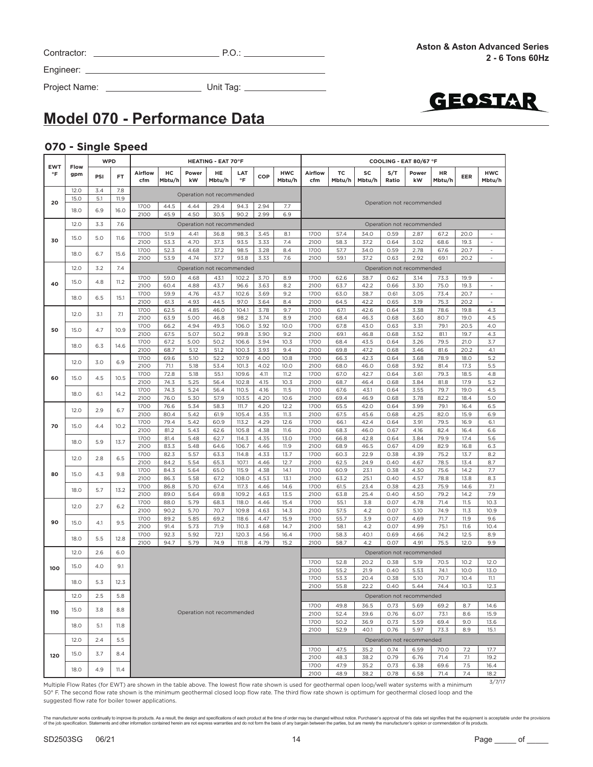Contractor: P.O.:

GEOSTAR

### Project Name: Unit Tag:

**Model 070 - Performance Data**

#### **070 - Single Speed**

Engineer:

| <b>WPD</b><br><b>EWT</b><br>Flow |      |     |           |                |              | <b>HEATING - EAT 70°F</b> |                           |                |              |                                                                                                                                                           |                |              |              | COOLING - EAT 80/67 °F |                           |              |              |                                       |
|----------------------------------|------|-----|-----------|----------------|--------------|---------------------------|---------------------------|----------------|--------------|-----------------------------------------------------------------------------------------------------------------------------------------------------------|----------------|--------------|--------------|------------------------|---------------------------|--------------|--------------|---------------------------------------|
| $\circ$ F                        | gpm  | PSI | <b>FT</b> | Airflow<br>cfm | HC<br>Mbtu/h | Power<br>kW               | HE<br>Mbtu/h              | LAT<br>°F      | COP          | <b>HWC</b><br>Mbtu/h                                                                                                                                      | Airflow<br>cfm | тc<br>Mbtu/h | SC<br>Mbtu/h | S/T<br>Ratio           | Power<br>kW               | HR<br>Mbtu/h | <b>EER</b>   | <b>HWC</b><br>Mbtu/h                  |
|                                  | 12.0 | 3.4 | 7.8       |                |              |                           | Operation not recommended |                |              |                                                                                                                                                           |                |              |              |                        |                           |              |              |                                       |
| 20                               | 15.0 | 5.1 | 11.9      |                |              |                           |                           |                |              |                                                                                                                                                           |                |              |              |                        | Operation not recommended |              |              |                                       |
|                                  | 18.0 | 6.9 | 16.0      | 1700<br>2100   | 44.5<br>45.9 | 4.44<br>4.50              | 29.4<br>30.5              | 94.3<br>90.2   | 2.94<br>2.99 | 7.7<br>6.9                                                                                                                                                |                |              |              |                        |                           |              |              |                                       |
|                                  | 12.0 |     |           |                |              |                           |                           |                |              |                                                                                                                                                           |                |              |              |                        |                           |              |              |                                       |
|                                  |      | 3.3 | 7.6       |                |              |                           | Operation not recommended |                |              |                                                                                                                                                           |                |              |              |                        | Operation not recommended |              |              |                                       |
| 30                               | 15.0 | 5.0 | 11.6      | 1700<br>2100   | 51.9<br>53.3 | 4.41<br>4.70              | 36.8<br>37.3              | 98.3<br>93.5   | 3.45<br>3.33 | 8.1<br>7.4                                                                                                                                                | 1700<br>2100   | 57.4<br>58.3 | 34.0<br>37.2 | 0.59<br>0.64           | 2.87<br>3.02              | 67.2<br>68.6 | 20.0<br>19.3 | $\bar{a}$<br>$\overline{\phantom{a}}$ |
|                                  |      |     |           | 1700           | 52.3         | 4.68                      | 37.2                      | 98.5           | 3.28         | 8.4                                                                                                                                                       | 1700           | 57.7         | 34.0         | 0.59                   | 2.78                      | 67.6         | 20.7         | $\blacksquare$                        |
|                                  | 18.0 | 6.7 | 15.6      | 2100           | 53.9         | 4.74                      | 37.7                      | 93.8           | 3.33         | 7.6                                                                                                                                                       | 2100           | 59.1         | 37.2         | 0.63                   | 2.92                      | 69.1         | 20.2         | $\bar{z}$                             |
|                                  | 12.0 | 3.2 | 7.4       |                |              |                           | Operation not recommended |                |              |                                                                                                                                                           |                |              |              |                        | Operation not recommended |              |              |                                       |
|                                  |      |     |           | 1700           | 59.0         | 4.68                      | 43.1                      | 102.2          | 3.70         | 8.9                                                                                                                                                       | 1700           | 62.6         | 38.7         | 0.62                   | 3.14                      | 73.3         | 19.9         | $\blacksquare$                        |
| 40                               | 15.0 | 4.8 | 11.2      | 2100           | 60.4         | 4.88                      | 43.7                      | 96.6           | 3.63         | 8.2                                                                                                                                                       | 2100           | 63.7         | 42.2         | 0.66                   | 3.30                      | 75.0         | 19.3         | $\Box$                                |
|                                  | 18.0 | 6.5 | 15.1      | 1700           | 59.9         | 4.76                      | 43.7                      | 102.6          | 3.69         | 9.2                                                                                                                                                       | 1700           | 63.0         | 38.7         | 0.61                   | 3.05                      | 73.4         | 20.7         | $\overline{\phantom{a}}$              |
|                                  |      |     |           | 2100           | 61.3         | 4.93                      | 44.5                      | 97.0           | 3.64         | 8.4                                                                                                                                                       | 2100           | 64.5         | 42.2         | 0.65                   | 3.19                      | 75.3         | 20.2         | $\overline{\phantom{a}}$              |
|                                  | 12.0 | 3.1 | 7.1       | 1700           | 62.5         | 4.85                      | 46.0                      | 104.1          | 3.78         | 9.7                                                                                                                                                       | 1700           | 67.1         | 42.6         | 0.64                   | 3.38                      | 78.6         | 19.8         | 4.3                                   |
|                                  |      |     |           | 2100<br>1700   | 63.9<br>66.2 | 5.00<br>4.94              | 46.8<br>49.3              | 98.2<br>106.0  | 3.74<br>3.92 | 8.9<br>10.0                                                                                                                                               | 2100<br>1700   | 68.4<br>67.8 | 46.3<br>43.0 | 0.68<br>0.63           | 3.60<br>3.31              | 80.7<br>79.1 | 19.0<br>20.5 | 4.5<br>4.0                            |
| 50                               | 15.0 | 4.7 | 10.9      | 2100           | 67.5         | 5.07                      | 50.2                      | 99.8           | 3.90         | 9.2                                                                                                                                                       | 2100           | 69.1         | 46.8         | 0.68                   | 3.52                      | 81.1         | 19.7         | 4.3                                   |
|                                  |      |     |           | 1700           | 67.2         | 5.00                      | 50.2                      | 106.6          | 3.94         | 10.3                                                                                                                                                      | 1700           | 68.4         | 43.5         | 0.64                   | 3.26                      | 79.5         | 21.0         | 3.7                                   |
|                                  | 18.0 | 6.3 | 14.6      | 2100           | 68.7         | 5.12                      | 51.2                      | 100.3          | 3.93         | 9.4                                                                                                                                                       | 2100           | 69.8         | 47.2         | 0.68                   | 3.46                      | 81.6         | 20.2         | 4.1                                   |
|                                  | 12.0 | 3.0 | 6.9       | 1700           | 69.6         | 5.10                      | 52.2                      | 107.9          | 4.00         | 10.8                                                                                                                                                      | 1700           | 66.3         | 42.3         | 0.64                   | 3.68                      | 78.9         | 18.0         | 5.2                                   |
|                                  |      |     |           | 2100           | 71.1         | 5.18                      | 53.4                      | 101.3          | 4.02         | 10.0                                                                                                                                                      | 2100           | 68.0         | 46.0         | 0.68                   | 3.92                      | 81.4         | 17.3         | 5.5                                   |
| 60                               | 15.0 | 4.5 | 10.5      | 1700           | 72.8         | 5.18                      | 55.1                      | 109.6          | 4.11         | 11.2                                                                                                                                                      | 1700           | 67.0         | 42.7         | 0.64                   | 3.61                      | 79.3         | 18.5         | 4.8                                   |
|                                  |      |     |           | 2100           | 74.3         | 5.25                      | 56.4                      | 102.8          | 4.15         | 10.3                                                                                                                                                      | 2100           | 68.7         | 46.4         | 0.68                   | 3.84                      | 81.8         | 17.9         | 5.2                                   |
|                                  | 18.0 | 6.1 | 14.2      | 1700<br>2100   | 74.3<br>76.0 | 5.24<br>5.30              | 56.4<br>57.9              | 110.5<br>103.5 | 4.16<br>4.20 | 11.5<br>10.6                                                                                                                                              | 1700<br>2100   | 67.6<br>69.4 | 43.1<br>46.9 | 0.64<br>0.68           | 3.55<br>3.78              | 79.7<br>82.2 | 19.0<br>18.4 | 4.5<br>5.0                            |
|                                  |      |     |           | 1700           | 76.6         | 5.34                      | 58.3                      | 111.7          | 4.20         | 12.2                                                                                                                                                      | 1700           | 65.5         | 42.0         | 0.64                   | 3.99                      | 79.1         | 16.4         | 6.5                                   |
| 70                               | 12.0 | 2.9 | 6.7       | 2100           | 80.4         | 5.42                      | 61.9                      | 105.4          | 4.35         | 11.3                                                                                                                                                      | 2100           | 67.5         | 45.6         | 0.68                   | 4.25                      | 82.0         | 15.9         | 6.9                                   |
|                                  | 15.0 | 4.4 | 10.2      | 1700           | 79.4         | 5.42                      | 60.9                      | 113.2          | 4.29         | 12.6                                                                                                                                                      | 1700           | 66.1         | 42.4         | 0.64                   | 3.91                      | 79.5         | 16.9         | 6.1                                   |
|                                  |      |     |           | 2100           | 81.2         | 5.43                      | 62.6                      | 105.8          | 4.38         | 11.6                                                                                                                                                      | 2100           | 68.3         | 46.0         | 0.67                   | 4.16                      | 82.4         | 16.4         | 6.6                                   |
|                                  | 18.0 | 5.9 | 13.7      | 1700           | 81.4         | 5.48                      | 62.7                      | 114.3          | 4.35         | 13.0                                                                                                                                                      | 1700           | 66.8         | 42.8         | 0.64                   | 3.84                      | 79.9         | 17.4         | 5.6                                   |
|                                  |      |     |           | 2100           | 83.3         | 5.48                      | 64.6                      | 106.7          | 4.46         | 11.9                                                                                                                                                      | 2100           | 68.9         | 46.5         | 0.67                   | 4.09                      | 82.9         | 16.8         | 6.3                                   |
|                                  | 12.0 | 2.8 | 6.5       | 1700<br>2100   | 82.3<br>84.2 | 5.57<br>5.54              | 63.3<br>65.3              | 114.8<br>107.1 | 4.33<br>4.46 | 13.7<br>12.7                                                                                                                                              | 1700<br>2100   | 60.3<br>62.5 | 22.9<br>24.9 | 0.38<br>0.40           | 4.39<br>4.67              | 75.2<br>78.5 | 13.7<br>13.4 | 8.2<br>8.7                            |
|                                  |      |     |           | 1700           | 84.3         | 5.64                      | 65.0                      | 115.9          | 4.38         | 14.1                                                                                                                                                      | 1700           | 60.9         | 23.1         | 0.38                   | 4.30                      | 75.6         | 14.2         | 7.7                                   |
| 80                               | 15.0 | 4.3 | 9.8       | 2100           | 86.3         | 5.58                      | 67.2                      | 108.0          | 4.53         | 13.1                                                                                                                                                      | 2100           | 63.2         | 25.1         | 0.40                   | 4.57                      | 78.8         | 13.8         | 8.3                                   |
|                                  |      |     |           | 1700           | 86.8         | 5.70                      | 67.4                      | 117.3          | 4.46         | 14.6                                                                                                                                                      | 1700           | 61.5         | 23.4         | 0.38                   | 4.23                      | 75.9         | 14.6         | 7.1                                   |
|                                  | 18.0 | 5.7 | 13.2      | 2100           | 89.0         | 5.64                      | 69.8                      | 109.2          | 4.63         | 13.5                                                                                                                                                      | 2100           | 63.8         | 25.4         | 0.40                   | 4.50                      | 79.2         | 14.2         | 7.9                                   |
|                                  | 12.0 | 2.7 | 6.2       | 1700           | 88.0         | 5.79                      | 68.3                      | 118.0          | 4.46         | 15.4                                                                                                                                                      | 1700           | 55.1         | 3.8          | 0.07                   | 4.78                      | 71.4         | 11.5         | 10.3                                  |
|                                  |      |     |           | 2100           | 90.2         | 5.70                      | 70.7                      | 109.8          | 4.63         | 14.3                                                                                                                                                      | 2100           | 57.5         | 4.2          | 0.07                   | 5.10                      | 74.9         | 11.3         | 10.9                                  |
| 90                               | 15.0 | 4.1 | 9.5       | 1700           | 89.2         | 5.85                      | 69.2                      | 118.6          | 4.47         | 15.9<br>14.7                                                                                                                                              | 1700           | 55.7         | 3.9<br>4.2   | 0.07<br>0.07           | 4.69<br>4.99              | 71.7         | 11.9         | 9.6                                   |
|                                  |      |     |           | 2100<br>1700   | 91.4<br>92.3 | 5.73<br>5.92              | 71.9<br>72.1              | 110.3<br>120.3 | 4.68<br>4.56 | 16.4                                                                                                                                                      | 2100<br>1700   | 58.1<br>58.3 | 40.1         | 0.69                   | 4.66                      | 75.1<br>74.2 | 11.6<br>12.5 | 10.4<br>8.9                           |
|                                  | 18.0 | 5.5 | 12.8      | 2100           | 94.7         | 5.79                      | 74.9                      | 111.8          | 4.79         | 15.2                                                                                                                                                      | 2100           | 58.7         | 4.2          | 0.07                   | 4.91                      | 75.5         | 12.0         | 9.9                                   |
|                                  | 12.0 | 2.6 | 6.0       |                |              |                           |                           |                |              |                                                                                                                                                           |                |              |              |                        | Operation not recommended |              |              |                                       |
|                                  |      |     |           |                |              |                           |                           |                |              |                                                                                                                                                           | 1700           | 52.8         | 20.2         | 0.38                   | 5.19                      | 70.5         | 10.2         | 12.0                                  |
| 100                              | 15.0 | 4.0 | 9.1       |                |              |                           |                           |                |              |                                                                                                                                                           | 2100           | 55.2         | 21.9         | 0.40                   | 5.53                      | 74.1         | 10.0         | 13.0                                  |
|                                  |      |     |           |                |              |                           |                           |                |              |                                                                                                                                                           | 1700           | 53.3         | 20.4         | 0.38                   | 5.10                      | 70.7         | 10.4         | 11.1                                  |
|                                  | 18.0 | 5.3 | 12.3      |                |              |                           |                           |                |              |                                                                                                                                                           | 2100           | 55.8         | 22.2         | 0.40                   | 5.44                      | 74.4         | 10.3         | 12.3                                  |
|                                  | 12.0 | 2.5 | 5.8       |                |              |                           |                           |                |              |                                                                                                                                                           |                |              |              |                        | Operation not recommended |              |              |                                       |
|                                  |      |     |           |                |              |                           |                           |                |              |                                                                                                                                                           | 1700           | 49.8         | 36.5         | 0.73                   | 5.69                      | 69.2         | 8.7          | 14.6                                  |
| 110                              | 15.0 | 3.8 | 8.8       |                |              |                           | Operation not recommended |                |              |                                                                                                                                                           | 2100           | 52.4         | 39.6         | 0.76                   | 6.07                      | 73.1         | 8.6          | 15.9                                  |
|                                  | 18.0 | 5.1 | 11.8      |                |              |                           |                           |                |              |                                                                                                                                                           | 1700           | 50.2         | 36.9         | 0.73                   | 5.59                      | 69.4         | 9.0          | 13.6                                  |
|                                  |      |     |           |                |              |                           |                           |                |              |                                                                                                                                                           | 2100           | 52.9         | 40.1         | 0.76                   | 5.97                      | 73.3         | 8.9          | 15.1                                  |
|                                  | 12.0 | 2.4 | 5.5       |                |              |                           |                           |                |              |                                                                                                                                                           |                |              |              |                        | Operation not recommended |              |              |                                       |
|                                  | 15.0 | 3.7 | 8.4       |                |              |                           |                           |                |              |                                                                                                                                                           | 1700           | 47.5         | 35.2         | 0.74                   | 6.59                      | 70.0         | 7.2          | 17.7                                  |
| 120                              |      |     |           |                |              |                           |                           |                |              |                                                                                                                                                           | 2100           | 48.3         | 38.2         | 0.79                   | 6.76                      | 71.4         | 7.1          | 19.2                                  |
|                                  | 18.0 | 4.9 | 11.4      |                |              |                           |                           |                |              |                                                                                                                                                           | 1700           | 47.9         | 35.2         | 0.73                   | 6.38                      | 69.6         | 7.5          | 16.4                                  |
|                                  |      |     |           |                |              |                           |                           |                |              | Multiple Flow Rates (for EWT) are shown in the table above. The lowest flow rate shown is used for geothermal open loop/well water systems with a minimum | 2100           | 48.9         | 38.2         | 0.78                   | 6.58                      | 71.4         | 7.4          | 18.2<br>3/7/17                        |

Multiple Flow Rates (for EWT) are shown in the table above. The lowest flow rate shown is used for geothermal open loop/well water systems with a minimum 50° F. The second flow rate shown is the minimum geothermal closed loop flow rate. The third flow rate shown is optimum for geothermal closed loop and the suggested flow rate for boiler tower applications.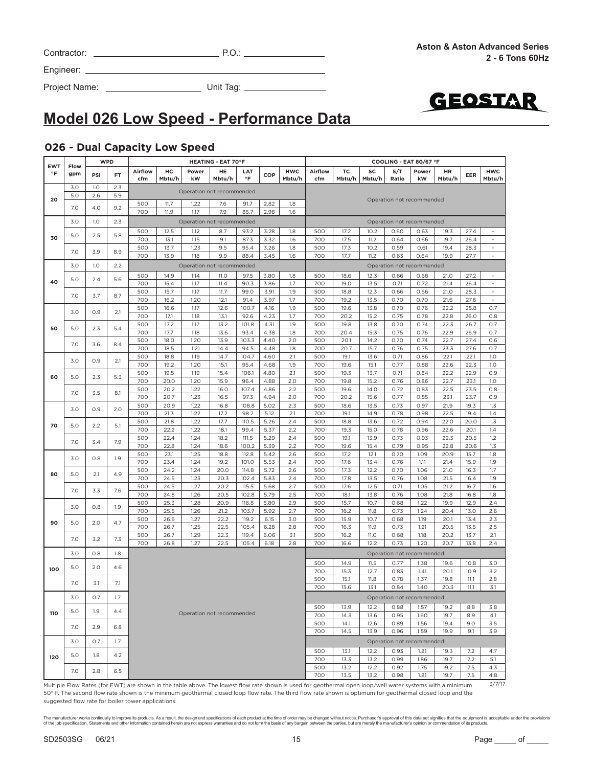| Contractor: |  |
|-------------|--|
|-------------|--|

Project Name: Unit Tag:



## **Model 026 Low Speed - Performance Data**

#### **026 - Dual Capacity Low Speed**

| <b>EWT</b><br>$\circ$ F | Flow       | <b>WPD</b><br><b>HEATING - EAT 70°F</b> |            |            |              |                           |              |                | COOLING - EAT 80/67 °F |            |            |              |              |              |                           |                                                                                                                                                           |              |                                    |
|-------------------------|------------|-----------------------------------------|------------|------------|--------------|---------------------------|--------------|----------------|------------------------|------------|------------|--------------|--------------|--------------|---------------------------|-----------------------------------------------------------------------------------------------------------------------------------------------------------|--------------|------------------------------------|
|                         | gpm        | PSI                                     | FT.        | Airflow    | нc           | Power                     | HE           | LAT            | COP                    | <b>HWC</b> | Airflow    | TC           | SC           | S/T          | Power                     | HR                                                                                                                                                        | EER          | <b>HWC</b>                         |
|                         |            |                                         |            | cfm        | Mbtu/h       | kW                        | Mbtu/h       | °F             |                        | Mbtu/h     | cfm        | Mbtu/h       | Mbtu/h       | Ratio        | kW                        | Mbtu/h                                                                                                                                                    |              | Mbtu/h                             |
|                         | 3.0<br>5.0 | 1.0<br>2.6                              | 2.3<br>5.9 |            |              | Operation not recommended |              |                |                        |            |            |              |              |              |                           |                                                                                                                                                           |              |                                    |
| 20                      |            |                                         |            | 500        | 11.7         | 1.22                      | 7.6          | 91.7           | 2.82                   | 1.8        |            |              |              |              | Operation not recommended |                                                                                                                                                           |              |                                    |
|                         | 7.0        | 4.0                                     | 9.2        | 700        | 11.9         | 1.17                      | 7.9          | 85.7           | 2.98                   | 1.6        |            |              |              |              |                           |                                                                                                                                                           |              |                                    |
|                         | 3.0        | 1.0                                     | 2.3        |            |              | Operation not recommended |              |                |                        |            |            |              |              |              | Operation not recommended |                                                                                                                                                           |              |                                    |
|                         |            |                                         |            | 500        | 12.5         | 1.12                      | 8.7          | 93.2           | 3.28                   | 1.8        | 500        | 17.2         | 10.2         | 0.60         | 0.63                      | 19.3                                                                                                                                                      | 27.4         | $\overline{\phantom{a}}$           |
| 30                      | 5.0        | 2.5                                     | 5.8        | 700        | 13.1         | 1.15                      | 9.1          | 87.3           | 3.32                   | 1.6        | 700        | 17.5         | 11.2         | 0.64         | 0.66                      | 19.7                                                                                                                                                      | 26.4         |                                    |
|                         | 7.0        | 3.9                                     | 8.9        | 500        | 13.7         | 1.23                      | 9.5          | 95.4           | 3.26                   | 1.8        | 500        | 17.3         | 10.2         | 0.59         | 0.61                      | 19.4                                                                                                                                                      | 28.3         | $\omega$                           |
|                         |            |                                         |            | 700        | 13.9         | 1.18                      | 9.9          | 88.4           | 3.45                   | 1.6        | 700        | 17.7         | 11.2         | 0.63         | 0.64                      | 19.9                                                                                                                                                      | 27.7         | $\overline{\phantom{a}}$           |
|                         | 3.0        | 1.0                                     | 2.2        |            |              | Operation not recommended |              |                |                        |            |            |              |              |              | Operation not recommended |                                                                                                                                                           |              |                                    |
|                         | 5.0        | 2.4                                     | 5.6        | 500        | 14.9         | 1.14                      | 11.0         | 97.5           | 3.80                   | 1.8        | 500        | 18.6         | 12.3         | 0.66         | 0.68                      | 21.0                                                                                                                                                      | 27.2         | $\sim$                             |
| 40                      |            |                                         |            | 700        | 15.4         | 1.17                      | 11.4         | 90.3           | 3.86                   | 1.7        | 700        | 19.0         | 13.5         | 0.71         | 0.72                      | 21.4                                                                                                                                                      | 26.4         | $\overline{\phantom{a}}$           |
|                         | 7.0        | 3.7                                     | 8.7        | 500<br>700 | 15.7<br>16.2 | 1.17<br>1.20              | 11.7<br>12.1 | 99.0<br>91.4   | 3.91<br>3.97           | 1.9<br>1.7 | 500<br>700 | 18.8<br>19.2 | 12.3<br>13.5 | 0.66<br>0.70 | 0.66<br>0.70              | 21.0<br>21.6                                                                                                                                              | 28.3<br>27.6 | $\overline{\phantom{a}}$<br>$\sim$ |
|                         |            |                                         |            | 500        | 16.6         | 1.17                      | 12.6         | 100.7          | 4.16                   | 1.9        | 500        | 19.6         | 13.8         | 0.70         | 0.76                      | 22.2                                                                                                                                                      | 25.8         | 0.7                                |
|                         | 3.0        | 0.9                                     | 2.1        | 700        | 17.1         | 1.18                      | 13.1         | 92.6           | 4.23                   | 1.7        | 700        | 20.2         | 15.2         | 0.75         | 0.78                      | 22.8                                                                                                                                                      | 26.0         | 0.8                                |
|                         |            |                                         |            | 500        | 17.2         | 1.17                      | 13.2         | 101.8          | 4.31                   | 1.9        | 500        | 19.8         | 13.8         | 0.70         | 0.74                      | 22.3                                                                                                                                                      | 26.7         | 0.7                                |
| 50                      | 5.0        | 2.3                                     | 5.4        | 700        | 17.7         | 1.18                      | 13.6         | 93.4           | 4.38                   | 1.8        | 700        | 20.4         | 15.3         | 0.75         | 0.76                      | 22.9                                                                                                                                                      | 26.9         | O.7                                |
|                         | 7.0        | 3.6                                     | 8.4        | 500        | 18.0         | 1.20                      | 13.9         | 103.3          | 4.40                   | 2.0        | 500        | 20.1         | 14.2         | 0.70         | 0.74                      | 22.7                                                                                                                                                      | 27.4         | 0.6                                |
|                         |            |                                         |            | 700        | 18.5         | 1.21                      | 14.4         | 94.5           | 4.48                   | 1.8        | 700        | 20.7         | 15.7         | 0.76         | 0.75                      | 23.3                                                                                                                                                      | 27.6         | 0.7                                |
|                         | 3.0        | 0.9                                     | 2.1        | 500        | 18.8         | 1.19                      | 14.7         | 104.7          | 4.60                   | 2.1        | 500        | 19.1         | 13.6         | 0.71         | 0.86                      | 22.1                                                                                                                                                      | 22.1         | 1.0                                |
|                         |            |                                         |            | 700        | 19.2<br>19.5 | 1.20                      | 15.1<br>15.4 | 95.4           | 4.68                   | 1.9<br>2.1 | 700        | 19.6<br>19.3 | 15.1<br>13.7 | 0.77<br>0.71 | 0.88<br>0.84              | 22.6                                                                                                                                                      | 22.3         | 1.0<br>0.9                         |
| 60                      | 5.0        | 2.3                                     | 5.3        | 500<br>700 | 20.0         | 1.19<br>1.20              | 15.9         | 106.1<br>96.4  | 4.80<br>4.88           | 2.0        | 500<br>700 | 19.8         | 15.2         | 0.76         | 0.86                      | 22.2<br>22.7                                                                                                                                              | 22.9<br>23.1 | 1.0                                |
|                         |            |                                         |            | 500        | 20.2         | 1.22                      | 16.0         | 107.4          | 4.86                   | 2.2        | 500        | 19.6         | 14.0         | 0.72         | 0.83                      | 22.5                                                                                                                                                      | 23.5         | 0.8                                |
|                         | 7.0        | 3.5                                     | 8.1        | 700        | 20.7         | 1.23                      | 16.5         | 97.3           | 4.94                   | 2.0        | 700        | 20.2         | 15.6         | 0.77         | 0.85                      | 23.1                                                                                                                                                      | 23.7         | 0.9                                |
|                         |            |                                         |            | 500        | 20.9         | 1.22                      | 16.8         | 108.8          | 5.02                   | 2.3        | 500        | 18.6         | 13.5         | 0.73         | 0.97                      | 21.9                                                                                                                                                      | 19.3         | 1.3                                |
|                         | 3.0        | 0.9                                     | 2.0        | 700        | 21.3         | 1.22                      | 17.2         | 98.2           | 5.12                   | 2.1        | 700        | 19.1         | 14.9         | 0.78         | 0.98                      | 22.5                                                                                                                                                      | 19.4         | 1.4                                |
| 70                      | 5.0        | 2.2                                     | 5.1        | 500        | 21.8         | 1.22                      | 17.7         | 110.5          | 5.26                   | 2.4        | 500        | 18.8         | 13.6         | 0.72         | 0.94                      | 22.0                                                                                                                                                      | 20.0         | 1.3                                |
|                         |            |                                         |            | 700        | 22.2         | 1.22                      | 18.1         | 99.4           | 5.37                   | 2.2        | 700        | 19.3         | 15.0         | 0.78         | 0.96                      | 22.6                                                                                                                                                      | 20.1         | 1.4                                |
|                         | 7.0        | 3.4                                     | 7.9        | 500        | 22.4         | 1.24                      | 18.2         | 111.5          | 5.29                   | 2.4        | 500        | 19.1         | 13.9         | 0.73         | 0.93                      | 22.3                                                                                                                                                      | 20.5         | 1.2                                |
|                         |            |                                         |            | 700        | 22.8         | 1.24                      | 18.6         | 100.2          | 5.39                   | 2.2        | 700        | 19.6         | 15.4         | 0.79         | 0.95                      | 22.8                                                                                                                                                      | 20.6         | 1.3<br>1.8                         |
|                         | 3.0        | 0.8                                     | 1.9        | 500<br>700 | 23.1<br>23.4 | 1.25<br>1.24              | 18.8<br>19.2 | 112.8<br>101.0 | 5.42<br>5.53           | 2.6<br>2.4 | 500<br>700 | 17.2<br>17.6 | 12.1<br>13.4 | 0.70<br>0.76 | 1.09<br>1.11              | 20.9<br>21.4                                                                                                                                              | 15.7<br>15.9 | 1.9                                |
|                         |            |                                         |            | 500        | 24.2         | 1.24                      | 20.0         | 114.8          | 5.72                   | 2.6        | 500        | 17.3         | 12.2         | 0.70         | 1.06                      | 21.0                                                                                                                                                      | 16.3         | 1.7                                |
| 80                      | 5.0        | 2.1                                     | 4.9        | 700        | 24.5         | 1.23                      | 20.3         | 102.4          | 5.83                   | 2.4        | 700        | 17.8         | 13.5         | 0.76         | 1.08                      | 21.5                                                                                                                                                      | 16.4         | 1.9                                |
|                         | 7.0        | 3.3                                     | 7.6        | 500        | 24.5         | 1.27                      | 20.2         | 115.5          | 5.68                   | 2.7        | 500        | 17.6         | 12.5         | 0.71         | 1.05                      | 21.2                                                                                                                                                      | 16.7         | 1.6                                |
|                         |            |                                         |            | 700        | 24.8         | 1.26                      | 20.5         | 102.8          | 5.79                   | 2.5        | 700        | 18.1         | 13.8         | 0.76         | 1.08                      | 21.8                                                                                                                                                      | 16.8         | 1.8                                |
|                         | 3.0        | 0.8                                     | 1.9        | 500        | 25.3         | 1.28                      | 20.9         | 116.8          | 5.80                   | 2.9        | 500        | 15.7         | 10.7         | 0.68         | 1.22                      | 19.9                                                                                                                                                      | 12.9         | 2.4                                |
|                         |            |                                         |            | 700        | 25.5         | 1.26                      | 21.2         | 103.7          | 5.92                   | 2.7        | 700        | 16.2         | 11.8         | 0.73         | 1.24                      | 20.4                                                                                                                                                      | 13.0         | 2.6                                |
| 90                      | 5.0        | 2.0                                     | 4.7        | 500<br>700 | 26.6<br>26.7 | 1.27<br>1.25              | 22.2<br>22.5 | 119.2          | 6.15<br>6.28           | 3.0<br>2.8 | 500<br>700 | 15.9<br>16.3 | 10.7<br>11.9 | 0.68<br>0.73 | 1.19<br>1.21              | 20.1<br>20.5                                                                                                                                              | 13.4<br>13.5 | 2.3<br>2.5                         |
|                         |            |                                         |            | 500        | 26.7         | 1.29                      | 22.3         | 105.4<br>119.4 | 6.06                   | 3.1        | 500        | 16.2         | <b>11.0</b>  | 0.68         | 1.18                      | 20.2                                                                                                                                                      | 13.7         | 2.1                                |
|                         | 7.0        | 3.2                                     | 7.3        | 700        | 26.8         | 1.27                      | 22.5         | 105.4          | 6.18                   | 2.8        | 700        | 16.6         | 12.2         | 0.73         | 1.20                      | 20.7                                                                                                                                                      | 13.8         | 2.4                                |
|                         | 3.0        | 0.8                                     | 1.8        |            |              |                           |              |                |                        |            |            |              |              |              | Operation not recommended |                                                                                                                                                           |              |                                    |
|                         |            |                                         |            |            |              |                           |              |                |                        |            | 500        | 14.9         | 11.5         | 0.77         | 1.38                      | 19.6                                                                                                                                                      | 10.8         | 3.0                                |
| 100                     | 5.0        | 2.0                                     | 4.6        |            |              |                           |              |                |                        |            | 700        | 15.3         | 12.7         | 0.83         | 1.41                      | 20.1                                                                                                                                                      | 10.9         | 3.2                                |
|                         |            |                                         |            |            |              |                           |              |                |                        |            | 500        | 15.1         | 11.8         | 0.78         | 1.37                      | 19.8                                                                                                                                                      | 11.1         | 2.8                                |
|                         | 7.0        | 3.1                                     | 7.1        |            |              |                           |              |                |                        |            | 700        | 15.6         | 13.1         | 0.84         | 1.40                      | 20.3                                                                                                                                                      | 11.1         | 3.1                                |
|                         | 3.0        | 0.7                                     | 1.7        |            |              |                           |              |                |                        |            |            |              |              |              | Operation not recommended |                                                                                                                                                           |              |                                    |
|                         |            |                                         |            |            |              |                           |              |                |                        |            | 500        | 13.9         | 12.2         | 0.88         | 1.57                      | 19.2                                                                                                                                                      | 8.8          | 3.8                                |
| 110                     | 5.0        | 1.9                                     | 4.4        |            |              | Operation not recommended |              |                |                        |            | 700        | 14.3         | 13.6         | 0.95         | 1.60                      | 19.7                                                                                                                                                      | 8.9          | 4.1                                |
|                         | 7.0        | 2.9                                     | 6.8        |            |              |                           |              |                |                        |            | 500        | 14.1         | 12.6         | 0.89         | 1.56                      | 19.4                                                                                                                                                      | 9.0          | 3.5                                |
|                         |            |                                         |            |            |              |                           |              |                |                        |            | 700        | 14.5         | 13.9         | 0.96         | 1.59                      | 19.9                                                                                                                                                      | 9.1          | 3.9                                |
|                         | 3.0        | 0.7                                     | 1.7        |            |              |                           |              |                |                        |            |            |              |              |              | Operation not recommended |                                                                                                                                                           |              |                                    |
|                         |            |                                         |            |            |              |                           |              |                |                        |            | 500        | 13.1         | 12.2         | 0.93         | 1.81                      | 19.3                                                                                                                                                      | 7.2          | 4.7                                |
| 120                     | 5.0        | 1.8                                     | 4.2        |            |              |                           |              |                |                        |            | 700        | 13.3         | 13.2         | 0.99         | 1.86                      | 19.7                                                                                                                                                      | 7.2          | 5.1                                |
|                         | 7.0        | 2.8                                     | 6.5        |            |              |                           |              |                |                        |            | 500        | 13.2         | 12.2         | 0.92         | 1.75                      | 19.2                                                                                                                                                      | 7.5          | 4.3                                |
|                         |            |                                         |            |            |              |                           |              |                |                        |            | 700        | 13.5         | 13.2         | 0.98         | 1.81                      | 19.7                                                                                                                                                      | 7.5          | 4.8                                |
|                         |            |                                         |            |            |              |                           |              |                |                        |            |            |              |              |              |                           | Multiple Flow Rates (for FWT) are shown in the table above. The lowest flow rate shown is used for geothermal open loop/well water systems with a minimum |              | 3/7/17                             |

Multiple Flow Rates (for EWT) are shown in the table above. The lowest flow rate shown is used for geothermal open loop/well water systems with a minimum 50° F. The second flow rate shown is the minimum geothermal closed loop flow rate. The third flow rate shown is optimum for geothermal closed loop and the suggested flow rate for boiler tower applications.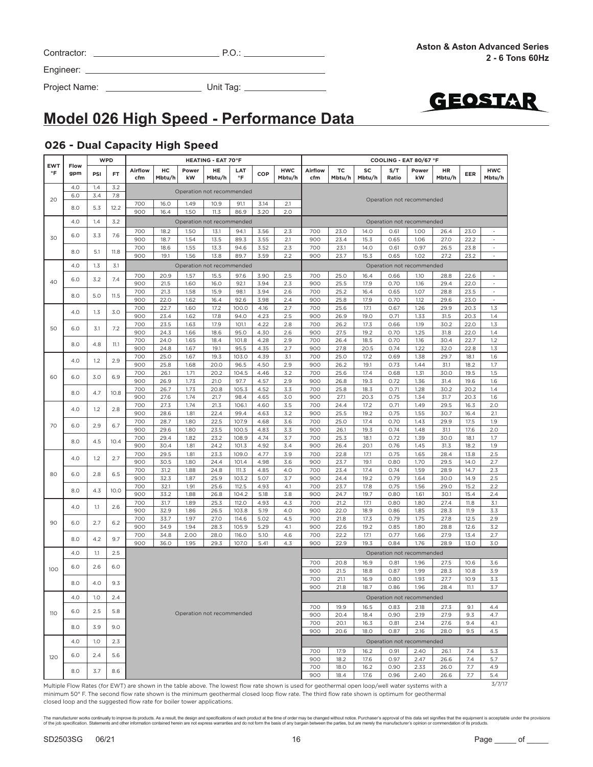| Contractor: | $P.O$ |
|-------------|-------|
|             |       |

Project Name: Unit Tag:



# **Model 026 High Speed - Performance Data**

#### **026 - Dual Capacity High Speed**

|                         |             |                             | <b>WPD</b>  |                                                                      |              |                           | <b>HEATING - EAT 70°F</b> |                  |              |                      |                |              |              | COOLING - EAT 80/67 °F    |              |              |              |                                |
|-------------------------|-------------|-----------------------------|-------------|----------------------------------------------------------------------|--------------|---------------------------|---------------------------|------------------|--------------|----------------------|----------------|--------------|--------------|---------------------------|--------------|--------------|--------------|--------------------------------|
| <b>EWT</b><br>$\circ$ F | Flow<br>gpm | PSI                         | <b>FT</b>   | Airflow<br>cfm                                                       | нc<br>Mbtu/h | Power<br>kW               | HE<br>Mbtu/h              | LAT<br>$\circ$ F | COP          | <b>HWC</b><br>Mbtu/h | Airflow<br>cfm | TC<br>Mbtu/h | SC<br>Mbtu/h | S/T<br>Ratio              | Power<br>kW  | HR<br>Mbtu/h | EER          | <b>HWC</b><br>Mbtu/h           |
|                         | 4.0         | 1.4                         | 3.2         |                                                                      |              | Operation not recommended |                           |                  |              |                      |                |              |              |                           |              |              |              |                                |
| 20                      | 6.0<br>8.0  | 3.4<br>5.3                  | 7.8<br>12.2 | 700                                                                  | 16.0         | 1.49                      | 10.9                      | 91.1             | 3.14         | 2.1                  |                |              |              | Operation not recommended |              |              |              |                                |
|                         |             |                             |             | 900                                                                  | 16.4         | 1.50                      | 11.3                      | 86.9             | 3.20         | 2.0                  |                |              |              |                           |              |              |              |                                |
|                         | 4.0         | 1.4                         | 3.2         |                                                                      |              | Operation not recommended |                           |                  |              |                      |                |              |              | Operation not recommended |              |              |              |                                |
| 30                      | 6.0         | 3.3                         | 7.6         | 700<br>900                                                           | 18.2<br>18.7 | 1.50<br>1.54              | 13.1<br>13.5              | 94.1<br>89.3     | 3.56<br>3.55 | 2.3<br>2.1           | 700<br>900     | 23.0<br>23.4 | 14.0<br>15.3 | 0.61<br>0.65              | 1.00<br>1.06 | 26.4<br>27.0 | 23.0<br>22.2 | $\overline{\phantom{a}}$<br>÷, |
|                         | 8.0         |                             | 11.8        | 700                                                                  | 18.6         | 1.55                      | 13.3                      | 94.6             | 3.52         | 2.3                  | 700            | 23.1         | 14.0         | 0.61                      | 0.97         | 26.5         | 23.8         | $\omega$                       |
|                         |             | 5.1                         |             | 900                                                                  | 19.1         | 1.56                      | 13.8                      | 89.7             | 3.59         | 2.2                  | 900            | 23.7         | 15.3         | 0.65                      | 1.02         | 27.2         | 23.2         | $\overline{\phantom{a}}$       |
|                         | 4.0         | 1.3                         | 3.1         |                                                                      |              | Operation not recommended |                           |                  |              |                      |                |              |              | Operation not recommended |              |              |              |                                |
| 40                      | 6.0         | 3.2                         | 7.4         | 700                                                                  | 20.9         | 1.57                      | 15.5                      | 97.6             | 3.90         | 2.5                  | 700            | 25.0         | 16.4         | 0.66                      | 1.10         | 28.8         | 22.6         | $\sim$                         |
|                         |             |                             |             | 900<br>700                                                           | 21.5<br>21.3 | 1.60<br>1.58              | 16.0<br>15.9              | 92.1<br>98.1     | 3.94<br>3.94 | 2.3<br>2.6           | 900<br>700     | 25.5<br>25.2 | 17.9<br>16.4 | 0.70<br>0.65              | 1.16<br>1.07 | 29.4<br>28.8 | 22.0<br>23.5 | $\blacksquare$                 |
|                         | 8.0         | 5.0                         | 11.5        | 900                                                                  | 22.0         | 1.62                      | 16.4                      | 92.6             | 3.98         | 2.4                  | 900            | 25.8         | 17.9         | 0.70                      | 1.12         | 29.6         | 23.0         | $\overline{\phantom{a}}$       |
|                         | 4.0         | 1.3                         | 3.0         | 700                                                                  | 22.7         | 1.60                      | 17.2                      | 100.0            | 4.16         | 2.7                  | 700            | 25.6         | 17.1         | 0.67                      | 1.26         | 29.9         | 20.3         | 1.3                            |
|                         |             |                             |             | 900<br>700                                                           | 23.4         | 1.62<br>1.63              | 17.8<br>17.9              | 94.0<br>101.1    | 4.23         | 2.5<br>2.8           | 900<br>700     | 26.9<br>26.2 | 19.0<br>17.3 | 0.71                      | 1.33<br>1.19 | 31.5         | 20.3<br>22.0 | 1.4<br>1.3                     |
| 50                      | 6.0         | 3.1                         | 7.2         | 900                                                                  | 23.5<br>24.3 | 1.66                      | 18.6                      | 95.0             | 4.22<br>4.30 | 2.6                  | 900            | 27.5         | 19.2         | 0.66<br>0.70              | 1.25         | 30.2<br>31.8 | 22.0         | 1.4                            |
|                         | 8.0         | 4.8                         | 11.1        | 700                                                                  | 24.0         | 1.65                      | 18.4                      | 101.8            | 4.28         | 2.9                  | 700            | 26.4         | 18.5         | 0.70                      | 1.16         | 30.4         | 22.7         | 1.2                            |
|                         |             |                             |             | 900                                                                  | 24.8         | 1.67                      | 19.1                      | 95.5             | 4.35         | 2.7                  | 900            | 27.8         | 20.5         | 0.74                      | 1.22         | 32.0         | 22.8         | 1.3                            |
|                         | 4.0         | 1.2                         | 2.9         | 700<br>900                                                           | 25.0<br>25.8 | 1.67<br>1.68              | 19.3<br>20.0              | 103.0<br>96.5    | 4.39<br>4.50 | 3.1<br>2.9           | 700<br>900     | 25.0<br>26.2 | 17.2<br>19.1 | 0.69<br>0.73              | 1.38<br>1.44 | 29.7<br>31.1 | 18.1<br>18.2 | 1.6<br>1.7                     |
|                         |             |                             |             | 700                                                                  | 26.1         | 1.71                      | 20.2                      | 104.5            | 4.46         | 3.2                  | 700            | 25.6         | 17.4         | 0.68                      | 1.31         | 30.0         | 19.5         | 1.5                            |
| 60                      | 6.0         | 3.0                         | 6.9         | 900                                                                  | 26.9         | 1.73                      | 21.0                      | 97.7             | 4.57         | 2.9                  | 900            | 26.8         | 19.3         | 0.72                      | 1.36         | 31.4         | 19.6         | 1.6                            |
|                         | 8.0         | 4.7                         | 10.8        | 700                                                                  | 26.7         | 1.73                      | 20.8                      | 105.3            | 4.52         | 3.3                  | 700            | 25.8         | 18.3         | 0.71                      | 1.28         | 30.2         | 20.2         | 1.4                            |
|                         |             |                             |             | 900<br>700                                                           | 27.6<br>27.3 | 1.74<br>1.74              | 21.7<br>21.3              | 98.4<br>106.1    | 4.65<br>4.60 | 3.0<br>3.5           | 900<br>700     | 27.1<br>24.4 | 20.3<br>17.2 | 0.75<br>0.71              | 1.34<br>1.49 | 31.7<br>29.5 | 20.3<br>16.3 | 1.6<br>2.0                     |
| 70                      | 4.0         | 1.2                         | 2.8         | 900                                                                  | 28.6         | 1.81                      | 22.4                      | 99.4             | 4.63         | 3.2                  | 900            | 25.5         | 19.2         | 0.75                      | 1.55         | 30.7         | 16.4         | 2.1                            |
|                         | 6.0         | 2.9                         | 6.7         | 700                                                                  | 28.7         | 1.80                      | 22.5                      | 107.9            | 4.68         | 3.6                  | 700            | 25.0         | 17.4         | 0.70                      | 1.43         | 29.9         | 17.5         | 1.9                            |
|                         |             |                             |             | 900                                                                  | 29.6         | 1.80                      | 23.5                      | 100.5            | 4.83         | 3.3                  | 900            | 26.1         | 19.3         | 0.74                      | 1.48         | 31.1         | 17.6         | 2.0                            |
|                         | 8.0         | 4.5                         | 10.4        | 700<br>900                                                           | 29.4<br>30.4 | 1.82<br>1.81              | 23.2<br>24.2              | 108.9<br>101.3   | 4.74<br>4.92 | 3.7<br>3.4           | 700<br>900     | 25.3<br>26.4 | 18.1<br>20.1 | 0.72<br>0.76              | 1.39<br>1.45 | 30.0<br>31.3 | 18.1<br>18.2 | 1.7<br>1.9                     |
|                         |             |                             |             | 700                                                                  | 29.5         | 1.81                      | 23.3                      | 109.0            | 4.77         | 3.9                  | 700            | 22.8         | 17.1         | 0.75                      | 1.65         | 28.4         | 13.8         | 2.5                            |
|                         | 4.0         | 1.2                         | 2.7         | 900                                                                  | 30.5         | 1.80                      | 24.4                      | 101.4            | 4.98         | 3.6                  | 900            | 23.7         | 19.1         | 0.80                      | 1.70         | 29.5         | 14.0         | 2.7                            |
| 80                      | 6.0         | 2.8                         | 6.5         | 700                                                                  | 31.2         | 1.88                      | 24.8                      | 111.3            | 4.85         | 4.0                  | 700            | 23.4         | 17.4         | 0.74                      | 1.59         | 28.9         | 14.7         | 2.3                            |
|                         |             |                             |             | 900<br>700                                                           | 32.3<br>32.1 | 1.87<br>1.91              | 25.9<br>25.6              | 103.2<br>112.5   | 5.07<br>4.93 | 3.7<br>4.1           | 900<br>700     | 24.4<br>23.7 | 19.2<br>17.8 | 0.79<br>0.75              | 1.64<br>1.56 | 30.0<br>29.0 | 14.9<br>15.2 | 2.5<br>2.2                     |
|                         | 8.0         | 4.3                         | 10.0        | 900                                                                  | 33.2         | 1.88                      | 26.8                      | 104.2            | 5.18         | 3.8                  | 900            | 24.7         | 19.7         | 0.80                      | 1.61         | 30.1         | 15.4         | 2.4                            |
|                         | 4.0         | 1.1                         | 2.6         | 700                                                                  | 31.7         | 1.89                      | 25.3                      | 112.0            | 4.93         | 4.3                  | 700            | 21.2         | 17.1         | 0.80                      | 1.80         | 27.4         | 11.8         | 3.1                            |
|                         |             |                             |             | 900                                                                  | 32.9         | 1.86                      | 26.5                      | 103.8            | 5.19         | 4.0                  | 900            | 22.0         | 18.9         | 0.86                      | 1.85         | 28.3         | 11.9         | 3.3                            |
| 90                      | 6.0         | 2.7                         | 6.2         | 700<br>900                                                           | 33.7<br>34.9 | 1.97<br>1.94              | 27.0<br>28.3              | 114.6<br>105.9   | 5.02<br>5.29 | 4.5<br>4.1           | 700<br>900     | 21.8<br>22.6 | 17.3<br>19.2 | 0.79<br>0.85              | 1.75<br>1.80 | 27.8<br>28.8 | 12.5<br>12.6 | 2.9<br>3.2                     |
|                         |             |                             |             | 700                                                                  | 34.8         | 2.00                      | 28.0                      | 116.0            | 5.10         | 4.6                  | 700            | 22.2         | 17.1         | 0.77                      | 1.66         | 27.9         | 13.4         | 2.7                            |
|                         | 8.0         | 4.2                         | 9.7         | 900                                                                  | 36.0         | 1.95                      | 29.3                      | 107.0            | 5.41         | 4.3                  | 900            | 22.9         | 19.3         | 0.84                      | 1.76         | 28.9         | 13.0         | 3.0                            |
|                         | 4.0         | 1.1                         | 2.5         |                                                                      |              |                           |                           |                  |              |                      |                |              |              | Operation not recommended |              |              |              |                                |
| 100                     | 6.0         | 2.6                         | 6.0         |                                                                      |              |                           |                           |                  |              |                      | 700            | 20.8         | 16.9         | 0.81                      | 1.96         | 27.5         | 10.6         | 3.6                            |
|                         |             |                             |             |                                                                      |              |                           |                           |                  |              |                      | 900<br>700     | 21.5<br>21.1 | 18.8         | 0.87<br>0.80              | 1.99<br>1.93 | 28.3<br>27.7 | 10.8<br>10.9 | 3.9<br>3.3                     |
|                         | 8.0         | 4.0                         | 9.3         |                                                                      |              |                           |                           |                  |              |                      | 900            | 21.8         | 16.9<br>18.7 | 0.86                      | 1.96         | 28.4         | 11.1         | 3.7                            |
|                         | 4.0         | 1.0                         | 2.4         |                                                                      |              |                           |                           |                  |              |                      |                |              |              | Operation not recommended |              |              |              |                                |
|                         | 6.0         | 2.5                         | 5.8         |                                                                      |              |                           |                           |                  |              |                      | 700            | 19.9         | 16.5         | 0.83                      | 2.18         | 27.3         | 9.1          | 4.4                            |
| 110                     |             |                             |             |                                                                      |              | Operation not recommended |                           |                  |              |                      | 900            | 20.4         | 18.4         | 0.90                      | 2.19         | 27.9         | 9.3          | 4.7                            |
|                         | 8.0         | 3.9                         | 9.0         |                                                                      |              |                           |                           |                  |              |                      | 700<br>900     | 20.1<br>20.6 | 16.3<br>18.0 | 0.81<br>0.87              | 2.14<br>2.16 | 27.6<br>28.0 | 9.4<br>9.5   | 4.1<br>4.5                     |
|                         | 4.0         | 1.0                         | 2.3         |                                                                      |              |                           |                           |                  |              |                      |                |              |              | Operation not recommended |              |              |              |                                |
|                         |             |                             |             |                                                                      |              |                           |                           |                  |              |                      | 700            | 17.9         | 16.2         | 0.91                      | 2.40         | 26.1         | 7.4          | 5.3                            |
| 120                     | 6.0         | 2.4                         | 5.6         |                                                                      |              |                           |                           |                  |              |                      | 900            | 18.2         | 17.6         | 0.97                      | 2.47         | 26.6         | 7.4          | 5.7                            |
|                         | 8.0         | 3.7                         | 8.6         |                                                                      |              |                           |                           |                  |              |                      | 700            | 18.0         | 16.2         | 0.90                      | 2.33         | 26.0         | 7.7          | 4.9                            |
| $M_{11}$                | Flor.       | $D2$ $\leftrightarrow$ $C1$ |             | $\epsilon$ $\Gamma$ WT) are choun in the table above. The lowest fle |              |                           |                           |                  |              |                      | 900            | 18.4         | 17.6         | 0.96                      | 2.40         | 26.6         | 7.7          | 5.4<br>3/7/17                  |

Multiple Flow Rates (for EWT) are shown in the table above. The lowest flow rate shown is used for geothermal open loop/well water systems with a minimum 50° F. The second flow rate shown is the minimum geothermal closed loop flow rate. The third flow rate shown is optimum for geothermal closed loop and the suggested flow rate for boiler tower applications.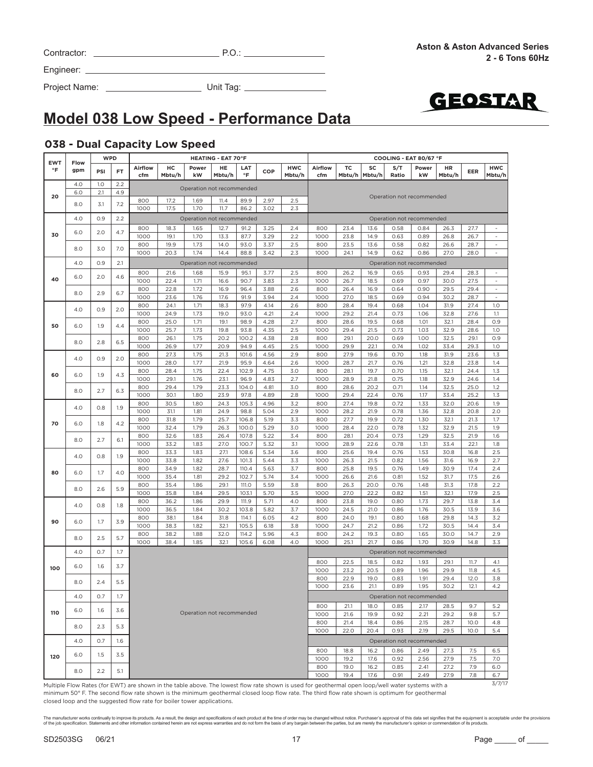| Contractor: |  |  |
|-------------|--|--|
|             |  |  |

Project Name: Unit Tag:



# **Model 038 Low Speed - Performance Data**

#### **038 - Dual Capacity Low Speed**

| <b>EWT</b>            |             | <b>WPD</b> |           |                                               |              |                           | <b>HEATING - EAT 70°F</b> |               |              |            |             |              |                    | COOLING - EAT 80/67 °F    |              |              |              |                          |
|-----------------------|-------------|------------|-----------|-----------------------------------------------|--------------|---------------------------|---------------------------|---------------|--------------|------------|-------------|--------------|--------------------|---------------------------|--------------|--------------|--------------|--------------------------|
| °F                    | Flow<br>gpm | PSI        | <b>FT</b> | <b>Airflow</b>                                | нc           | Power                     | HE                        | LAT           | COP          | <b>HWC</b> | Airflow     | тс           | SC                 | S/T                       | Power        | HR           | EER          | <b>HWC</b>               |
|                       |             |            |           | cfm                                           | Mbtu/h       | kW                        | Mbtu/h                    | $\circ$ F     |              | Mbtu/h     | cfm         | Mbtu/h       | Mbtu/h             | Ratio                     | kW           | Mbtu/h       |              | Mbtu/h                   |
|                       | 4.0         | 1.0        | 2.2       |                                               |              | Operation not recommended |                           |               |              |            |             |              |                    |                           |              |              |              |                          |
| 20                    | 6.0         | 2.1        | 4.9       |                                               |              |                           |                           |               |              |            |             |              |                    | Operation not recommended |              |              |              |                          |
|                       | 8.0         | 3.1        | 7.2       | 800                                           | 17.2         | 1.69                      | 11.4                      | 89.9          | 2.97         | 2.5        |             |              |                    |                           |              |              |              |                          |
|                       |             |            |           | 1000                                          | 17.5         | 1.70                      | 11.7                      | 86.2          | 3.02         | 2.3        |             |              |                    |                           |              |              |              |                          |
|                       | 4.0         | 0.9        | 2.2       |                                               |              | Operation not recommended |                           |               |              |            |             |              |                    | Operation not recommended |              |              |              |                          |
|                       |             |            |           | 800                                           | 18.3         | 1.65                      | 12.7                      | 91.2          | 3.25         | 2.4        | 800         | 23.4         | 13.6               | 0.58                      | 0.84         | 26.3         | 27.7         | $\bar{a}$                |
| 30                    | 6.0         | 2.0        | 4.7       | 1000                                          | 19.1         | 1.70                      | 13.3                      | 87.7          | 3.29         | 2.2        | 1000        | 23.8         | 14.9               | 0.63                      | 0.89         | 26.8         | 26.7         | $\overline{\phantom{a}}$ |
|                       |             |            |           | 800                                           | 19.9         | 1.73                      | 14.0                      | 93.0          | 3.37         | 2.5        | 800         | 23.5         | 13.6               | 0.58                      | 0.82         | 26.6         | 28.7         | $\overline{\phantom{a}}$ |
|                       | 8.0         | 3.0        | 7.0       | 1000                                          | 20.3         | 1.74                      | 14.4                      | 88.8          | 3.42         | 2.3        | 1000        | 24.1         | 14.9               | 0.62                      | 0.86         | 27.0         | 28.0         | $\omega$                 |
|                       | 4.0         | 0.9        | 2.1       |                                               |              | Operation not recommended |                           |               |              |            |             |              |                    | Operation not recommended |              |              |              |                          |
|                       |             |            |           |                                               |              |                           |                           |               |              |            |             |              |                    |                           |              |              |              |                          |
| 40                    | 6.0         | 2.0        | 4.6       | 800                                           | 21.6         | 1.68                      | 15.9                      | 95.1          | 3.77         | 2.5        | 800         | 26.2         | 16.9               | 0.65                      | 0.93         | 29.4         | 28.3         | $\bar{a}$                |
|                       |             |            |           | 1000                                          | 22.4         | 1.71                      | 16.6                      | 90.7          | 3.83         | 2.3        | 1000        | 26.7         | 18.5               | 0.69                      | 0.97         | 30.0         | 27.5         | $\overline{\phantom{a}}$ |
|                       | 8.0         | 2.9        | 6.7       | 800                                           | 22.8         | 1.72                      | 16.9                      | 96.4          | 3.88         | 2.6        | 800         | 26.4         | 16.9               | 0.64                      | 0.90         | 29.5         | 29.4         | $\sim$                   |
|                       |             |            |           | 1000                                          | 23.6         | 1.76                      | 17.6                      | 91.9          | 3.94         | 2.4        | 1000        | 27.0         | 18.5               | 0.69                      | 0.94         | 30.2         | 28.7         | $\overline{\phantom{a}}$ |
|                       | 4.0         | 0.9        | 2.0       | 800                                           | 24.1         | 1.71                      | 18.3                      | 97.9          | 4.14         | 2.6        | 800         | 28.4         | 19.4               | 0.68                      | 1.04         | 31.9         | 27.4         | 1.0                      |
|                       |             |            |           | 1000                                          | 24.9         | 1.73                      | 19.0                      | 93.0          | 4.21         | 2.4        | 1000        | 29.2         | 21.4               | 0.73                      | 1.06         | 32.8         | 27.6         | 1.1                      |
| 50                    | 6.0         | 1.9        | 4.4       | 800                                           | 25.0         | 1.71                      | 19.1                      | 98.9          | 4.28         | 2.7        | 800         | 28.6         | 19.5               | 0.68                      | 1.01         | 32.1         | 28.4         | 0.9                      |
|                       |             |            |           | 1000                                          | 25.7         | 1.73                      | 19.8                      | 93.8          | 4.35         | 2.5        | 1000        | 29.4         | 21.5               | 0.73                      | 1.03         | 32.9         | 28.6         | 1.0                      |
|                       | 8.0         | 2.8        | 6.5       | 800                                           | 26.1         | 1.75                      | 20.2                      | 100.2         | 4.38         | 2.8        | 800         | 29.1         | 20.0               | 0.69                      | 1.00         | 32.5         | 29.1         | 0.9                      |
|                       |             |            |           | 1000                                          | 26.9         | 1.77                      | 20.9                      | 94.9          | 4.45         | 2.5        | 1000        | 29.9         | 22.1               | 0.74                      | 1.02         | 33.4         | 29.3         | 1.0                      |
|                       | 4.0         | 0.9        | 2.0       | 800                                           | 27.3         | 1.75                      | 21.3                      | 101.6         | 4.56         | 2.9        | 800         | 27.9         | 19.6               | 0.70                      | 1.18         | 31.9         | 23.6         | 1.3                      |
|                       |             |            |           | 1000                                          | 28.0         | 1.77                      | 21.9                      | 95.9          | 4.64         | 2.6        | 1000        | 28.7         | 21.7               | 0.76                      | 1.21         | 32.8         | 23.8         | 1.4                      |
| 60                    | 6.0         | 1.9        | 4.3       | 800<br>1000                                   | 28.4         | 1.75                      | 22.4                      | 102.9<br>96.9 | 4.75         | 3.0        | 800<br>1000 | 28.1         | 19.7               | 0.70                      | 1.15         | 32.1         | 24.4         | 1.3                      |
|                       |             |            |           |                                               | 29.1<br>29.4 | 1.76<br>1.79              | 23.1<br>23.3              | 104.0         | 4.83         | 2.7<br>3.0 |             | 28.9<br>28.6 | 21.8<br>20.2       | 0.75<br>0.71              | 1.18<br>1.14 | 32.9<br>32.5 | 24.6<br>25.0 | 1.4<br>1.2               |
|                       | 8.0         | 2.7        | 6.3       | 800<br>1000                                   | 30.1         | 1.80                      | 23.9                      | 97.8          | 4.81<br>4.89 | 2.8        | 800<br>1000 | 29.4         | 22.4               | 0.76                      | 1.17         | 33.4         | 25.2         | 1.3                      |
|                       |             |            |           | 800                                           | 30.5         | 1.80                      | 24.3                      | 105.3         | 4.96         | 3.2        | 800         |              | 19.8               | 0.72                      | 1.33         | 32.0         |              | 1.9                      |
|                       | 4.0         | 0.8        | 1.9       | 1000                                          | 31.1         | 1.81                      | 24.9                      | 98.8          | 5.04         | 2.9        | 1000        | 27.4<br>28.2 | 21.9               | 0.78                      | 1.36         | 32.8         | 20.6<br>20.8 | 2.0                      |
|                       |             |            |           | 800                                           | 31.8         | 1.79                      | 25.7                      | 106.8         | 5.19         | 3.3        | 800         | 27.7         | 19.9               | 0.72                      | 1.30         | 32.1         | 21.3         | 1.7                      |
| 70                    | 6.0         | 1.8        | 4.2       | 1000                                          | 32.4         | 1.79                      | 26.3                      | 100.0         | 5.29         | 3.0        | 1000        | 28.4         | 22.0               | 0.78                      | 1.32         | 32.9         | 21.5         | 1.9                      |
|                       |             |            |           | 800                                           | 32.6         | 1.83                      | 26.4                      | 107.8         | 5.22         | 3.4        | 800         | 28.1         | 20.4               | 0.73                      | 1.29         | 32.5         | 21.9         | 1.6                      |
|                       | 8.0         | 2.7        | 6.1       | 1000                                          | 33.2         | 1.83                      | 27.0                      | 100.7         | 5.32         | 3.1        | 1000        | 28.9         | 22.6               | 0.78                      | 1.31         | 33.4         | 22.1         | 1.8                      |
|                       |             |            |           | 800                                           | 33.3         | 1.83                      | 27.1                      | 108.6         | 5.34         | 3.6        | 800         | 25.6         | 19.4               | 0.76                      | 1.53         | 30.8         | 16.8         | 2.5                      |
|                       | 4.0         | 0.8        | 1.9       | 1000                                          | 33.8         | 1.82                      | 27.6                      | 101.3         | 5.44         | 3.3        | 1000        | 26.3         | 21.5               | 0.82                      | 1.56         | 31.6         | 16.9         | 2.7                      |
|                       |             |            |           | 800                                           | 34.9         | 1.82                      | 28.7                      | 110.4         | 5.63         | 3.7        | 800         | 25.8         | 19.5               | 0.76                      | 1.49         | 30.9         | 17.4         | 2.4                      |
| 80                    | 6.0         | 1.7        | 4.0       | 1000                                          | 35.4         | 1.81                      | 29.2                      | 102.7         | 5.74         | 3.4        | 1000        | 26.6         | 21.6               | 0.81                      | 1.52         | 31.7         | 17.5         | 2.6                      |
|                       |             |            |           | 800                                           | 35.4         | 1.86                      | 29.1                      | 111.O         | 5.59         | 3.8        | 800         | 26.3         | 20.0               | 0.76                      | 1.48         | 31.3         | 17.8         | 2.2                      |
|                       | 8.0         | 2.6        | 5.9       | 1000                                          | 35.8         | 1.84                      | 29.5                      | 103.1         | 5.70         | 3.5        | 1000        | 27.0         | 22.2               | 0.82                      | 1.51         | 32.1         | 17.9         | 2.5                      |
|                       |             |            |           | 800                                           | 36.2         | 1.86                      | 29.9                      | 111.9         | 5.71         | 4.0        | 800         | 23.8         | 19.0               | 0.80                      | 1.73         | 29.7         | 13.8         | 3.4                      |
|                       | 4.0         | 0.8        | 1.8       | 1000                                          | 36.5         | 1.84                      | 30.2                      | 103.8         | 5.82         | 3.7        | 1000        | 24.5         | 21.0               | 0.86                      | 1.76         | 30.5         | 13.9         | 3.6                      |
|                       |             |            |           | 800                                           | 38.1         | 1.84                      | 31.8                      | 114.1         | 6.05         | 4.2        | 800         | 24.0         | 19.1               | 0.80                      | 1.68         | 29.8         | 14.3         | 3.2                      |
| 90                    | 6.0         | 1.7        | 3.9       | 1000                                          | 38.3         | 1.82                      | 32.1                      | 105.5         | 6.18         | 3.8        | 1000        | 24.7         | 21.2               | 0.86                      | 1.72         | 30.5         | 14.4         | 3.4                      |
|                       |             |            |           | 800                                           | 38.2         | 1.88                      | 32.0                      | 114.2         | 5.96         | 4.3        | 800         | 24.2         | 19.3               | 0.80                      | 1.65         | 30.0         | 14.7         | 2.9                      |
|                       | 8.0         | 2.5        | 5.7       | 1000                                          | 38.4         | 1.85                      | 32.1                      | 105.6         | 6.08         | 4.0        | 1000        | 25.1         | 21.7               | 0.86                      | 1.70         | 30.9         | 14.8         | 3.3                      |
|                       | 4.0         | 0.7        | 1.7       |                                               |              |                           |                           |               |              |            |             |              |                    | Operation not recommended |              |              |              |                          |
|                       |             |            |           |                                               |              |                           |                           |               |              |            | 800         | 22.5         | 18.5               | 0.82                      | 1.93         | 29.1         | 11.7         | 4.1                      |
| 100                   | 6.0         | 1.6        | 3.7       |                                               |              |                           |                           |               |              |            | 1000        | 23.2         | 20.5               | 0.89                      | 1.96         | 29.9         | 11.8         | 4.5                      |
|                       |             |            |           |                                               |              |                           |                           |               |              |            | 800         | 22.9         | 19.0               | 0.83                      | 1.91         | 29.4         | 12.0         | 3.8                      |
|                       | 8.0         | 2.4        | 5.5       |                                               |              |                           |                           |               |              |            | 1000        | 23.6         | 21.1               | 0.89                      | 1.95         | 30.2         | 12.1         | 4.2                      |
|                       |             |            |           |                                               |              |                           |                           |               |              |            |             |              |                    |                           |              |              |              |                          |
|                       | 4.0         | 0.7        | 1.7       |                                               |              |                           |                           |               |              |            |             |              |                    | Operation not recommended |              |              |              |                          |
|                       | 6.0         | 1.6        | 3.6       |                                               |              |                           |                           |               |              |            | 800         | 21.1         | 18.0               | 0.85                      | 2.17         | 28.5         | 9.7          | 5.2                      |
| 110                   |             |            |           |                                               |              | Operation not recommended |                           |               |              |            | 1000        | 21.6         | 19.9               | 0.92                      | 2.21         | 29.2         | 9.8          | 5.7                      |
|                       | 8.0         | 2.3        | 5.3       |                                               |              |                           |                           |               |              |            | 800         | 21.4         | 18.4               | 0.86                      | 2.15         | 28.7         | 10.0         | 4.8                      |
|                       |             |            |           |                                               |              |                           |                           |               |              |            | 1000        | 22.0         | 20.4               | 0.93                      | 2.19         | 29.5         | 10.0         | 5.4                      |
|                       | 4.0         | 0.7        | 1.6       |                                               |              |                           |                           |               |              |            |             |              |                    | Operation not recommended |              |              |              |                          |
|                       |             |            |           |                                               |              |                           |                           |               |              |            | 800         | 18.8         | 16.2               | 0.86                      | 2.49         | 27.3         | 7.5          | 6.5                      |
| 120                   | 6.0         | 1.5        | 3.5       |                                               |              |                           |                           |               |              |            | 1000        | 19.2         | 17.6               | 0.92                      | 2.56         | 27.9         | 7.5          | 7.0                      |
|                       |             |            |           |                                               |              |                           |                           |               |              |            | 800         | 19.0         | 16.2               | 0.85                      | 2.41         | 27.2         | 7.9          | 6.0                      |
|                       | 8.0         | 2.2        | 5.1       |                                               |              |                           |                           |               |              |            | 1000        | 19.4         | 17.6               | 0.91                      | 2.49         | 27.9         | 7.8          | 6.7                      |
| $M_1$ , $H_2$ , $H_3$ | $D - +$     |            |           | a Chair EMTS and also constant to the balance |              | about The la              |                           |               |              |            |             |              | $\sim\sim\sqrt{2}$ | $-+ -$                    |              |              |              | 3/7/17                   |

Multiple Flow Rates (for EWT) are shown in the table above. The lowest flow rate shown is used for geothermal open loop/well water systems with a minimum 50° F. The second flow rate shown is the minimum geothermal closed loop flow rate. The third flow rate shown is optimum for geothermal closed loop and the suggested flow rate for boiler tower applications.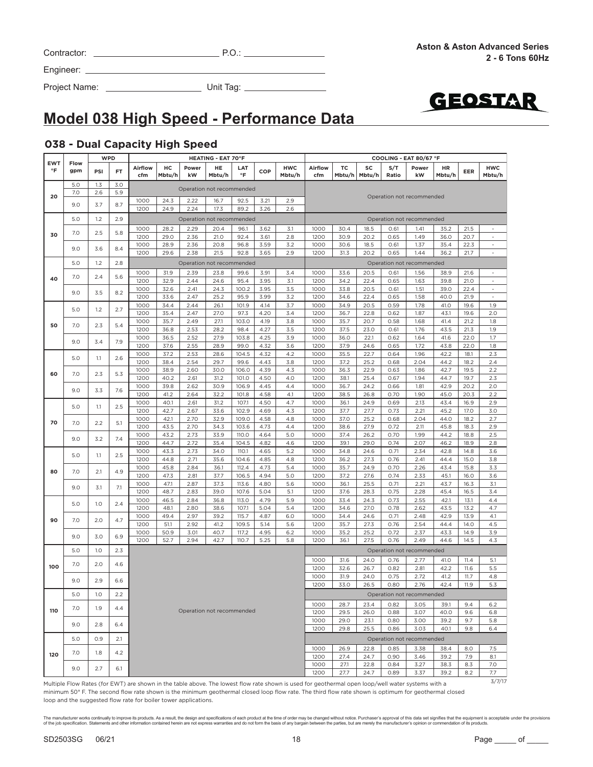|  | the contract of the contract of the contract of the contract of the contract of the contract of the contract of<br>the contract of the contract of the contract of the contract of the contract of the contract of the contract of | the contract of the contract of the contract of the contract of the contract of |  |
|--|------------------------------------------------------------------------------------------------------------------------------------------------------------------------------------------------------------------------------------|---------------------------------------------------------------------------------|--|

**EWT °F**

**20**

**Flow gpm**

|     |     |     |     | 1000 | 28.2 | 2.29 | 20.4                      | 96.1  | 3.62 | 3.1 | 1000         | 30.4         | 18.5         | 0.61         | 1.41                      | 35.2         | 21.5       |            |
|-----|-----|-----|-----|------|------|------|---------------------------|-------|------|-----|--------------|--------------|--------------|--------------|---------------------------|--------------|------------|------------|
| 30  | 7.0 | 2.5 | 5.8 | 1200 | 29.0 | 2.36 | 21.0                      | 92.4  | 3.61 | 2.8 | 1200         | 30.9         | 20.2         | 0.65         | 1.49                      | 36.0         | 20.7       |            |
|     |     |     |     | 1000 | 28.9 | 2.36 | 20.8                      | 96.8  | 3.59 | 3.2 | 1000         | 30.6         | 18.5         | 0.61         | 1.37                      | 35.4         | 22.3       | $\sim$     |
|     | 9.0 | 3.6 | 8.4 | 1200 | 29.6 | 2.38 | 21.5                      | 92.8  | 3.65 | 2.9 | 1200         | 31.3         | 20.2         | 0.65         | 1.44                      | 36.2         | 21.7       |            |
|     | 5.0 | 1.2 | 2.8 |      |      |      | Operation not recommended |       |      |     |              |              |              |              | Operation not recommended |              |            |            |
|     |     |     |     | 1000 | 31.9 | 2.39 | 23.8                      | 99.6  | 3.91 | 3.4 | 1000         | 33.6         | 20.5         | 0.61         | 1.56                      | 38.9         | 21.6       | $\sim$     |
| 40  | 7.0 | 2.4 | 5.6 | 1200 | 32.9 | 2.44 | 24.6                      | 95.4  | 3.95 | 3.1 | 1200         | 34.2         | 22.4         | 0.65         | 1.63                      | 39.8         | 21.0       | $\sim$     |
|     | 9.0 |     |     | 1000 | 32.6 | 2.41 | 24.3                      | 100.2 | 3.95 | 3.5 | 1000         | 33.8         | 20.5         | 0.61         | 1.51                      | 39.0         | 22.4       | ÷,         |
|     |     | 3.5 | 8.2 | 1200 | 33.6 | 2.47 | 25.2                      | 95.9  | 3.99 | 3.2 | 1200         | 34.6         | 22.4         | 0.65         | 1.58                      | 40.0         | 21.9       | $\sim$     |
|     |     |     |     | 1000 | 34.4 | 2.44 | 26.1                      | 101.9 | 4.14 | 3.7 | 1000         | 34.9         | 20.5         | 0.59         | 1.78                      | 41.0         | 19.6       | 1.9        |
|     | 5.0 | 1.2 | 2.7 | 1200 | 35.4 | 2.47 | 27.0                      | 97.3  | 4.20 | 3.4 | 1200         | 36.7         | 22.8         | 0.62         | 1.87                      | 43.1         | 19.6       | 2.0        |
|     |     |     |     | 1000 | 35.7 | 2.49 | 27.1                      | 103.0 | 4.19 | 3.8 | 1000         | 35.7         | 20.7         | 0.58         | 1.68                      | 41.4         | 21.2       | 1.8        |
| 50  | 7.0 | 2.3 | 5.4 | 1200 | 36.8 | 2.53 | 28.2                      | 98.4  | 4.27 | 3.5 | 1200         | 37.5         | 23.0         | 0.61         | 1.76                      | 43.5         | 21.3       | 1.9        |
|     | 9.0 | 3.4 | 7.9 | 1000 | 36.5 | 2.52 | 27.9                      | 103.8 | 4.25 | 3.9 | 1000         | 36.0         | 22.1         | 0.62         | 1.64                      | 41.6         | 22.0       | 1.7        |
|     |     |     |     | 1200 | 37.6 | 2.55 | 28.9                      | 99.0  | 4.32 | 3.6 | 1200         | 37.9         | 24.6         | 0.65         | 1.72                      | 43.8         | 22.0       | 1.8        |
|     |     |     |     | 1000 | 37.2 | 2.53 | 28.6                      | 104.5 | 4.32 | 4.2 | 1000         | 35.5         | 22.7         | 0.64         | 1.96                      | 42.2         | 18.1       | 2.3        |
|     | 5.0 | 1.1 | 2.6 | 1200 | 38.4 | 2.54 | 29.7                      | 99.6  | 4.43 | 3.8 | 1200         | 37.2         | 25.2         | 0.68         | 2.04                      | 44.2         | 18.2       | 2.4        |
|     |     | 2.3 |     | 1000 | 38.9 | 2.60 | 30.0                      | 106.0 | 4.39 | 4.3 | 1000         | 36.3         | 22.9         | 0.63         | 1.86                      | 42.7         | 19.5       | 2.2        |
| 60  | 7.0 |     | 5.3 | 1200 | 40.2 | 2.61 | 31.2                      | 101.0 | 4.50 | 4.0 | 1200         | 38.1         | 25.4         | 0.67         | 1.94                      | 44.7         | 19.7       | 2.3        |
|     | 9.0 | 3.3 | 7.6 | 1000 | 39.8 | 2.62 | 30.9                      | 106.9 | 4.45 | 4.4 | 1000         | 36.7         | 24.2         | 0.66         | 1.81                      | 42.9         | 20.2       | 2.0        |
|     |     |     |     | 1200 | 41.2 | 2.64 | 32.2                      | 101.8 | 4.58 | 4.1 | 1200         | 38.5         | 26.8         | 0.70         | 1.90                      | 45.0         | 20.3       | 2.2        |
|     |     |     |     | 1000 | 40.1 | 2.61 | 31.2                      | 107.1 | 4.50 | 4.7 | 1000         | 36.1         | 24.9         | 0.69         | 2.13                      | 43.4         | 16.9       | 2.9        |
|     | 5.0 | 1.1 | 2.5 | 1200 | 42.7 | 2.67 | 33.6                      | 102.9 | 4.69 | 4.3 | 1200         | 37.7         | 27.7         | 0.73         | 2.21                      | 45.2         | 17.0       | 3.0        |
| 70  | 7.0 | 2.2 |     | 1000 | 42.1 | 2.70 | 32.9                      | 109.0 | 4.58 | 4.8 | 1000         | 37.0         | 25.2         | 0.68         | 2.04                      | 44.0         | 18.2       | 2.7        |
|     |     |     | 5.1 | 1200 | 43.5 | 2.70 | 34.3                      | 103.6 | 4.73 | 4.4 | 1200         | 38.6         | 27.9         | 0.72         | 2.11                      | 45.8         | 18.3       | 2.9        |
|     |     |     |     | 1000 | 43.2 | 2.73 | 33.9                      | 110.0 | 4.64 | 5.0 | 1000         | 37.4         | 26.2         | 0.70         | 1.99                      | 44.2         | 18.8       | 2.5        |
|     | 9.0 | 3.2 | 7.4 | 1200 | 44.7 | 2.72 | 35.4                      | 104.5 | 4.82 | 4.6 | 1200         | 39.1         | 29.0         | 0.74         | 2.07                      | 46.2         | 18.9       | 2.8        |
|     |     |     |     | 1000 | 43.3 | 2.73 | 34.0                      | 110.1 | 4.65 | 5.2 | 1000         | 34.8         | 24.6         | 0.71         | 2.34                      | 42.8         | 14.8       | 3.6        |
|     | 5.0 | 1.1 | 2.5 | 1200 | 44.8 | 2.71 | 35.6                      | 104.6 | 4.85 | 4.8 | 1200         | 36.2         | 27.3         | 0.76         | 2.41                      | 44.4         | 15.0       | 3.8        |
|     |     |     |     | 1000 | 45.8 | 2.84 | 36.1                      | 112.4 | 4.73 | 5.4 | 1000         | 35.7         | 24.9         | 0.70         | 2.26                      | 43.4         | 15.8       | 3.3        |
| 80  | 7.0 | 2.1 | 4.9 | 1200 | 47.3 | 2.81 | 37.7                      | 106.5 | 4.94 | 5.0 | 1200         | 37.2         | 27.6         | 0.74         | 2.33                      | 45.1         | 16.0       | 3.6        |
|     |     |     |     | 1000 | 47.1 | 2.87 | 37.3                      | 113.6 | 4.80 | 5.6 | 1000         | 36.1         | 25.5         | 0.71         | 2.21                      | 43.7         | 16.3       | 3.1        |
|     | 9.0 | 3.1 | 7.1 | 1200 | 48.7 | 2.83 | 39.0                      | 107.6 | 5.04 | 5.1 | 1200         | 37.6         | 28.3         | 0.75         | 2.28                      | 45.4         | 16.5       | 3.4        |
|     | 5.0 | 1.0 |     | 1000 | 46.5 | 2.84 | 36.8                      | 113.0 | 4.79 | 5.9 | 1000         | 33.4         | 24.3         | 0.73         | 2.55                      | 42.1         | 13.1       | 4.4        |
|     |     |     | 2.4 | 1200 | 48.1 | 2.80 | 38.6                      | 107.1 | 5.04 | 5.4 | 1200         | 34.6         | 27.0         | 0.78         | 2.62                      | 43.5         | 13.2       | 4.7        |
| 90  | 7.0 | 2.0 | 4.7 | 1000 | 49.4 | 2.97 | 39.2                      | 115.7 | 4.87 | 6.0 | 1000         | 34.4         | 24.6         | 0.71         | 2.48                      | 42.9         | 13.9       | 4.1        |
|     |     |     |     | 1200 | 51.1 | 2.92 | 41.2                      | 109.5 | 5.14 | 5.6 | 1200         | 35.7         | 27.3         | 0.76         | 2.54                      | 44.4         | 14.0       | 4.5        |
|     | 9.0 | 3.0 | 6.9 | 1000 | 50.9 | 3.01 | 40.7                      | 117.2 | 4.95 | 6.2 | 1000         | 35.2         | 25.2         | 0.72         | 2.37                      | 43.3         | 14.9       | 3.9        |
|     |     |     |     | 1200 | 52.7 | 2.94 | 42.7                      | 110.7 | 5.25 | 5.8 | 1200         | 36.1         | 27.5         | 0.76         | 2.49                      | 44.6         | 14.5       | 4.3        |
|     | 5.0 | 1.0 | 2.3 |      |      |      |                           |       |      |     |              |              |              |              | Operation not recommended |              |            |            |
|     |     |     |     |      |      |      |                           |       |      |     | 1000         | 31.6         | 24.0         | 0.76         | 2.77                      | 41.0         | 11.4       | 5.1        |
| 100 | 7.0 | 2.0 | 4.6 |      |      |      |                           |       |      |     | 1200         | 32.6         | 26.7         | 0.82         | 2.81                      | 42.2         | 11.6       | 5.5        |
|     |     |     |     |      |      |      |                           |       |      |     | 1000         | 31.9         | 24.0         | 0.75         | 2.72                      | 41.2         | 11.7       | 4.8        |
|     | 9.0 | 2.9 | 6.6 |      |      |      |                           |       |      |     | 1200         | 33.0         | 26.5         | 0.80         | 2.76                      | 42.4         | 11.9       | 5.3        |
|     | 5.0 | 1.0 | 2.2 |      |      |      |                           |       |      |     |              |              |              |              | Operation not recommended |              |            |            |
|     |     |     |     |      |      |      |                           |       |      |     | 1000         | 28.7         | 23.4         | 0.82         | 3.05                      | 39.1         | 9.4        | 6.2        |
| 110 | 7.0 | 1.9 | 4.4 |      |      |      | Operation not recommended |       |      |     | 1200         | 29.5         | 26.0         | 0.88         | 3.07                      | 40.0         | 9.6        | 6.8        |
|     |     |     |     |      |      |      |                           |       |      |     | 1000         | 29.0         | 23.1         | 0.80         | 3.00                      | 39.2         | 9.7        | 5.8        |
|     | 9.0 | 2.8 | 6.4 |      |      |      |                           |       |      |     | 1200         | 29.8         | 25.5         | 0.86         | 3.03                      | 40.1         | 9.8        | 6.4        |
|     | 5.0 | O.9 | 2.1 |      |      |      |                           |       |      |     |              |              |              |              | Operation not recommended |              |            |            |
|     |     |     |     |      |      |      |                           |       |      |     |              |              |              |              |                           |              |            |            |
| 120 | 7.0 | 1.8 | 4.2 |      |      |      |                           |       |      |     | 1000         | 26.9         | 22.8         | 0.85         | 3.38                      | 38.4         | 8.0        | 7.5        |
|     |     |     |     |      |      |      |                           |       |      |     | 1200         | 27.4         | 24.7         | 0.90         | 3.46                      | 39.2         | 7.9        | 8.1        |
|     | 9.0 | 2.7 | 6.1 |      |      |      |                           |       |      |     | 1000<br>1200 | 27.1<br>27.7 | 22.8<br>24.7 | 0.84<br>0.89 | 3.27                      | 38.3<br>39.2 | 8.3<br>8.2 | 7.0<br>7.7 |
|     |     |     |     |      |      |      |                           |       |      |     |              |              |              |              | 3.37                      |              |            |            |

WPD **HEATING - EAT 70°F COOLING - EAT 80/67 °F** 

**Mbtu/h**

Operation not recommended 7.0 2.6 5.9

**Airflow cfm**

**TC Mbtu/h**

**SC Mbtu/h**

**S/T Ratio** **Power kW**

**HR** 

**Mbtu/h EER HWC** 

**Mbtu/h**

**°F COP HWC** 

5.0 1.2 2.9 Operation not recommended Operation not recommended

#### **038 - Dual Capacity High Speed**

**cfm**

**HC Mbtu/h**

5.0 1.3 3.0 Operation not recommended

**PSI FT Airflow** 

Project Name: Unit Tag:

Contractor: P.O.:

**Model 038 High Speed - Performance Data**

**Power kW**

9.0 3.7 8.7 1000 24.3 2.22 16.7 92.5 3.21 2.9

**HE Mbtu/h**

1200 | 24.9 | 2.24 | 17.3 | 89.2 | 3.26 | 2.6

**LAT** 

Multiple Flow Rates (for EWT) are shown in the table above. The lowest flow rate shown is used for geothermal open loop/well water systems with a minimum 50° F. The second flow rate shown is the minimum geothermal closed loop flow rate. The third flow rate shown is optimum for geothermal closed loop and the suggested flow rate for boiler tower applications.

The manufacturer works continually to improve this products. As a result, the design and specifications of each product at the time of order may be changed without notice. Purchaser's approval of this data set signifies th

GEOSTAR

3/7/17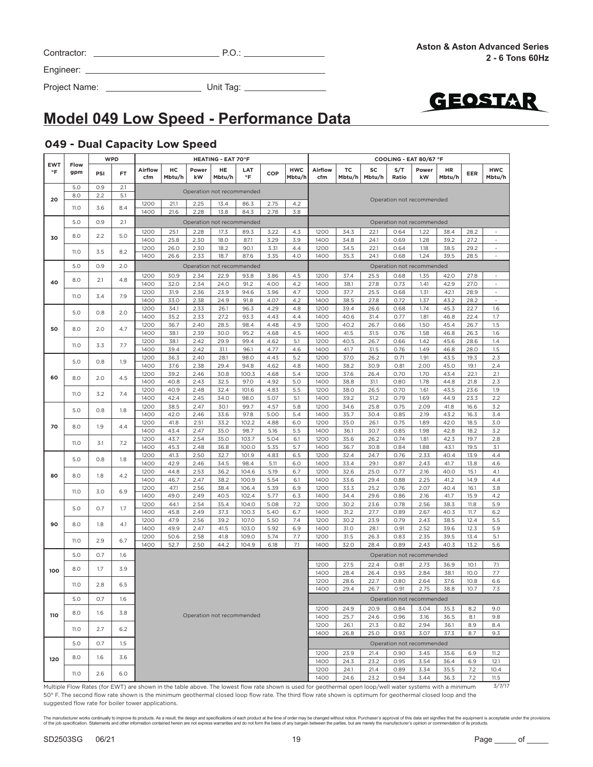| Contractor: |  |  |
|-------------|--|--|
|             |  |  |

Project Name: Unit Tag:



## **Model 049 Low Speed - Performance Data**

#### **049 - Dual Capacity Low Speed**

|                         |             | <b>WPD</b> |     |                |              |              | <b>HEATING - EAT 70°F</b> |                           |              |                      |                                                                                                                                                                  |              |              | COOLING - EAT 80/67 °F    |              |              |              |                                    |
|-------------------------|-------------|------------|-----|----------------|--------------|--------------|---------------------------|---------------------------|--------------|----------------------|------------------------------------------------------------------------------------------------------------------------------------------------------------------|--------------|--------------|---------------------------|--------------|--------------|--------------|------------------------------------|
| <b>EWT</b><br>$\circ$ F | Flow<br>gpm | PSI        | FT  | Airflow<br>cfm | нс<br>Mbtu/h | Power<br>kW  | HE<br>Mbtu/h              | LAT<br>°F                 | COP          | <b>HWC</b><br>Mbtu/h | Airflow<br>cfm                                                                                                                                                   | тc<br>Mbtu/h | SC<br>Mbtu/h | S/T<br>Ratio              | Power<br>kW  | HR<br>Mbtu/h | EER          | <b>HWC</b><br>Mbtu/h               |
|                         | 5.0         | 0.9        | 2.1 |                |              |              |                           |                           |              |                      |                                                                                                                                                                  |              |              |                           |              |              |              |                                    |
| 20                      | 8.0         | 2.2        | 5.1 |                |              |              |                           | Operation not recommended |              |                      |                                                                                                                                                                  |              |              | Operation not recommended |              |              |              |                                    |
|                         | 11.O        | 3.6        | 8.4 | 1200           | 21.1         | 2.25         | 13.4                      | 86.3                      | 2.75         | 4.2                  |                                                                                                                                                                  |              |              |                           |              |              |              |                                    |
|                         |             |            |     | 1400           | 21.6         | 2.28         | 13.8                      | 84.3                      | 2.78         | 3.8                  |                                                                                                                                                                  |              |              |                           |              |              |              |                                    |
|                         | 5.0         | 0.9        | 2.1 |                |              |              |                           | Operation not recommended |              |                      |                                                                                                                                                                  |              |              | Operation not recommended |              |              |              |                                    |
|                         |             |            |     | 1200           | 25.1         | 2.28         | 17.3                      | 89.3                      | 3.22         | 4.3                  | 1200                                                                                                                                                             | 34.3         | 22.1         | 0.64                      | 1.22         | 38.4         | 28.2         |                                    |
| 30                      | 8.0         | 2.2        | 5.0 | 1400           | 25.8         | 2.30         | 18.0                      | 87.1                      | 3.29         | 3.9                  | 1400                                                                                                                                                             | 34.8         | 24.1         | 0.69                      | 1.28         | 39.2         | 27.2         | $\overline{\phantom{a}}$           |
|                         |             |            |     | 1200           | 26.0         | 2.30         | 18.2                      | 90.1                      | 3.31         | 4.4                  | 1200                                                                                                                                                             | 34.5         | 22.1         | 0.64                      | 1.18         | 38.5         | 29.2         | $\sim$                             |
|                         | <b>11.0</b> | 3.5        | 8.2 | 1400           | 26.6         | 2.33         | 18.7                      | 87.6                      | 3.35         | 4.0                  | 1400                                                                                                                                                             | 35.3         | 24.1         | 0.68                      | 1.24         | 39.5         | 28.5         |                                    |
|                         | 5.0         | 0.9        | 2.0 |                |              |              |                           | Operation not recommended |              |                      |                                                                                                                                                                  |              |              | Operation not recommended |              |              |              |                                    |
|                         |             |            |     |                |              |              |                           |                           |              |                      |                                                                                                                                                                  |              |              |                           |              |              |              |                                    |
| 40                      | 8.0         | 2.1        | 4.8 | 1200           | 30.9         | 2.34         | 22.9                      | 93.8                      | 3.86         | 4.5<br>4.2           | 1200                                                                                                                                                             | 37.4         | 25.5         | 0.68                      | 1.35         | 42.0         | 27.8         | $\overline{\phantom{a}}$<br>$\sim$ |
|                         |             |            |     | 1400           | 32.0         | 2.34         | 24.0                      | 91.2                      | 4.00         |                      | 1400                                                                                                                                                             | 38.1         | 27.8         | 0.73                      | 1.41         | 42.9         | 27.0         | $\sim$                             |
|                         | 11.O        | 3.4        | 7.9 | 1200<br>1400   | 31.9<br>33.0 | 2.36<br>2.38 | 23.9<br>24.9              | 94.6<br>91.8              | 3.96<br>4.07 | 4.7<br>4.2           | 1200<br>1400                                                                                                                                                     | 37.7<br>38.5 | 25.5<br>27.8 | 0.68<br>0.72              | 1.31<br>1.37 | 42.1<br>43.2 | 28.9<br>28.2 | $\overline{\phantom{a}}$           |
|                         |             |            |     | 1200           | 34.1         | 2.33         | 26.1                      | 96.3                      | 4.29         | 4.8                  | 1200                                                                                                                                                             | 39.4         | 26.6         | 0.68                      | 1.74         | 45.3         | 22.7         | 1.6                                |
|                         | 5.0         | 0.8        | 2.0 | 1400           | 35.2         | 2.33         | 27.2                      | 93.3                      | 4.43         | 4.4                  | 1400                                                                                                                                                             | 40.6         | 31.4         | 0.77                      | 1.81         | 46.8         | 22.4         | 1.7                                |
|                         |             |            |     | 1200           | 36.7         | 2.40         | 28.5                      | 98.4                      | 4.48         | 4.9                  | 1200                                                                                                                                                             | 40.2         | 26.7         | 0.66                      | 1.50         | 45.4         | 26.7         | 1.5                                |
| 50                      | 8.0         | 2.0        | 4.7 | 1400           | 38.1         | 2.39         | 30.0                      | 95.2                      | 4.68         | 4.5                  | 1400                                                                                                                                                             | 41.5         | 31.5         | 0.76                      | 1.58         | 46.8         | 26.3         | 1.6                                |
|                         |             |            |     | 1200           | 38.1         | 2.42         | 29.9                      | 99.4                      | 4.62         | 5.1                  | 1200                                                                                                                                                             | 40.5         | 26.7         | 0.66                      | 1.42         | 45.6         | 28.6         | 1.4                                |
|                         | <b>11.0</b> | 3.3        | 7.7 | 1400           | 39.4         | 2.42         | 31.1                      | 96.1                      | 4.77         | 4.6                  | 1400                                                                                                                                                             | 41.7         | 31.5         | 0.76                      | 1.49         | 46.8         | 28.0         | 1.5                                |
|                         |             |            |     | 1200           | 36.3         | 2.40         | 28.1                      | 98.0                      | 4.43         | 5.2                  | 1200                                                                                                                                                             | 37.0         | 26.2         | 0.71                      | 1.91         | 43.5         | 19.3         | 2.3                                |
|                         | 5.0         | 0.8        | 1.9 | 1400           | 37.6         | 2.38         | 29.4                      | 94.8                      | 4.62         | 4.8                  | 1400                                                                                                                                                             | 38.2         | 30.9         | 0.81                      | 2.00         | 45.0         | 19.1         | 2.4                                |
|                         |             |            |     | 1200           | 39.2         | 2.46         | 30.8                      | 100.3                     | 4.68         | 5.4                  | 1200                                                                                                                                                             | 37.6         | 26.4         | 0.70                      | 1.70         | 43.4         | 22.1         | 2.1                                |
| 60                      | 8.0         | 2.0        | 4.5 | 1400           | 40.8         | 2.43         | 32.5                      | 97.0                      | 4.92         | 5.0                  | 1400                                                                                                                                                             | 38.8         | 31.1         | 0.80                      | 1.78         | 44.8         | 21.8         | 2.3                                |
|                         |             |            |     | 1200           | 40.9         | 2.48         | 32.4                      | 101.6                     | 4.83         | 5.5                  | 1200                                                                                                                                                             | 38.0         | 26.5         | 0.70                      | 1.61         | 43.5         | 23.6         | 1.9                                |
|                         | 11.0        | 3.2        | 7.4 | 1400           | 42.4         | 2.45         | 34.0                      | 98.0                      | 5.07         | 5.1                  | 1400                                                                                                                                                             | 39.2         | 31.2         | 0.79                      | 1.69         | 44.9         | 23.3         | 2.2                                |
|                         |             |            |     | 1200           | 38.5         | 2.47         | 30.1                      | 99.7                      | 4.57         | 5.8                  | 1200                                                                                                                                                             | 34.6         | 25.8         | 0.75                      | 2.09         | 41.8         | 16.6         | 3.2                                |
|                         | 5.0         | 0.8        | 1.8 | 1400           | 42.0         | 2.46         | 33.6                      | 97.8                      | 5.00         | 5.4                  | 1400                                                                                                                                                             | 35.7         | 30.4         | 0.85                      | 2.19         | 43.2         | 16.3         | 3.4                                |
|                         |             |            |     | 1200           | 41.8         | 2.51         | 33.2                      | 102.2                     | 4.88         | 6.0                  | 1200                                                                                                                                                             | 35.0         | 26.1         | 0.75                      | 1.89         | 42.0         | 18.5         | 3.0                                |
| 70                      | 8.0         | 1.9        | 4.4 | 1400           | 43.4         | 2.47         | 35.0                      | 98.7                      | 5.16         | 5.5                  | 1400                                                                                                                                                             | 36.1         | 30.7         | 0.85                      | 1.98         | 42.8         | 18.2         | 3.2                                |
|                         |             |            |     | 1200           | 43.7         | 2.54         | 35.0                      | 103.7                     | 5.04         | 6.1                  | 1200                                                                                                                                                             | 35.6         | 26.2         | 0.74                      | 1.81         | 42.3         | 19.7         | 2.8                                |
|                         | 11.O        | 3.1        | 7.2 | 1400           | 45.3         | 2.48         | 36.8                      | 100.0                     | 5.35         | 5.7                  | 1400                                                                                                                                                             | 36.7         | 30.8         | 0.84                      | 1.88         | 43.1         | 19.5         | 3.1                                |
|                         | 5.0         | 0.8        | 1.8 | 1200           | 41.3         | 2.50         | 32.7                      | 101.9                     | 4.83         | 6.5                  | 1200                                                                                                                                                             | 32.4         | 24.7         | 0.76                      | 2.33         | 40.4         | 13.9         | 4.4                                |
|                         |             |            |     | 1400           | 42.9         | 2.46         | 34.5                      | 98.4                      | 5.11         | 6.0                  | 1400                                                                                                                                                             | 33.4         | 29.1         | 0.87                      | 2.43         | 41.7         | 13.8         | 4.6                                |
| 80                      | 8.0         | 1.8        | 4.2 | 1200           | 44.8         | 2.53         | 36.2                      | 104.6                     | 5.19         | 6.7                  | 1200                                                                                                                                                             | 32.6         | 25.0         | 0.77                      | 2.16         | 40.0         | 15.1         | 4.1                                |
|                         |             |            |     | 1400           | 46.7         | 2.47         | 38.2                      | 100.9                     | 5.54         | 6.1                  | 1400                                                                                                                                                             | 33.6         | 29.4         | 0.88                      | 2.25         | 41.2         | 14.9         | 4.4                                |
|                         | <b>11.0</b> | 3.0        | 6.9 | 1200           | 47.1         | 2.56         | 38.4                      | 106.4                     | 5.39         | 6.9                  | 1200                                                                                                                                                             | 33.3         | 25.2         | 0.76                      | 2.07         | 40.4         | 16.1         | 3.8                                |
|                         |             |            |     | 1400           | 49.0         | 2.49         | 40.5                      | 102.4                     | 5.77         | 6.3                  | 1400                                                                                                                                                             | 34.4         | 29.6         | 0.86                      | 2.16         | 41.7         | 15.9         | 4.2                                |
|                         | 5.0         | 0.7        | 1.7 | 1200           | 44.1         | 2.54         | 35.4                      | 104.0                     | 5.08         | 7.2                  | 1200                                                                                                                                                             | 30.2         | 23.6         | 0.78                      | 2.56         | 38.3         | 11.8         | 5.9                                |
|                         |             |            |     | 1400           | 45.8         | 2.49         | 37.3                      | 100.3                     | 5.40         | 6.7                  | 1400                                                                                                                                                             | 31.2         | 27.7         | 0.89                      | 2.67         | 40.3         | 11.7         | 6.2                                |
| 90                      | 8.0         | 1.8        | 4.1 | 1200           | 47.9         | 2.56         | 39.2                      | 107.0                     | 5.50         | 7.4                  | 1200                                                                                                                                                             | 30.2         | 23.9         | 0.79                      | 2.43         | 38.5         | 12.4         | 5.5                                |
|                         |             |            |     | 1400           | 49.9         | 2.47         | 41.5                      | 103.0                     | 5.92         | 6.9                  | 1400                                                                                                                                                             | 31.0         | 28.1         | 0.91                      | 2.52         | 39.6         | 12.3         | 5.9                                |
|                         | 11.O        | 2.9        | 6.7 | 1200           | 50.6         | 2.58         | 41.8                      | 109.0                     | 5.74         | 7.7                  | 1200                                                                                                                                                             | 31.5         | 26.3         | 0.83                      | 2.35         | 39.5         | 13.4         | 5.1                                |
|                         |             |            |     | 1400           | 52.7         | 2.50         | 44.2                      | 104.9                     | 6.18         | 7.1                  | 1400                                                                                                                                                             | 32.0         | 28.4         | 0.89                      | 2.43         | 40.3         | 13.2         | 5.6                                |
|                         | 5.0         | O.7        | 1.6 |                |              |              |                           |                           |              |                      |                                                                                                                                                                  |              |              | Operation not recommended |              |              |              |                                    |
|                         |             | 1.7        | 3.9 |                |              |              |                           |                           |              |                      | 1200                                                                                                                                                             | 27.5         | 22.4         | 0.81                      | 2.73         | 36.9         | 10.1         | 7.1                                |
| 100                     | 8.0         |            |     |                |              |              |                           |                           |              |                      | 1400                                                                                                                                                             | 28.4         | 26.4         | 0.93                      | 2.84         | 38.1         | 10.0         | 7.7                                |
|                         | 11.O        | 2.8        | 6.5 |                |              |              |                           |                           |              |                      | 1200                                                                                                                                                             | 28.6         | 22.7         | 0.80                      | 2.64         | 37.6         | 10.8         | 6.6                                |
|                         |             |            |     |                |              |              |                           |                           |              |                      | 1400                                                                                                                                                             | 29.4         | 26.7         | 0.91                      | 2.75         | 38.8         | 10.7         | 7.3                                |
|                         | 5.0         | O.7        | 1.6 |                |              |              |                           |                           |              |                      |                                                                                                                                                                  |              |              | Operation not recommended |              |              |              |                                    |
|                         |             |            |     |                |              |              |                           |                           |              |                      | 1200                                                                                                                                                             | 24.9         | 20.9         | 0.84                      | 3.04         | 35.3         | 8.2          | 9.0                                |
| 110                     | 8.0         | 1.6        | 3.8 |                |              |              |                           | Operation not recommended |              |                      | 1400                                                                                                                                                             | 25.7         | 24.6         | 0.96                      | 3.16         | 36.5         | 8.1          | 9.8                                |
|                         |             |            |     |                |              |              |                           |                           |              |                      | 1200                                                                                                                                                             | 26.1         | 21.3         | 0.82                      | 2.94         | 36.1         | 8.9          | 8.4                                |
|                         | 11.O        | 2.7        | 6.2 |                |              |              |                           |                           |              |                      | 1400                                                                                                                                                             | 26.8         | 25.0         | 0.93                      | 3.07         | 37.3         | 8.7          | 9.3                                |
|                         |             |            |     |                |              |              |                           |                           |              |                      |                                                                                                                                                                  |              |              |                           |              |              |              |                                    |
|                         | 5.0         | 0.7        | 1.5 |                |              |              |                           |                           |              |                      |                                                                                                                                                                  |              |              | Operation not recommended |              |              |              |                                    |
| 120                     | 8.0         | 1.6        | 3.6 |                |              |              |                           |                           |              |                      | 1200                                                                                                                                                             | 23.9         | 21.4         | 0.90                      | 3.45         | 35.6         | 6.9          | 11.2                               |
|                         |             |            |     |                |              |              |                           |                           |              |                      | 1400                                                                                                                                                             | 24.3         | 23.2         | 0.95                      | 3.54         | 36.4         | 6.9          | 12.1                               |
|                         | 11.O        | 2.6        | 6.0 |                |              |              |                           |                           |              |                      | 1200                                                                                                                                                             | 24.1         | 21.4         | 0.89                      | 3.34         | 35.5         | 7.2          | 10.4                               |
|                         |             |            |     |                |              |              |                           |                           |              |                      | 1400<br>Multiple Flow Rates (for EWT) are shown in the table above The lowest flow rate shown is used for geothermal open loop/well water systems with a minimum | 24.6         | 23.2         | 0.94                      | 3.44         | 36.3         | 7.2          | 11.5<br>3/7/17                     |

Multiple Flow Rates (for EWT) are shown in the table above. The lowest flow rate shown is used for geothermal open loop/well water systems with a minimum 50° F. The second flow rate shown is the minimum geothermal closed loop flow rate. The third flow rate shown is optimum for geothermal closed loop and the suggested flow rate for boiler tower applications.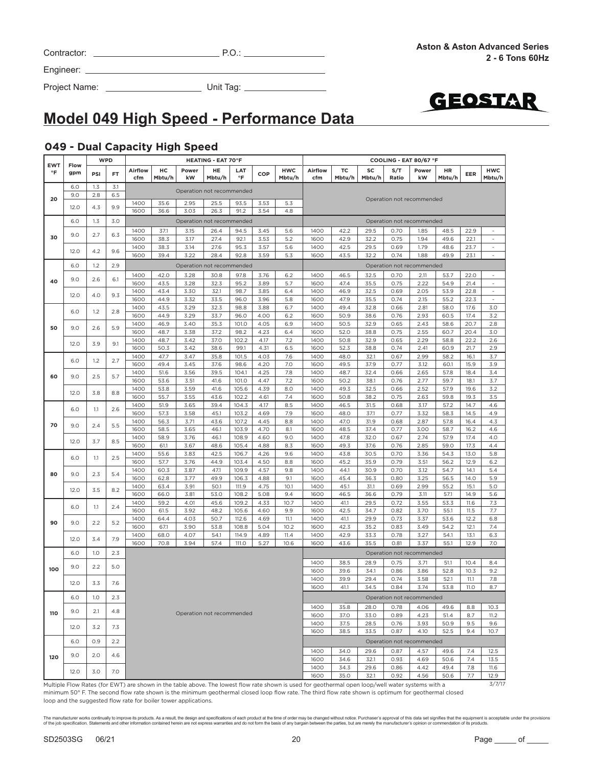| Contractor: | ה ר<br>ب |
|-------------|----------|

Project Name: Unit Tag:



# **Model 049 High Speed - Performance Data**

#### **049 - Dual Capacity High Speed**

| <b>EWT</b> | Flow |     | <b>WPD</b> |              |              |                           | <b>HEATING - EAT 70°F</b> |               |              |            |                                                                                                                                                   |              |              |              | COOLING - EAT 80/67 °F    |              |              |                          |
|------------|------|-----|------------|--------------|--------------|---------------------------|---------------------------|---------------|--------------|------------|---------------------------------------------------------------------------------------------------------------------------------------------------|--------------|--------------|--------------|---------------------------|--------------|--------------|--------------------------|
| $\circ$ F  | gpm  | PSI | <b>FT</b>  | Airflow      | нc           | Power                     | HE                        | LAT           | COP          | <b>HWC</b> | Airflow                                                                                                                                           | тc           | SC           | S/T          | Power                     | HR           | EER          | <b>HWC</b>               |
|            |      |     |            | cfm          | Mbtu/h       | kW                        | Mbtu/h                    | °F            |              | Mbtu/h     | cfm                                                                                                                                               | Mbtu/h       | Mbtu/h       | Ratio        | kW                        | Mbtu/h       |              | Mbtu/h                   |
|            | 6.0  | 1.3 | 3.1        |              |              |                           |                           |               |              |            |                                                                                                                                                   |              |              |              |                           |              |              |                          |
| 20         | 9.0  | 2.8 | 6.5        |              |              | Operation not recommended |                           |               |              |            |                                                                                                                                                   |              |              |              | Operation not recommended |              |              |                          |
|            | 12.0 | 4.3 | 9.9        | 1400         | 35.6         | 2.95                      | 25.5                      | 93.5          | 3.53         | 5.3        |                                                                                                                                                   |              |              |              |                           |              |              |                          |
|            |      |     |            | 1600         | 36.6         | 3.03                      | 26.3                      | 91.2          | 3.54         | 4.8        |                                                                                                                                                   |              |              |              |                           |              |              |                          |
|            | 6.0  | 1.3 | 3.0        |              |              | Operation not recommended |                           |               |              |            |                                                                                                                                                   |              |              |              | Operation not recommended |              |              |                          |
|            |      |     |            | 1400         | 37.1         | 3.15                      | 26.4                      | 94.5          | 3.45         | 5.6        | 1400                                                                                                                                              | 42.2         | 29.5         | 0.70         | 1.85                      | 48.5         | 22.9         | $\sim$                   |
| 30         | 9.0  | 2.7 | 6.3        | 1600         | 38.3         | 3.17                      | 27.4                      | 92.1          | 3.53         | 5.2        | 1600                                                                                                                                              | 42.9         | 32.2         | 0.75         | 1.94                      | 49.6         | 22.1         | $\overline{\phantom{a}}$ |
|            |      |     |            | 1400         | 38.3         | 3.14                      | 27.6                      | 95.3          | 3.57         | 5.6        | 1400                                                                                                                                              | 42.5         | 29.5         | 0.69         | 1.79                      | 48.6         | 23.7         | $\sim$                   |
|            | 12.0 | 4.2 | 9.6        | 1600         | 39.4         | 3.22                      | 28.4                      | 92.8          | 3.59         | 5.3        | 1600                                                                                                                                              | 43.5         | 32.2         | 0.74         | 1.88                      | 49.9         | 23.1         | $\overline{\phantom{a}}$ |
|            | 6.0  | 1.2 | 2.9        |              |              | Operation not recommended |                           |               |              |            |                                                                                                                                                   |              |              |              | Operation not recommended |              |              |                          |
|            |      |     |            |              |              |                           |                           |               |              |            |                                                                                                                                                   |              |              |              |                           |              |              |                          |
| 40         | 9.0  | 2.6 | 6.1        | 1400         | 42.0         | 3.28                      | 30.8                      | 97.8          | 3.76         | 6.2        | 1400                                                                                                                                              | 46.5         | 32.5         | 0.70         | 2.11                      | 53.7         | 22.0         | $\sim$                   |
|            |      |     |            | 1600         | 43.5         | 3.28                      | 32.3                      | 95.2          | 3.89         | 5.7        | 1600                                                                                                                                              | 47.4         | 35.5         | 0.75         | 2.22                      | 54.9         | 21.4         | $\omega$                 |
|            | 12.0 | 4.0 | 9.3        | 1400         | 43.4         | 3.30                      | 32.1                      | 98.7          | 3.85         | 6.4        | 1400                                                                                                                                              | 46.9         | 32.5         | 0.69         | 2.05                      | 53.9         | 22.8         | $\overline{\phantom{a}}$ |
|            |      |     |            | 1600         | 44.9         | 3.32                      | 33.5                      | 96.0          | 3.96         | 5.8        | 1600                                                                                                                                              | 47.9         | 35.5         | 0.74         | 2.15                      | 55.2         | 22.3         | $\sim$                   |
|            | 6.0  | 1.2 | 2.8        | 1400         | 43.5         | 3.29                      | 32.3                      | 98.8          | 3.88         | 6.7        | 1400                                                                                                                                              | 49.4         | 32.8         | 0.66         | 2.81                      | 58.0         | 17.6         | 3.0                      |
|            |      |     |            | 1600         | 44.9         | 3.29                      | 33.7                      | 96.0          | 4.00         | 6.2        | 1600                                                                                                                                              | 50.9         | 38.6         | 0.76         | 2.93                      | 60.5         | 17.4         | 3.2                      |
| 50         | 9.0  | 2.6 | 5.9        | 1400         | 46.9         | 3.40                      | 35.3                      | 101.0         | 4.05         | 6.9        | 1400                                                                                                                                              | 50.5         | 32.9         | 0.65         | 2.43                      | 58.6         | 20.7         | 2.8                      |
|            |      |     |            | 1600         | 48.7         | 3.38                      | 37.2                      | 98.2          | 4.23         | 6.4        | 1600                                                                                                                                              | 52.0         | 38.8         | 0.75         | 2.55                      | 60.7         | 20.4         | 3.0                      |
|            | 12.0 | 3.9 | 9.1        | 1400<br>1600 | 48.7         | 3.42                      | 37.0                      | 102.2         | 4.17         | 7.2        | 1400                                                                                                                                              | 50.8         | 32.9         | 0.65<br>0.74 | 2.29                      | 58.8         | 22.2         | 2.6<br>2.9               |
|            |      |     |            |              | 50.3<br>47.7 | 3.42                      | 38.6                      | 99.1          | 4.31<br>4.03 | 6.5<br>7.6 | 1600                                                                                                                                              | 52.3         | 38.8         |              | 2.41                      | 60.9         | 21.7<br>16.1 | 3.7                      |
|            | 6.0  | 1.2 | 2.7        | 1400<br>1600 | 49.4         | 3.47<br>3.45              | 35.8<br>37.6              | 101.5<br>98.6 | 4.20         | 7.0        | 1400<br>1600                                                                                                                                      | 48.0<br>49.5 | 32.1<br>37.9 | 0.67<br>0.77 | 2.99<br>3.12              | 58.2<br>60.1 | 15.9         | 3.9                      |
|            |      |     |            | 1400         | 51.6         | 3.56                      | 39.5                      | 104.1         | 4.25         | 7.8        | 1400                                                                                                                                              | 48.7         | 32.4         | 0.66         | 2.65                      | 57.8         | 18.4         | 3.4                      |
| 60         | 9.0  | 2.5 | 5.7        | 1600         | 53.6         | 3.51                      | 41.6                      | 101.0         | 4.47         | 7.2        | 1600                                                                                                                                              | 50.2         | 38.1         | 0.76         | 2.77                      | 59.7         | 18.1         | 3.7                      |
|            |      |     |            | 1400         | 53.8         | 3.59                      | 41.6                      | 105.6         | 4.39         | 8.0        | 1400                                                                                                                                              | 49.3         | 32.5         | 0.66         | 2.52                      | 57.9         | 19.6         | 3.2                      |
|            | 12.0 | 3.8 | 8.8        | 1600         | 55.7         | 3.55                      | 43.6                      | 102.2         | 4.61         | 7.4        | 1600                                                                                                                                              | 50.8         | 38.2         | 0.75         | 2.63                      | 59.8         | 19.3         | 3.5                      |
|            |      |     |            | 1400         | 51.9         | 3.65                      | 39.4                      | 104.3         | 4.17         | 8.5        | 1400                                                                                                                                              | 46.5         | 31.5         | 0.68         | 3.17                      | 57.2         | 14.7         | 4.6                      |
|            | 6.0  | 1.1 | 2.6        | 1600         | 57.3         | 3.58                      | 45.1                      | 103.2         | 4.69         | 7.9        | 1600                                                                                                                                              | 48.0         | 37.1         | 0.77         | 3.32                      | 58.3         | 14.5         | 4.9                      |
|            |      |     |            | 1400         | 56.3         | 3.71                      | 43.6                      | 107.2         | 4.45         | 8.8        | 1400                                                                                                                                              | 47.0         | 31.9         | 0.68         | 2.87                      | 57.8         | 16.4         | 4.3                      |
| 70         | 9.0  | 2.4 | 5.5        | 1600         | 58.5         | 3.65                      | 46.1                      | 103.9         | 4.70         | 8.1        | 1600                                                                                                                                              | 48.5         | 37.4         | 0.77         | 3.00                      | 58.7         | 16.2         | 4.6                      |
|            |      |     |            | 1400         | 58.9         | 3.76                      | 46.1                      | 108.9         | 4.60         | 9.0        | 1400                                                                                                                                              | 47.8         | 32.0         | 0.67         | 2.74                      | 57.9         | 17.4         | 4.0                      |
|            | 12.0 | 3.7 | 8.5        | 1600         | 61.1         | 3.67                      | 48.6                      | 105.4         | 4.88         | 8.3        | 1600                                                                                                                                              | 49.3         | 37.6         | 0.76         | 2.85                      | 59.0         | 17.3         | 4.4                      |
|            |      |     |            | 1400         | 55.6         | 3.83                      | 42.5                      | 106.7         | 4.26         | 9.6        | 1400                                                                                                                                              | 43.8         | 30.5         | 0.70         | 3.36                      | 54.3         | 13.0         | 5.8                      |
|            | 6.0  | 1.1 | 2.5        | 1600         | 57.7         | 3.76                      | 44.9                      | 103.4         | 4.50         | 8.8        | 1600                                                                                                                                              | 45.2         | 35.9         | 0.79         | 3.51                      | 56.2         | 12.9         | 6.2                      |
|            |      |     |            | 1400         | 60.3         | 3.87                      | 47.1                      | 109.9         | 4.57         | 9.8        | 1400                                                                                                                                              | 44.1         | 30.9         | 0.70         | 3.12                      | 54.7         | 14.1         | 5.4                      |
| 80         | 9.0  | 2.3 | 5.4        | 1600         | 62.8         | 3.77                      | 49.9                      | 106.3         | 4.88         | 9.1        | 1600                                                                                                                                              | 45.4         | 36.3         | 0.80         | 3.25                      | 56.5         | 14.0         | 5.9                      |
|            |      |     |            | 1400         | 63.4         | 3.91                      | 50.1                      | 111.9         | 4.75         | 10.1       | 1400                                                                                                                                              | 45.1         | 31.1         | 0.69         | 2.99                      | 55.2         | 15.1         | 5.0                      |
|            | 12.0 | 3.5 | 8.2        | 1600         | 66.0         | 3.81                      | 53.0                      | 108.2         | 5.08         | 9.4        | 1600                                                                                                                                              | 46.5         | 36.6         | 0.79         | 3.11                      | 57.1         | 14.9         | 5.6                      |
|            |      |     |            | 1400         | 59.2         | 4.01                      | 45.6                      | 109.2         | 4.33         | 10.7       | 1400                                                                                                                                              | 41.1         | 29.5         | 0.72         | 3.55                      | 53.3         | 11.6         | 7.3                      |
|            | 6.0  | 1.1 | 2.4        | 1600         | 61.5         | 3.92                      | 48.2                      | 105.6         | 4.60         | 9.9        | 1600                                                                                                                                              | 42.5         | 34.7         | 0.82         | 3.70                      | 55.1         | 11.5         | 7.7                      |
| 90         |      |     |            | 1400         | 64.4         | 4.03                      | 50.7                      | 112.6         | 4.69         | 11.1       | 1400                                                                                                                                              | 41.1         | 29.9         | 0.73         | 3.37                      | 53.6         | 12.2         | 6.8                      |
|            | 9.0  | 2.2 | 5.2        | 1600         | 67.1         | 3.90                      | 53.8                      | 108.8         | 5.04         | 10.2       | 1600                                                                                                                                              | 42.3         | 35.2         | 0.83         | 3.49                      | 54.2         | 12.1         | 7.4                      |
|            | 12.0 | 3.4 | 7.9        | 1400         | 68.0         | 4.07                      | 54.1                      | 114.9         | 4.89         | 11.4       | 1400                                                                                                                                              | 42.9         | 33.3         | 0.78         | 3.27                      | 54.1         | 13.1         | 6.3                      |
|            |      |     |            | 1600         | 70.8         | 3.94                      | 57.4                      | 111.O         | 5.27         | 10.6       | 1600                                                                                                                                              | 43.6         | 35.5         | 0.81         | 3.37                      | 55.1         | 12.9         | 7.0                      |
|            | 6.0  | 1.0 | 2.3        |              |              |                           |                           |               |              |            |                                                                                                                                                   |              |              |              | Operation not recommended |              |              |                          |
|            |      |     |            |              |              |                           |                           |               |              |            | 1400                                                                                                                                              | 38.5         | 28.9         | 0.75         | 3.71                      | 51.1         | 10.4         | 8.4                      |
| 100        | 9.0  | 2.2 | 5.0        |              |              |                           |                           |               |              |            | 1600                                                                                                                                              | 39.6         | 34.1         | 0.86         | 3.86                      | 52.8         | 10.3         | 9.2                      |
|            |      |     |            |              |              |                           |                           |               |              |            | 1400                                                                                                                                              | 39.9         | 29.4         | 0.74         | 3.58                      | 52.1         | 11.1         | 7.8                      |
|            | 12.0 | 3.3 | 7.6        |              |              |                           |                           |               |              |            | 1600                                                                                                                                              | 41.1         | 34.5         | 0.84         | 3.74                      | 53.8         | 11.O         | 8.7                      |
|            |      |     |            |              |              |                           |                           |               |              |            |                                                                                                                                                   |              |              |              |                           |              |              |                          |
|            | 6.0  | 1.0 | 2.3        |              |              |                           |                           |               |              |            |                                                                                                                                                   |              |              |              | Operation not recommended |              |              |                          |
| 110        | 9.0  | 2.1 | 4.8        |              |              |                           |                           |               |              |            | 1400                                                                                                                                              | 35.8         | 28.0         | 0.78         | 4.06                      | 49.6         | 8.8          | 10.3                     |
|            |      |     |            |              |              | Operation not recommended |                           |               |              |            | 1600                                                                                                                                              | 37.0         | 33.0         | 0.89         | 4.23                      | 51.4         | 8.7          | 11.2                     |
|            | 12.0 | 3.2 | 7.3        |              |              |                           |                           |               |              |            | 1400                                                                                                                                              | 37.5         | 28.5         | 0.76         | 3.93                      | 50.9         | 9.5          | 9.6                      |
|            |      |     |            |              |              |                           |                           |               |              |            | 1600                                                                                                                                              | 38.5         | 33.5         | 0.87         | 4.10                      | 52.5         | 9.4          | 10.7                     |
|            | 6.0  | 0.9 | 2.2        |              |              |                           |                           |               |              |            |                                                                                                                                                   |              |              |              | Operation not recommended |              |              |                          |
|            |      |     |            |              |              |                           |                           |               |              |            | 1400                                                                                                                                              | 34.0         | 29.6         | 0.87         | 4.57                      | 49.6         | 7.4          | 12.5                     |
| 120        | 9.0  | 2.0 | 4.6        |              |              |                           |                           |               |              |            | 1600                                                                                                                                              | 34.6         | 32.1         | 0.93         | 4.69                      | 50.6         | 7.4          | 13.5                     |
|            | 12.0 | 3.0 | 7.0        |              |              |                           |                           |               |              |            | 1400                                                                                                                                              | 34.3         | 29.6         | 0.86         | 4.42                      | 49.4         | 7.8          | 11.6                     |
|            |      |     |            |              |              |                           |                           |               |              |            | 1600                                                                                                                                              | 35.0         | 32.1         | 0.92         | 4.56                      | 50.6         | 7.7          | 12.9                     |
|            |      |     |            |              |              |                           |                           |               |              |            | Multiple Flow Rates (for EWT) are shown in the table above. The lowest flow rate shown is used for geothermal open loop/well water systems with a |              |              |              |                           |              |              | 3/7/17                   |

Multiple Flow Rates (for EWT) are shown in the table above. The lowest flow rate shown is used for geothermal open loop/well water systems with a minimum 50° F. The second flow rate shown is the minimum geothermal closed loop flow rate. The third flow rate shown is optimum for geothermal closed loop and the suggested flow rate for boiler tower applications.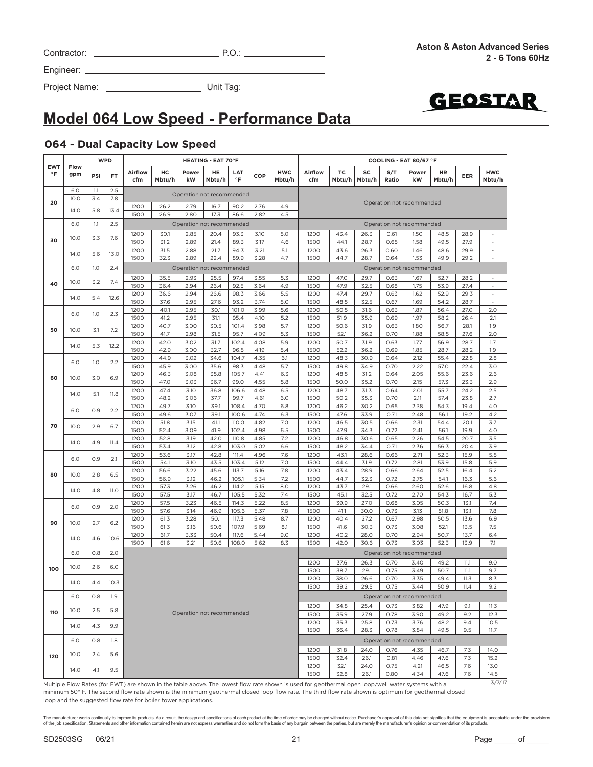| Contractor: | $P.O$ |
|-------------|-------|
|             |       |

Project Name: Unit Tag:



# **Model 064 Low Speed - Performance Data**

### **064 - Dual Capacity Low Speed**

| Airflow<br>нc<br><b>HWC</b><br>Airflow<br>тc<br>S/T<br>Power<br>HE<br>LAT<br>SC<br>Power<br>°F<br>gpm<br>PSI<br><b>FT</b><br>COP<br>$\circ$ F<br>Ratio<br>cfm<br>Mbtu/h<br>kW<br>Mbtu/h<br>Mbtu/h<br>cfm<br>Mbtu/h<br>Mbtu/h<br>kW<br>6.0<br>1.1<br>2.5<br>Operation not recommended<br>3.4<br>10.0<br>7.8<br>20<br>Operation not recommended<br>1200<br>26.2<br>2.79<br>90.2<br>2.76<br>4.9<br>16.7<br>5.8<br>14.0<br>13.4<br>1500<br>26.9<br>2.80<br>86.6<br>2.82<br>4.5<br>17.3<br>6.0<br>1.1<br>2.5<br>Operation not recommended<br>Operation not recommended<br>1200<br>30.1<br>3.10<br>5.0<br>1200<br>43.4<br>26.3<br>1.50<br>2.85<br>20.4<br>93.3<br>0.61<br>10.0<br>3.3<br>7.6<br>30<br>1500<br>31.2<br>21.4<br>89.3<br>3.17<br>4.6<br>1500<br>44.1<br>28.7<br>1.58<br>2.89<br>0.65<br>1200<br>31.5<br>2.88<br>21.7<br>94.3<br>3.21<br>5.1<br>1200<br>43.6<br>26.3<br>0.60<br>1.46<br>5.6<br>13.0<br>14.0<br>1500<br>32.3<br>2.89<br>22.4<br>89.9<br>3.28<br>4.7<br>28.7<br>1.53<br>1500<br>44.7<br>0.64<br>1.0<br>2.4<br>6.0<br>Operation not recommended<br>Operation not recommended<br>1200<br>35.5<br>2.93<br>25.5<br>97.4<br>3.55<br>5.3<br>1200<br>47.0<br>29.7<br>0.63<br>1.67<br>10.0<br>3.2<br>7.4<br>40<br>1500<br>92.5<br>3.64<br>4.9<br>47.9<br>32.5<br>0.68<br>1.75<br>36.4<br>2.94<br>26.4<br>1500<br>1200<br>36.6<br>2.94<br>98.3<br>3.66<br>5.5<br>1200<br>47.4<br>29.7<br>1.62<br>26.6<br>0.63<br>14.0<br>5.4<br>12.6<br>1500<br>5.0<br>32.5<br>37.6<br>2.95<br>27.6<br>93.2<br>3.74<br>1500<br>48.5<br>0.67<br>1.69<br>1200<br>40.1<br>2.95<br>101.0<br>3.99<br>5.6<br>1200<br>50.5<br>31.6<br>0.63<br>1.87<br>30.1<br>6.0<br>1.0<br>2.3<br>1500<br>5.2<br>0.69<br>1.97<br>41.2<br>2.95<br>31.1<br>95.4<br>4.10<br>1500<br>51.9<br>35.9<br>1200<br>40.7<br>3.00<br>30.5<br>101.4<br>3.98<br>5.7<br>1200<br>50.6<br>31.9<br>0.63<br>1.80<br>50<br>10.0<br>7.2<br>3.1<br>1500<br>41.7<br>2.98<br>31.5<br>95.7<br>4.09<br>5.3<br>1500<br>52.1<br>36.2<br>0.70<br>1.88<br>1200<br>5.9<br>1200<br>31.9<br>1.77<br>42.0<br>3.02<br>31.7<br>102.4<br>4.08<br>50.7<br>0.63<br>14.0<br>5.3<br>12.2<br>1500<br>42.9<br>3.00<br>32.7<br>5.4<br>1500<br>36.2<br>1.85<br>96.5<br>4.19<br>52.2<br>0.69<br>1200<br>44.9<br>3.02<br>104.7<br>4.35<br>6.1<br>1200<br>48.3<br>30.9<br>0.64<br>2.12<br>34.6<br>6.0<br>1.0<br>2.2<br>1500<br>45.9<br>3.00<br>35.6<br>98.3<br>4.48<br>5.7<br>1500<br>49.8<br>34.9<br>0.70<br>2.22<br>1200<br>46.3<br>3.08<br>105.7<br>4.41<br>6.3<br>1200<br>48.5<br>31.2<br>0.64<br>2.05<br>35.8<br>60<br>10.0<br>3.0<br>6.9 | <b>HWC</b><br>HR<br><b>EER</b>             |        |      | COOLING - EAT 80/67 °F |      |      |      |     |      |      | <b>HEATING - EAT 70°F</b> |      |      |      | <b>WPD</b> |      |            |
|---------------------------------------------------------------------------------------------------------------------------------------------------------------------------------------------------------------------------------------------------------------------------------------------------------------------------------------------------------------------------------------------------------------------------------------------------------------------------------------------------------------------------------------------------------------------------------------------------------------------------------------------------------------------------------------------------------------------------------------------------------------------------------------------------------------------------------------------------------------------------------------------------------------------------------------------------------------------------------------------------------------------------------------------------------------------------------------------------------------------------------------------------------------------------------------------------------------------------------------------------------------------------------------------------------------------------------------------------------------------------------------------------------------------------------------------------------------------------------------------------------------------------------------------------------------------------------------------------------------------------------------------------------------------------------------------------------------------------------------------------------------------------------------------------------------------------------------------------------------------------------------------------------------------------------------------------------------------------------------------------------------------------------------------------------------------------------------------------------------------------------------------------------------------------------------------------------------------------------------------------------------------------------------------------------------------------------------------------------------------------------------------------------------------------------------------------------------------------------------------------------------------------------------------------------------------|--------------------------------------------|--------|------|------------------------|------|------|------|-----|------|------|---------------------------|------|------|------|------------|------|------------|
|                                                                                                                                                                                                                                                                                                                                                                                                                                                                                                                                                                                                                                                                                                                                                                                                                                                                                                                                                                                                                                                                                                                                                                                                                                                                                                                                                                                                                                                                                                                                                                                                                                                                                                                                                                                                                                                                                                                                                                                                                                                                                                                                                                                                                                                                                                                                                                                                                                                                                                                                                                     | Mbtu/h                                     | Mbtu/h |      |                        |      |      |      |     |      |      |                           |      |      |      |            | Flow | <b>EWT</b> |
|                                                                                                                                                                                                                                                                                                                                                                                                                                                                                                                                                                                                                                                                                                                                                                                                                                                                                                                                                                                                                                                                                                                                                                                                                                                                                                                                                                                                                                                                                                                                                                                                                                                                                                                                                                                                                                                                                                                                                                                                                                                                                                                                                                                                                                                                                                                                                                                                                                                                                                                                                                     |                                            |        |      |                        |      |      |      |     |      |      |                           |      |      |      |            |      |            |
|                                                                                                                                                                                                                                                                                                                                                                                                                                                                                                                                                                                                                                                                                                                                                                                                                                                                                                                                                                                                                                                                                                                                                                                                                                                                                                                                                                                                                                                                                                                                                                                                                                                                                                                                                                                                                                                                                                                                                                                                                                                                                                                                                                                                                                                                                                                                                                                                                                                                                                                                                                     |                                            |        |      |                        |      |      |      |     |      |      |                           |      |      |      |            |      |            |
|                                                                                                                                                                                                                                                                                                                                                                                                                                                                                                                                                                                                                                                                                                                                                                                                                                                                                                                                                                                                                                                                                                                                                                                                                                                                                                                                                                                                                                                                                                                                                                                                                                                                                                                                                                                                                                                                                                                                                                                                                                                                                                                                                                                                                                                                                                                                                                                                                                                                                                                                                                     |                                            |        |      |                        |      |      |      |     |      |      |                           |      |      |      |            |      |            |
|                                                                                                                                                                                                                                                                                                                                                                                                                                                                                                                                                                                                                                                                                                                                                                                                                                                                                                                                                                                                                                                                                                                                                                                                                                                                                                                                                                                                                                                                                                                                                                                                                                                                                                                                                                                                                                                                                                                                                                                                                                                                                                                                                                                                                                                                                                                                                                                                                                                                                                                                                                     | 48.5<br>28.9<br>$\overline{\phantom{a}}$   |        |      |                        |      |      |      |     |      |      |                           |      |      |      |            |      |            |
|                                                                                                                                                                                                                                                                                                                                                                                                                                                                                                                                                                                                                                                                                                                                                                                                                                                                                                                                                                                                                                                                                                                                                                                                                                                                                                                                                                                                                                                                                                                                                                                                                                                                                                                                                                                                                                                                                                                                                                                                                                                                                                                                                                                                                                                                                                                                                                                                                                                                                                                                                                     | 49.5<br>27.9<br>$\sim$                     |        |      |                        |      |      |      |     |      |      |                           |      |      |      |            |      |            |
|                                                                                                                                                                                                                                                                                                                                                                                                                                                                                                                                                                                                                                                                                                                                                                                                                                                                                                                                                                                                                                                                                                                                                                                                                                                                                                                                                                                                                                                                                                                                                                                                                                                                                                                                                                                                                                                                                                                                                                                                                                                                                                                                                                                                                                                                                                                                                                                                                                                                                                                                                                     | 48.6<br>29.9<br>$\sim$                     |        |      |                        |      |      |      |     |      |      |                           |      |      |      |            |      |            |
|                                                                                                                                                                                                                                                                                                                                                                                                                                                                                                                                                                                                                                                                                                                                                                                                                                                                                                                                                                                                                                                                                                                                                                                                                                                                                                                                                                                                                                                                                                                                                                                                                                                                                                                                                                                                                                                                                                                                                                                                                                                                                                                                                                                                                                                                                                                                                                                                                                                                                                                                                                     | 49.9<br>29.2<br>$\overline{\phantom{a}}$   |        |      |                        |      |      |      |     |      |      |                           |      |      |      |            |      |            |
|                                                                                                                                                                                                                                                                                                                                                                                                                                                                                                                                                                                                                                                                                                                                                                                                                                                                                                                                                                                                                                                                                                                                                                                                                                                                                                                                                                                                                                                                                                                                                                                                                                                                                                                                                                                                                                                                                                                                                                                                                                                                                                                                                                                                                                                                                                                                                                                                                                                                                                                                                                     | 52.7<br>28.2<br>$\overline{\phantom{a}}$   |        |      |                        |      |      |      |     |      |      |                           |      |      |      |            |      |            |
|                                                                                                                                                                                                                                                                                                                                                                                                                                                                                                                                                                                                                                                                                                                                                                                                                                                                                                                                                                                                                                                                                                                                                                                                                                                                                                                                                                                                                                                                                                                                                                                                                                                                                                                                                                                                                                                                                                                                                                                                                                                                                                                                                                                                                                                                                                                                                                                                                                                                                                                                                                     | 53.9<br>27.4                               |        |      |                        |      |      |      |     |      |      |                           |      |      |      |            |      |            |
|                                                                                                                                                                                                                                                                                                                                                                                                                                                                                                                                                                                                                                                                                                                                                                                                                                                                                                                                                                                                                                                                                                                                                                                                                                                                                                                                                                                                                                                                                                                                                                                                                                                                                                                                                                                                                                                                                                                                                                                                                                                                                                                                                                                                                                                                                                                                                                                                                                                                                                                                                                     | 52.9<br>29.3<br>$\sim$                     |        |      |                        |      |      |      |     |      |      |                           |      |      |      |            |      |            |
|                                                                                                                                                                                                                                                                                                                                                                                                                                                                                                                                                                                                                                                                                                                                                                                                                                                                                                                                                                                                                                                                                                                                                                                                                                                                                                                                                                                                                                                                                                                                                                                                                                                                                                                                                                                                                                                                                                                                                                                                                                                                                                                                                                                                                                                                                                                                                                                                                                                                                                                                                                     | 54.2<br>28.7<br>$\overline{\phantom{a}}$   |        |      |                        |      |      |      |     |      |      |                           |      |      |      |            |      |            |
|                                                                                                                                                                                                                                                                                                                                                                                                                                                                                                                                                                                                                                                                                                                                                                                                                                                                                                                                                                                                                                                                                                                                                                                                                                                                                                                                                                                                                                                                                                                                                                                                                                                                                                                                                                                                                                                                                                                                                                                                                                                                                                                                                                                                                                                                                                                                                                                                                                                                                                                                                                     | 56.4<br>27.0<br>2.0<br>58.2<br>2.1<br>26.4 |        |      |                        |      |      |      |     |      |      |                           |      |      |      |            |      |            |
|                                                                                                                                                                                                                                                                                                                                                                                                                                                                                                                                                                                                                                                                                                                                                                                                                                                                                                                                                                                                                                                                                                                                                                                                                                                                                                                                                                                                                                                                                                                                                                                                                                                                                                                                                                                                                                                                                                                                                                                                                                                                                                                                                                                                                                                                                                                                                                                                                                                                                                                                                                     | 56.7<br>28.1<br>1.9                        |        |      |                        |      |      |      |     |      |      |                           |      |      |      |            |      |            |
|                                                                                                                                                                                                                                                                                                                                                                                                                                                                                                                                                                                                                                                                                                                                                                                                                                                                                                                                                                                                                                                                                                                                                                                                                                                                                                                                                                                                                                                                                                                                                                                                                                                                                                                                                                                                                                                                                                                                                                                                                                                                                                                                                                                                                                                                                                                                                                                                                                                                                                                                                                     | 58.5<br>27.6<br>2.0                        |        |      |                        |      |      |      |     |      |      |                           |      |      |      |            |      |            |
|                                                                                                                                                                                                                                                                                                                                                                                                                                                                                                                                                                                                                                                                                                                                                                                                                                                                                                                                                                                                                                                                                                                                                                                                                                                                                                                                                                                                                                                                                                                                                                                                                                                                                                                                                                                                                                                                                                                                                                                                                                                                                                                                                                                                                                                                                                                                                                                                                                                                                                                                                                     | 56.9<br>28.7<br>1.7                        |        |      |                        |      |      |      |     |      |      |                           |      |      |      |            |      |            |
|                                                                                                                                                                                                                                                                                                                                                                                                                                                                                                                                                                                                                                                                                                                                                                                                                                                                                                                                                                                                                                                                                                                                                                                                                                                                                                                                                                                                                                                                                                                                                                                                                                                                                                                                                                                                                                                                                                                                                                                                                                                                                                                                                                                                                                                                                                                                                                                                                                                                                                                                                                     | 28.7<br>28.2<br>1.9<br>2.8<br>55.4<br>22.8 |        |      |                        |      |      |      |     |      |      |                           |      |      |      |            |      |            |
|                                                                                                                                                                                                                                                                                                                                                                                                                                                                                                                                                                                                                                                                                                                                                                                                                                                                                                                                                                                                                                                                                                                                                                                                                                                                                                                                                                                                                                                                                                                                                                                                                                                                                                                                                                                                                                                                                                                                                                                                                                                                                                                                                                                                                                                                                                                                                                                                                                                                                                                                                                     | 57.0<br>22.4<br>3.0                        |        |      |                        |      |      |      |     |      |      |                           |      |      |      |            |      |            |
|                                                                                                                                                                                                                                                                                                                                                                                                                                                                                                                                                                                                                                                                                                                                                                                                                                                                                                                                                                                                                                                                                                                                                                                                                                                                                                                                                                                                                                                                                                                                                                                                                                                                                                                                                                                                                                                                                                                                                                                                                                                                                                                                                                                                                                                                                                                                                                                                                                                                                                                                                                     | 55.6<br>23.6<br>2.6                        |        |      |                        |      |      |      |     |      |      |                           |      |      |      |            |      |            |
|                                                                                                                                                                                                                                                                                                                                                                                                                                                                                                                                                                                                                                                                                                                                                                                                                                                                                                                                                                                                                                                                                                                                                                                                                                                                                                                                                                                                                                                                                                                                                                                                                                                                                                                                                                                                                                                                                                                                                                                                                                                                                                                                                                                                                                                                                                                                                                                                                                                                                                                                                                     | 57.3<br>23.3<br>2.9                        |        | 2.15 | 0.70                   | 35.2 | 50.0 | 1500 | 5.8 | 4.55 | 99.0 | 36.7                      | 3.03 | 47.0 | 1500 |            |      |            |
| 1200<br>47.4<br>106.6<br>4.48<br>6.5<br>1200<br>48.7<br>0.64<br>2.01<br>3.10<br>36.8<br>31.3<br>14.0<br>11.8<br>5.1<br>1500<br>48.2<br>3.06<br>37.7<br>99.7<br>4.61<br>6.0<br>1500<br>50.2<br>35.3<br>0.70<br>2.11                                                                                                                                                                                                                                                                                                                                                                                                                                                                                                                                                                                                                                                                                                                                                                                                                                                                                                                                                                                                                                                                                                                                                                                                                                                                                                                                                                                                                                                                                                                                                                                                                                                                                                                                                                                                                                                                                                                                                                                                                                                                                                                                                                                                                                                                                                                                                  | 55.7<br>24.2<br>2.5<br>57.4<br>23.8<br>2.7 |        |      |                        |      |      |      |     |      |      |                           |      |      |      |            |      |            |
| 1200<br>3.10<br>39.1<br>4.70<br>6.8<br>1200<br>46.2<br>30.2<br>0.65<br>2.38<br>49.7<br>108.4                                                                                                                                                                                                                                                                                                                                                                                                                                                                                                                                                                                                                                                                                                                                                                                                                                                                                                                                                                                                                                                                                                                                                                                                                                                                                                                                                                                                                                                                                                                                                                                                                                                                                                                                                                                                                                                                                                                                                                                                                                                                                                                                                                                                                                                                                                                                                                                                                                                                        | 54.3<br>4.0<br>19.4                        |        |      |                        |      |      |      |     |      |      |                           |      |      |      |            |      |            |
| 0.9<br>2.2<br>6.0<br>1500<br>49.6<br>3.07<br>39.1<br>100.6<br>4.74<br>6.3<br>1500<br>47.6<br>33.9<br>0.71<br>2.48                                                                                                                                                                                                                                                                                                                                                                                                                                                                                                                                                                                                                                                                                                                                                                                                                                                                                                                                                                                                                                                                                                                                                                                                                                                                                                                                                                                                                                                                                                                                                                                                                                                                                                                                                                                                                                                                                                                                                                                                                                                                                                                                                                                                                                                                                                                                                                                                                                                   | 56.1<br>19.2<br>4.2                        |        |      |                        |      |      |      |     |      |      |                           |      |      |      |            |      |            |
| 110.0<br>7.0<br>2.31<br>1200<br>51.8<br>3.15<br>41.1<br>4.82<br>1200<br>46.5<br>30.5<br>0.66<br>70<br>10.0<br>2.9<br>6.7                                                                                                                                                                                                                                                                                                                                                                                                                                                                                                                                                                                                                                                                                                                                                                                                                                                                                                                                                                                                                                                                                                                                                                                                                                                                                                                                                                                                                                                                                                                                                                                                                                                                                                                                                                                                                                                                                                                                                                                                                                                                                                                                                                                                                                                                                                                                                                                                                                            | 3.7<br>54.4<br>20.1                        |        |      |                        |      |      |      |     |      |      |                           |      |      |      |            |      |            |
| 1500<br>52.4<br>3.09<br>41.9<br>102.4<br>4.98<br>6.5<br>1500<br>47.9<br>34.3<br>0.72<br>2.41<br>42.0<br>7.2<br>2.26<br>1200<br>52.8<br>3.19<br>110.8<br>4.85<br>1200<br>46.8<br>30.6<br>0.65                                                                                                                                                                                                                                                                                                                                                                                                                                                                                                                                                                                                                                                                                                                                                                                                                                                                                                                                                                                                                                                                                                                                                                                                                                                                                                                                                                                                                                                                                                                                                                                                                                                                                                                                                                                                                                                                                                                                                                                                                                                                                                                                                                                                                                                                                                                                                                        | 56.1<br>19.9<br>4.0<br>54.5<br>20.7<br>3.5 |        |      |                        |      |      |      |     |      |      |                           |      |      |      |            |      |            |
| 14.0<br>4.9<br>11.4<br>1500<br>53.4<br>42.8<br>103.0<br>5.02<br>6.6<br>1500<br>48.2<br>34.4<br>0.71<br>2.36<br>3.12                                                                                                                                                                                                                                                                                                                                                                                                                                                                                                                                                                                                                                                                                                                                                                                                                                                                                                                                                                                                                                                                                                                                                                                                                                                                                                                                                                                                                                                                                                                                                                                                                                                                                                                                                                                                                                                                                                                                                                                                                                                                                                                                                                                                                                                                                                                                                                                                                                                 | 56.3<br>20.4<br>3.9                        |        |      |                        |      |      |      |     |      |      |                           |      |      |      |            |      |            |
| 1200<br>53.6<br>3.17<br>42.8<br>4.96<br>7.6<br>1200<br>43.1<br>28.6<br>0.66<br>2.71<br>111.4<br>0.9<br>6.0<br>2.1                                                                                                                                                                                                                                                                                                                                                                                                                                                                                                                                                                                                                                                                                                                                                                                                                                                                                                                                                                                                                                                                                                                                                                                                                                                                                                                                                                                                                                                                                                                                                                                                                                                                                                                                                                                                                                                                                                                                                                                                                                                                                                                                                                                                                                                                                                                                                                                                                                                   | 52.3<br>15.9<br>5.5                        |        |      |                        |      |      |      |     |      |      |                           |      |      |      |            |      |            |
| 1500<br>3.10<br>103.4<br>5.12<br>7.0<br>1500<br>44.4<br>31.9<br>0.72<br>2.81<br>54.1<br>43.5<br>1200<br>56.6<br>3.22<br>45.6<br>113.7<br>5.16<br>7.8<br>1200<br>43.4<br>28.9<br>0.66<br>2.64                                                                                                                                                                                                                                                                                                                                                                                                                                                                                                                                                                                                                                                                                                                                                                                                                                                                                                                                                                                                                                                                                                                                                                                                                                                                                                                                                                                                                                                                                                                                                                                                                                                                                                                                                                                                                                                                                                                                                                                                                                                                                                                                                                                                                                                                                                                                                                        | 53.9<br>15.8<br>5.9<br>52.5<br>16.4<br>5.2 |        |      |                        |      |      |      |     |      |      |                           |      |      |      |            |      |            |
| 6.5<br>80<br>10.0<br>2.8<br>1500<br>56.9<br>3.12<br>46.2<br>5.34<br>7.2<br>1500<br>44.7<br>32.3<br>0.72<br>2.75<br>105.1                                                                                                                                                                                                                                                                                                                                                                                                                                                                                                                                                                                                                                                                                                                                                                                                                                                                                                                                                                                                                                                                                                                                                                                                                                                                                                                                                                                                                                                                                                                                                                                                                                                                                                                                                                                                                                                                                                                                                                                                                                                                                                                                                                                                                                                                                                                                                                                                                                            | 54.1<br>5.6<br>16.3                        |        |      |                        |      |      |      |     |      |      |                           |      |      |      |            |      |            |
| 1200<br>57.3<br>3.26<br>114.2<br>8.0<br>1200<br>29.1<br>0.66<br>2.60<br>46.2<br>5.15<br>43.7<br>4.8<br><b>11.0</b><br>14.0                                                                                                                                                                                                                                                                                                                                                                                                                                                                                                                                                                                                                                                                                                                                                                                                                                                                                                                                                                                                                                                                                                                                                                                                                                                                                                                                                                                                                                                                                                                                                                                                                                                                                                                                                                                                                                                                                                                                                                                                                                                                                                                                                                                                                                                                                                                                                                                                                                          | 52.6<br>4.8<br>16.8                        |        |      |                        |      |      |      |     |      |      |                           |      |      |      |            |      |            |
| 1500<br>3.17<br>105.5<br>5.32<br>7.4<br>1500<br>45.1<br>32.5<br>0.72<br>2.70<br>57.5<br>46.7                                                                                                                                                                                                                                                                                                                                                                                                                                                                                                                                                                                                                                                                                                                                                                                                                                                                                                                                                                                                                                                                                                                                                                                                                                                                                                                                                                                                                                                                                                                                                                                                                                                                                                                                                                                                                                                                                                                                                                                                                                                                                                                                                                                                                                                                                                                                                                                                                                                                        | 54.3<br>16.7<br>5.3                        |        |      |                        |      |      |      |     |      |      |                           |      |      |      |            |      |            |
| 8.5<br>1200<br>57.5<br>3.23<br>46.5<br>114.3<br>5.22<br>1200<br>39.9<br>27.0<br>0.68<br>3.05<br>6.0<br>0.9<br>2.0<br>1500<br>7.8<br>1500<br>41.1<br>30.0<br>0.73<br>57.6<br>3.14<br>46.9<br>105.6<br>5.37<br>3.13                                                                                                                                                                                                                                                                                                                                                                                                                                                                                                                                                                                                                                                                                                                                                                                                                                                                                                                                                                                                                                                                                                                                                                                                                                                                                                                                                                                                                                                                                                                                                                                                                                                                                                                                                                                                                                                                                                                                                                                                                                                                                                                                                                                                                                                                                                                                                   | 50.3<br>13.1<br>7.4<br>51.8<br>13.1<br>7.8 |        |      |                        |      |      |      |     |      |      |                           |      |      |      |            |      |            |
| 8.7<br>2.98<br>1200<br>61.3<br>3.28<br>50.1<br>117.3<br>5.48<br>1200<br>40.4<br>27.2<br>0.67                                                                                                                                                                                                                                                                                                                                                                                                                                                                                                                                                                                                                                                                                                                                                                                                                                                                                                                                                                                                                                                                                                                                                                                                                                                                                                                                                                                                                                                                                                                                                                                                                                                                                                                                                                                                                                                                                                                                                                                                                                                                                                                                                                                                                                                                                                                                                                                                                                                                        | 50.5<br>6.9<br>13.6                        |        |      |                        |      |      |      |     |      |      |                           |      |      |      |            |      |            |
| 90<br>10.0<br>2.7<br>6.2<br>1500<br>107.9<br>5.69<br>8.1<br>41.6<br>0.73<br>3.08<br>61.3<br>3.16<br>50.6<br>1500<br>30.3                                                                                                                                                                                                                                                                                                                                                                                                                                                                                                                                                                                                                                                                                                                                                                                                                                                                                                                                                                                                                                                                                                                                                                                                                                                                                                                                                                                                                                                                                                                                                                                                                                                                                                                                                                                                                                                                                                                                                                                                                                                                                                                                                                                                                                                                                                                                                                                                                                            | 52.1<br>13.5<br>7.5                        |        |      |                        |      |      |      |     |      |      |                           |      |      |      |            |      |            |
| 1200<br>61.7<br>3.33<br>50.4<br>117.6<br>5.44<br>9.0<br>1200<br>40.2<br>28.0<br>0.70<br>2.94<br>14.0<br>4.6<br>10.6<br>1500<br>61.6<br>108.0<br>30.6<br>0.73<br>3.03                                                                                                                                                                                                                                                                                                                                                                                                                                                                                                                                                                                                                                                                                                                                                                                                                                                                                                                                                                                                                                                                                                                                                                                                                                                                                                                                                                                                                                                                                                                                                                                                                                                                                                                                                                                                                                                                                                                                                                                                                                                                                                                                                                                                                                                                                                                                                                                                | 50.7<br>13.7<br>6.4                        |        |      |                        |      |      |      |     |      |      |                           |      |      |      |            |      |            |
| 3.21<br>50.6<br>5.62<br>8.3<br>42.0<br>1500<br>0.8<br>2.0<br>6.0<br>Operation not recommended                                                                                                                                                                                                                                                                                                                                                                                                                                                                                                                                                                                                                                                                                                                                                                                                                                                                                                                                                                                                                                                                                                                                                                                                                                                                                                                                                                                                                                                                                                                                                                                                                                                                                                                                                                                                                                                                                                                                                                                                                                                                                                                                                                                                                                                                                                                                                                                                                                                                       | 52.3<br>13.9<br>7.1                        |        |      |                        |      |      |      |     |      |      |                           |      |      |      |            |      |            |
| 1200<br>37.6<br>26.3<br>0.70<br>3.40                                                                                                                                                                                                                                                                                                                                                                                                                                                                                                                                                                                                                                                                                                                                                                                                                                                                                                                                                                                                                                                                                                                                                                                                                                                                                                                                                                                                                                                                                                                                                                                                                                                                                                                                                                                                                                                                                                                                                                                                                                                                                                                                                                                                                                                                                                                                                                                                                                                                                                                                | 49.2<br>11.1<br>9.0                        |        |      |                        |      |      |      |     |      |      |                           |      |      |      |            |      |            |
| 10.0<br>2.6<br>6.0<br>100<br>0.75<br>3.49<br>1500<br>38.7<br>29.1                                                                                                                                                                                                                                                                                                                                                                                                                                                                                                                                                                                                                                                                                                                                                                                                                                                                                                                                                                                                                                                                                                                                                                                                                                                                                                                                                                                                                                                                                                                                                                                                                                                                                                                                                                                                                                                                                                                                                                                                                                                                                                                                                                                                                                                                                                                                                                                                                                                                                                   | 50.7<br>11.1<br>9.7                        |        |      |                        |      |      |      |     |      |      |                           |      |      |      |            |      |            |
| 1200<br>0.70<br>3.35<br>38.0<br>26.6<br>14.0<br>4.4<br>10.3<br>39.2<br>29.5<br>1500<br>0.75<br>3.44                                                                                                                                                                                                                                                                                                                                                                                                                                                                                                                                                                                                                                                                                                                                                                                                                                                                                                                                                                                                                                                                                                                                                                                                                                                                                                                                                                                                                                                                                                                                                                                                                                                                                                                                                                                                                                                                                                                                                                                                                                                                                                                                                                                                                                                                                                                                                                                                                                                                 | 49.4<br>11.3<br>8.3<br>9.2<br>50.9<br>11.4 |        |      |                        |      |      |      |     |      |      |                           |      |      |      |            |      |            |
| 1.9<br>6.0<br>0.8<br>Operation not recommended                                                                                                                                                                                                                                                                                                                                                                                                                                                                                                                                                                                                                                                                                                                                                                                                                                                                                                                                                                                                                                                                                                                                                                                                                                                                                                                                                                                                                                                                                                                                                                                                                                                                                                                                                                                                                                                                                                                                                                                                                                                                                                                                                                                                                                                                                                                                                                                                                                                                                                                      |                                            |        |      |                        |      |      |      |     |      |      |                           |      |      |      |            |      |            |
| 1200<br>34.8<br>25.4<br>0.73<br>3.82                                                                                                                                                                                                                                                                                                                                                                                                                                                                                                                                                                                                                                                                                                                                                                                                                                                                                                                                                                                                                                                                                                                                                                                                                                                                                                                                                                                                                                                                                                                                                                                                                                                                                                                                                                                                                                                                                                                                                                                                                                                                                                                                                                                                                                                                                                                                                                                                                                                                                                                                | 47.9<br>9.1<br>11.3                        |        |      |                        |      |      |      |     |      |      |                           |      |      |      |            |      |            |
| 2.5<br>10.0<br>5.8<br>110<br>Operation not recommended<br>1500<br>35.9<br>27.9<br>0.78<br>3.90                                                                                                                                                                                                                                                                                                                                                                                                                                                                                                                                                                                                                                                                                                                                                                                                                                                                                                                                                                                                                                                                                                                                                                                                                                                                                                                                                                                                                                                                                                                                                                                                                                                                                                                                                                                                                                                                                                                                                                                                                                                                                                                                                                                                                                                                                                                                                                                                                                                                      | 49.2<br>9.2<br>12.3                        |        |      |                        |      |      |      |     |      |      |                           |      |      |      |            |      |            |
| 1200<br>35.3<br>25.8<br>0.73<br>3.76<br>14.0<br>9.9<br>4.3                                                                                                                                                                                                                                                                                                                                                                                                                                                                                                                                                                                                                                                                                                                                                                                                                                                                                                                                                                                                                                                                                                                                                                                                                                                                                                                                                                                                                                                                                                                                                                                                                                                                                                                                                                                                                                                                                                                                                                                                                                                                                                                                                                                                                                                                                                                                                                                                                                                                                                          | 48.2<br>9.4<br>10.5                        |        |      |                        |      |      |      |     |      |      |                           |      |      |      |            |      |            |
| 1500<br>36.4<br>28.3<br>0.78<br>3.84<br>0.8<br>1.8                                                                                                                                                                                                                                                                                                                                                                                                                                                                                                                                                                                                                                                                                                                                                                                                                                                                                                                                                                                                                                                                                                                                                                                                                                                                                                                                                                                                                                                                                                                                                                                                                                                                                                                                                                                                                                                                                                                                                                                                                                                                                                                                                                                                                                                                                                                                                                                                                                                                                                                  | 49.5<br>9.5<br>11.7                        |        |      |                        |      |      |      |     |      |      |                           |      |      |      |            |      |            |
| 6.0<br>Operation not recommended<br>0.76<br>4.35<br>1200<br>31.8<br>24.0                                                                                                                                                                                                                                                                                                                                                                                                                                                                                                                                                                                                                                                                                                                                                                                                                                                                                                                                                                                                                                                                                                                                                                                                                                                                                                                                                                                                                                                                                                                                                                                                                                                                                                                                                                                                                                                                                                                                                                                                                                                                                                                                                                                                                                                                                                                                                                                                                                                                                            | 14.0<br>46.7<br>7.3                        |        |      |                        |      |      |      |     |      |      |                           |      |      |      |            |      |            |
| 10.0<br>2.4<br>5.6<br>120<br>1500<br>32.4<br>26.1<br>0.81<br>4.46                                                                                                                                                                                                                                                                                                                                                                                                                                                                                                                                                                                                                                                                                                                                                                                                                                                                                                                                                                                                                                                                                                                                                                                                                                                                                                                                                                                                                                                                                                                                                                                                                                                                                                                                                                                                                                                                                                                                                                                                                                                                                                                                                                                                                                                                                                                                                                                                                                                                                                   | 47.6<br>7.3<br>15.2                        |        |      |                        |      |      |      |     |      |      |                           |      |      |      |            |      |            |
| 4.21<br>1200<br>32.1<br>24.0<br>0.75<br>9.5<br>14.0<br>4.1                                                                                                                                                                                                                                                                                                                                                                                                                                                                                                                                                                                                                                                                                                                                                                                                                                                                                                                                                                                                                                                                                                                                                                                                                                                                                                                                                                                                                                                                                                                                                                                                                                                                                                                                                                                                                                                                                                                                                                                                                                                                                                                                                                                                                                                                                                                                                                                                                                                                                                          | 46.5<br>7.6<br>13.0                        |        |      |                        |      |      |      |     |      |      |                           |      |      |      |            |      |            |
| 1500<br>32.8<br>26.1<br>0.80<br>4.34<br>Multiple Flow Rates (for FWT) are shown in the table above The Jowest flow rate shown is used for geothermal open loop/well water systems with a                                                                                                                                                                                                                                                                                                                                                                                                                                                                                                                                                                                                                                                                                                                                                                                                                                                                                                                                                                                                                                                                                                                                                                                                                                                                                                                                                                                                                                                                                                                                                                                                                                                                                                                                                                                                                                                                                                                                                                                                                                                                                                                                                                                                                                                                                                                                                                            | 7.6<br>14.5                                | 47.6   |      |                        |      |      |      |     |      |      |                           |      |      |      |            |      |            |

Multiple Flow Rates (for EWT) are shown in the table above. The lowest flow rate shown is used for geothermal open loop/well water systems with a minimum 50° F. The second flow rate shown is the minimum geothermal closed loop flow rate. The third flow rate shown is optimum for geothermal closed loop and the suggested flow rate for boiler tower applications.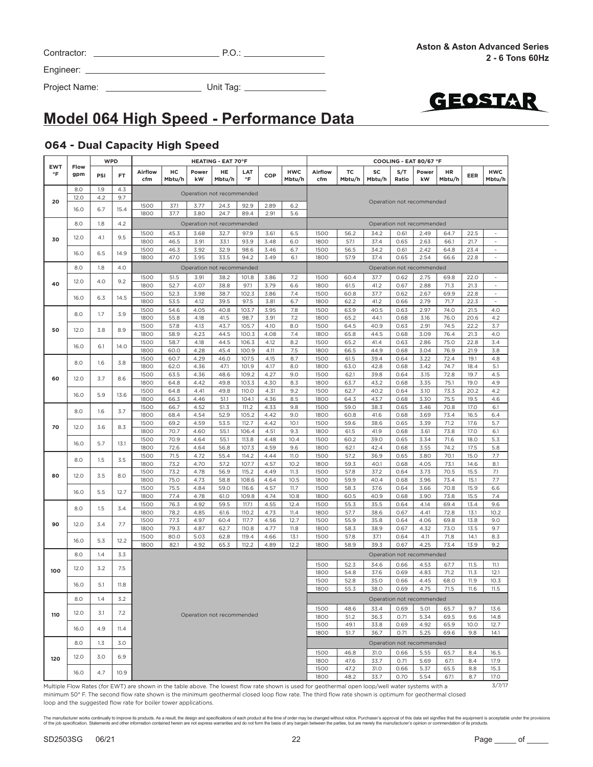| Contractor: |  |
|-------------|--|
|             |  |

Project Name: Unit Tag:



# **Model 064 High Speed - Performance Data**

#### **064 - Dual Capacity High Speed**

|                  |             |     | <b>WPD</b> |                                                                                                                                                   |              |              | <b>HEATING - EAT 70°F</b> |                  |              |                      |                |              |              |              | COOLING - EAT 80/67 °F    |              |              |                          |
|------------------|-------------|-----|------------|---------------------------------------------------------------------------------------------------------------------------------------------------|--------------|--------------|---------------------------|------------------|--------------|----------------------|----------------|--------------|--------------|--------------|---------------------------|--------------|--------------|--------------------------|
| <b>EWT</b><br>°F | Flow<br>gpm | PSI | FT.        | Airflow<br>cfm                                                                                                                                    | нc<br>Mbtu/h | Power<br>kW  | HE<br>Mbtu/h              | LAT<br>$\circ$ F | COP          | <b>HWC</b><br>Mbtu/h | Airflow<br>cfm | TC<br>Mbtu/h | SC<br>Mbtu/h | S/T<br>Ratio | Power<br>kW               | HR<br>Mbtu/h | EER          | <b>HWC</b><br>Mbtu/h     |
|                  | 8.0         | 1.9 | 4.3        |                                                                                                                                                   |              |              |                           |                  |              |                      |                |              |              |              |                           |              |              |                          |
| 20               | 12.0        | 4.2 | 9.7        |                                                                                                                                                   |              |              | Operation not recommended |                  |              |                      |                |              |              |              | Operation not recommended |              |              |                          |
|                  | 16.0        | 6.7 | 15.4       | 1500                                                                                                                                              | 37.1         | 3.77         | 24.3                      | 92.9             | 2.89         | 6.2                  |                |              |              |              |                           |              |              |                          |
|                  |             |     |            | 1800                                                                                                                                              | 37.7         | 3.80         | 24.7                      | 89.4             | 2.91         | 5.6                  |                |              |              |              |                           |              |              |                          |
|                  | 8.0         | 1.8 | 4.2        |                                                                                                                                                   |              |              | Operation not recommended |                  |              |                      |                |              |              |              | Operation not recommended |              |              |                          |
|                  |             |     |            | 1500                                                                                                                                              | 45.3         | 3.68         | 32.7                      | 97.9             | 3.61         | 6.5                  | 1500           | 56.2         | 34.2         | 0.61         | 2.49                      | 64.7         | 22.5         |                          |
| 30               | 12.0        | 4.1 | 9.5        | 1800                                                                                                                                              | 46.5         | 3.91         | 33.1                      | 93.9             | 3.48         | 6.0                  | 1800           | 57.1         | 37.4         | 0.65         | 2.63                      | 66.1         | 21.7         | $\overline{\phantom{a}}$ |
|                  | 16.0        | 6.5 | 14.9       | 1500                                                                                                                                              | 46.3         | 3.92         | 32.9                      | 98.6             | 3.46         | 6.7                  | 1500           | 56.5         | 34.2         | 0.61         | 2.42                      | 64.8         | 23.4         |                          |
|                  |             |     |            | 1800                                                                                                                                              | 47.0         | 3.95         | 33.5                      | 94.2             | 3.49         | 6.1                  | 1800           | 57.9         | 37.4         | 0.65         | 2.54                      | 66.6         | 22.8         | ä,                       |
|                  | 8.0         | 1.8 | 4.0        |                                                                                                                                                   |              |              | Operation not recommended |                  |              |                      |                |              |              |              | Operation not recommended |              |              |                          |
|                  |             |     |            | 1500                                                                                                                                              | 51.5         | 3.91         | 38.2                      | 101.8            | 3.86         | 7.2                  | 1500           | 60.4         | 37.7         | 0.62         | 2.75                      | 69.8         | 22.0         | $\bar{\phantom{a}}$      |
| 40               | 12.0        | 4.0 | 9.2        | 1800                                                                                                                                              | 52.7         | 4.07         | 38.8                      | 97.1             | 3.79         | 6.6                  | 1800           | 61.5         | 41.2         | 0.67         | 2.88                      | 71.3         | 21.3         | $\overline{\phantom{a}}$ |
|                  |             |     |            | 1500                                                                                                                                              | 52.3         | 3.98         | 38.7                      | 102.3            | 3.86         | 7.4                  | 1500           | 60.8         | 37.7         | 0.62         | 2.67                      | 69.9         | 22.8         | $\overline{\phantom{a}}$ |
|                  | 16.0        | 6.3 | 14.5       | 1800                                                                                                                                              | 53.5         | 4.12         | 39.5                      | 97.5             | 3.81         | 6.7                  | 1800           | 62.2         | 41.2         | 0.66         | 2.79                      | 71.7         | 22.3         |                          |
|                  | 8.0         | 1.7 | 3.9        | 1500                                                                                                                                              | 54.6         | 4.05         | 40.8                      | 103.7            | 3.95         | 7.8                  | 1500           | 63.9         | 40.5         | 0.63         | 2.97                      | 74.0         | 21.5         | 4.0                      |
|                  |             |     |            | 1800                                                                                                                                              | 55.8         | 4.18         | 41.5                      | 98.7             | 3.91         | 7.2                  | 1800           | 65.2         | 44.1         | 0.68         | 3.16                      | 76.0         | 20.6         | 4.2                      |
| 50               | 12.0        | 3.8 | 8.9        | 1500                                                                                                                                              | 57.8         | 4.13         | 43.7                      | 105.7            | 4.10         | 8.0                  | 1500           | 64.5         | 40.9         | 0.63         | 2.91                      | 74.5         | 22.2         | 3.7                      |
|                  |             |     |            | 1800                                                                                                                                              | 58.9         | 4.23         | 44.5                      | 100.3            | 4.08         | 7.4                  | 1800           | 65.8         | 44.5         | 0.68         | 3.09                      | 76.4         | 21.3         | 4.0                      |
|                  | 16.0        | 6.1 | 14.0       | 1500                                                                                                                                              | 58.7         | 4.18         | 44.5                      | 106.3            | 4.12         | 8.2                  | 1500           | 65.2         | 41.4         | 0.63         | 2.86                      | 75.0         | 22.8         | 3.4                      |
|                  |             |     |            | 1800                                                                                                                                              | 60.0         | 4.28         | 45.4                      | 100.9            | 4.11         | 7.5                  | 1800           | 66.5         | 44.9         | 0.68         | 3.04                      | 76.9         | 21.9         | 3.8                      |
|                  | 8.0         | 1.6 | 3.8        | 1500                                                                                                                                              | 60.7         | 4.29         | 46.0                      | 107.5            | 4.15         | 8.7                  | 1500           | 61.5         | 39.4         | 0.64         | 3.22                      | 72.4         | 19.1         | 4.8                      |
|                  |             |     |            | 1800<br>1500                                                                                                                                      | 62.0         | 4.36         | 47.1                      | 101.9            | 4.17<br>4.27 | 8.0<br>9.0           | 1800           | 63.0         | 42.8         | 0.68<br>0.64 | 3.42                      | 74.7<br>72.8 | 18.4<br>19.7 | 5.1<br>4.5               |
| 60               | 12.0        | 3.7 | 8.6        | 1800                                                                                                                                              | 63.5<br>64.8 | 4.36<br>4.42 | 48.6<br>49.8              | 109.2<br>103.3   | 4.30         | 8.3                  | 1500<br>1800   | 62.1<br>63.7 | 39.8<br>43.2 | 0.68         | 3.15<br>3.35              | 75.1         | 19.0         | 4.9                      |
|                  |             |     |            | 1500                                                                                                                                              | 64.8         | 4.41         | 49.8                      | 110.0            | 4.31         | 9.2                  | 1500           | 62.7         | 40.2         | 0.64         | 3.10                      | 73.3         | 20.2         | 4.2                      |
|                  | 16.0        | 5.9 | 13.6       | 1800                                                                                                                                              | 66.3         | 4.46         | 51.1                      | 104.1            | 4.36         | 8.5                  | 1800           | 64.3         | 43.7         | 0.68         | 3.30                      | 75.5         | 19.5         | 4.6                      |
|                  |             |     |            | 1500                                                                                                                                              | 66.7         | 4.52         | 51.3                      | 111.2            | 4.33         | 9.8                  | 1500           | 59.0         | 38.3         | 0.65         | 3.46                      | 70.8         | 17.0         | 6.1                      |
|                  | 8.0         | 1.6 | 3.7        | 1800                                                                                                                                              | 68.4         | 4.54         | 52.9                      | 105.2            | 4.42         | 9.0                  | 1800           | 60.8         | 41.6         | 0.68         | 3.69                      | 73.4         | 16.5         | 6.4                      |
|                  |             |     |            | 1500                                                                                                                                              | 69.2         | 4.59         | 53.5                      | 112.7            | 4.42         | 10.1                 | 1500           | 59.6         | 38.6         | 0.65         | 3.39                      | 71.2         | 17.6         | 5.7                      |
| 70               | 12.0        | 3.6 | 8.3        | 1800                                                                                                                                              | 70.7         | 4.60         | 55.1                      | 106.4            | 4.51         | 9.3                  | 1800           | 61.5         | 41.9         | 0.68         | 3.61                      | 73.8         | 17.0         | 6.1                      |
|                  | 16.0        | 5.7 | 13.1       | 1500                                                                                                                                              | 70.9         | 4.64         | 55.1                      | 113.8            | 4.48         | 10.4                 | 1500           | 60.2         | 39.0         | 0.65         | 3.34                      | 71.6         | 18.0         | 5.3                      |
|                  |             |     |            | 1800                                                                                                                                              | 72.6         | 4.64         | 56.8                      | 107.3            | 4.59         | 9.6                  | 1800           | 62.1         | 42.4         | 0.68         | 3.55                      | 74.2         | 17.5         | 5.8                      |
|                  | 8.0         | 1.5 | 3.5        | 1500                                                                                                                                              | 71.5         | 4.72         | 55.4                      | 114.2            | 4.44         | <b>11.0</b>          | 1500           | 57.2         | 36.9         | 0.65         | 3.80                      | 70.1         | 15.0         | 7.7                      |
|                  |             |     |            | 1800                                                                                                                                              | 73.2         | 4.70         | 57.2                      | 107.7            | 4.57         | 10.2                 | 1800           | 59.3         | 40.1         | 0.68         | 4.05                      | 73.1         | 14.6         | 8.1                      |
| 80               | 12.0        | 3.5 | 8.0        | 1500                                                                                                                                              | 73.2         | 4.78         | 56.9                      | 115.2            | 4.49         | 11.3                 | 1500           | 57.8         | 37.2         | 0.64         | 3.73                      | 70.5         | 15.5         | 7.1                      |
|                  |             |     |            | 1800                                                                                                                                              | 75.0         | 4.73         | 58.8                      | 108.6            | 4.64         | 10.5                 | 1800           | 59.9         | 40.4         | 0.68         | 3.96                      | 73.4         | 15.1         | 7.7                      |
|                  | 16.0        | 5.5 | 12.7       | 1500<br>1800                                                                                                                                      | 75.5<br>77.4 | 4.84         | 59.0                      | 116.6<br>109.8   | 4.57<br>4.74 | 11.7                 | 1500<br>1800   | 58.3<br>60.5 | 37.6<br>40.9 | 0.64<br>0.68 | 3.66                      | 70.8         | 15.9         | 6.6<br>7.4               |
|                  |             |     |            | 1500                                                                                                                                              | 76.3         | 4.78<br>4.92 | 61.0<br>59.5              | 117.1            | 4.55         | 10.8<br>12.4         | 1500           | 55.3         | 35.5         | 0.64         | 3.90<br>4.14              | 73.8<br>69.4 | 15.5<br>13.4 | 9.6                      |
|                  | 8.0         | 1.5 | 3.4        | 1800                                                                                                                                              | 78.2         | 4.85         | 61.6                      | 110.2            | 4.73         | 11.4                 | 1800           | 57.7         | 38.6         | 0.67         | 4.41                      | 72.8         | 13.1         | 10.2                     |
|                  |             |     |            | 1500                                                                                                                                              | 77.3         | 4.97         | 60.4                      | 117.7            | 4.56         | 12.7                 | 1500           | 55.9         | 35.8         | 0.64         | 4.06                      | 69.8         | 13.8         | 9.0                      |
| 90               | 12.0        | 3.4 | 7.7        | 1800                                                                                                                                              | 79.3         | 4.87         | 62.7                      | 110.8            | 4.77         | 11.8                 | 1800           | 58.3         | 38.9         | 0.67         | 4.32                      | 73.0         | 13.5         | 9.7                      |
|                  |             |     |            | 1500                                                                                                                                              | 80.0         | 5.03         | 62.8                      | 119.4            | 4.66         | 13.1                 | 1500           | 57.8         | 37.1         | 0.64         | 4.11                      | 71.8         | 14.1         | 8.3                      |
|                  | 16.0        | 5.3 | 12.2       | 1800                                                                                                                                              | 82.1         | 4.92         | 65.3                      | 112.2            | 4.89         | 12.2                 | 1800           | 58.9         | 39.3         | 0.67         | 4.25                      | 73.4         | 13.9         | 9.2                      |
|                  | 8.0         | 1.4 | 3.3        |                                                                                                                                                   |              |              |                           |                  |              |                      |                |              |              |              | Operation not recommended |              |              |                          |
|                  |             |     |            |                                                                                                                                                   |              |              |                           |                  |              |                      | 1500           | 52.3         | 34.6         | 0.66         | 4.53                      | 67.7         | 11.5         | 11.1                     |
| 100              | 12.0        | 3.2 | 7.5        |                                                                                                                                                   |              |              |                           |                  |              |                      | 1800           | 54.8         | 37.6         | 0.69         | 4.83                      | 71.2         | 11.3         | 12.1                     |
|                  |             |     |            |                                                                                                                                                   |              |              |                           |                  |              |                      | 1500           | 52.8         | 35.0         | 0.66         | 4.45                      | 68.0         | 11.9         | 10.3                     |
|                  | 16.0        | 5.1 | 11.8       |                                                                                                                                                   |              |              |                           |                  |              |                      | 1800           | 55.3         | 38.0         | 0.69         | 4.75                      | 71.5         | 11.6         | 11.5                     |
|                  | 8.0         | 1.4 | 3.2        |                                                                                                                                                   |              |              |                           |                  |              |                      |                |              |              |              | Operation not recommended |              |              |                          |
|                  |             |     |            |                                                                                                                                                   |              |              |                           |                  |              |                      | 1500           | 48.6         | 33.4         | 0.69         | 5.01                      | 65.7         | 9.7          | 13.6                     |
| 110              | 12.0        | 3.1 | 7.2        |                                                                                                                                                   |              |              | Operation not recommended |                  |              |                      | 1800           | 51.2         | 36.3         | 0.71         | 5.34                      | 69.5         | 9.6          | 14.8                     |
|                  |             |     |            |                                                                                                                                                   |              |              |                           |                  |              |                      | 1500           | 49.1         | 33.8         | 0.69         | 4.92                      | 65.9         | 10.0         | 12.7                     |
|                  | 16.0        | 4.9 | 11.4       |                                                                                                                                                   |              |              |                           |                  |              |                      | 1800           | 51.7         | 36.7         | 0.71         | 5.25                      | 69.6         | 9.8          | 14.1                     |
|                  | 8.0         | 1.3 | 3.0        |                                                                                                                                                   |              |              |                           |                  |              |                      |                |              |              |              | Operation not recommended |              |              |                          |
|                  |             |     |            |                                                                                                                                                   |              |              |                           |                  |              |                      |                |              |              |              |                           |              |              |                          |
| 120              | 12.0        | 3.0 | 6.9        |                                                                                                                                                   |              |              |                           |                  |              |                      | 1500<br>1800   | 46.8<br>47.6 | 31.0<br>33.7 | 0.66<br>0.71 | 5.55<br>5.69              | 65.7         | 8.4<br>8.4   | 16.5<br>17.9             |
|                  |             |     |            |                                                                                                                                                   |              |              |                           |                  |              |                      | 1500           | 47.2         | 31.0         | 0.66         | 5.37                      | 67.1<br>65.5 | 8.8          | 15.3                     |
|                  | 16.0        | 4.7 | 10.9       |                                                                                                                                                   |              |              |                           |                  |              |                      | 1800           | 48.2         | 33.7         | 0.70         | 5.54                      | 67.1         | 8.7          | 17.0                     |
|                  |             |     |            | Multiple Flow Rates (for EWT) are shown in the table above. The lowest flow rate shown is used for geothermal open loop/well water systems with a |              |              |                           |                  |              |                      |                |              |              |              |                           |              |              | 3/7/17                   |

Multiple Flow Rates (for EWT) are shown in the table above. The lowest flow rate shown is used for geothermal open loop/well water systems with a minimum 50° F. The second flow rate shown is the minimum geothermal closed loop flow rate. The third flow rate shown is optimum for geothermal closed loop and the suggested flow rate for boiler tower applications.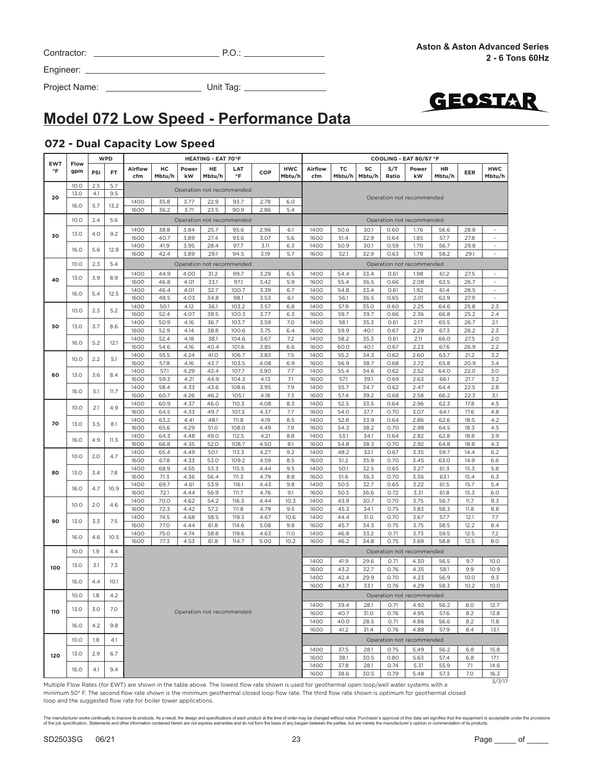| Contractor: | ັ∪ |
|-------------|----|
|             |    |

Project Name: Unit Tag:



# **Model 072 Low Speed - Performance Data**

### **072 - Dual Capacity Low Speed**

|                         |             |     | <b>WPD</b> |                |              |              | <b>HEATING - EAT 70°F</b> |                           |              |                      | COOLING - EAT 80/67 °F |              |              |              |                           |              |              |                          |      |      |      |      |      |      |      |     |
|-------------------------|-------------|-----|------------|----------------|--------------|--------------|---------------------------|---------------------------|--------------|----------------------|------------------------|--------------|--------------|--------------|---------------------------|--------------|--------------|--------------------------|------|------|------|------|------|------|------|-----|
| <b>EWT</b><br>$\circ$ F | Flow<br>gpm | PSI | <b>FT</b>  | Airflow<br>cfm | нc<br>Mbtu/h | Power<br>kW  | HE<br>Mbtu/h              | LAT<br>$\circ$ F          | COP          | <b>HWC</b><br>Mbtu/h | <b>Airflow</b><br>cfm  | TC<br>Mbtu/h | SC<br>Mbtu/h | S/T<br>Ratio | Power<br>kW               | HR<br>Mbtu/h | EER          | <b>HWC</b><br>Mbtu/h     |      |      |      |      |      |      |      |     |
|                         | 10.0        | 2.5 | 5.7        |                |              |              |                           | Operation not recommended |              |                      |                        |              |              |              |                           |              |              |                          |      |      |      |      |      |      |      |     |
| 20                      | 13.0        | 4.1 | 9.5        |                |              |              |                           |                           |              |                      |                        |              |              |              | Operation not recommended |              |              |                          |      |      |      |      |      |      |      |     |
|                         | 16.0        | 5.7 | 13.2       | 1400<br>1600   | 35.8<br>36.2 | 3.77<br>3.71 | 22.9<br>23.5              | 93.7<br>90.9              | 2.78<br>2.86 | 6.0<br>5.4           |                        |              |              |              |                           |              |              |                          |      |      |      |      |      |      |      |     |
|                         | 10.0        | 2.4 | 5.6        |                |              |              |                           | Operation not recommended |              |                      |                        |              |              |              | Operation not recommended |              |              |                          |      |      |      |      |      |      |      |     |
|                         |             |     |            | 1400           | 38.8         | 3.84         | 25.7                      | 95.6                      | 2.96         | 6.1                  | 1400                   | 50.6         | 30.1         | 0.60         | 1.76                      | 56.6         | 28.8         |                          |      |      |      |      |      |      |      |     |
| 30                      | 13.0        | 4.0 | 9.2        | 1600           | 40.7         | 3.89         | 27.4                      | 93.6                      | 3.07         | 5.6                  | 1600                   | 51.4         | 32.9         | 0.64         | 1.85                      | 57.7         | 27.8         | $\sim$                   |      |      |      |      |      |      |      |     |
|                         | 16.0        | 5.6 | 12.8       | 1400           | 41.9         | 3.95         | 28.4                      | 97.7                      | 3.11         | 6.3                  | 1400                   | 50.9         | 30.1         | 0.59         | 1.70                      | 56.7         | 29.8         | $\sim$                   |      |      |      |      |      |      |      |     |
|                         |             |     |            | 1600           | 42.4         | 3.89         | 29.1                      | 94.5                      | 3.19         | 5.7                  | 1600                   | 52.1         | 32.9         | 0.63         | 1.79                      | 58.2         | 29.1         | $\overline{\phantom{a}}$ |      |      |      |      |      |      |      |     |
|                         | 10.0        | 2.3 | 5.4        |                |              |              |                           | Operation not recommended |              |                      |                        |              |              |              | Operation not recommended |              |              |                          |      |      |      |      |      |      |      |     |
| 40                      | 13.0        | 3.9 | 8.9        | 1400<br>1600   | 44.9<br>46.8 | 4.00<br>4.01 | 31.2                      | 99.7<br>97.1              | 3.29         | 6.5<br>5.9           | 1400<br>1600           | 54.4         | 33.4         | 0.61<br>0.66 | 1.98                      | 61.2         | 27.5         | $\overline{\phantom{a}}$ |      |      |      |      |      |      |      |     |
|                         |             |     |            | 1400           | 46.4         | 4.01         | 33.1<br>32.7              | 100.7                     | 3.42<br>3.39 | 6.7                  | 1400                   | 55.4<br>54.8 | 36.5<br>33.4 | 0.61         | 2.08<br>1.92              | 62.5<br>61.4 | 26.7<br>28.5 | $\blacksquare$           |      |      |      |      |      |      |      |     |
|                         | 16.0        | 5.4 | 12.5       | 1600           | 48.5         | 4.03         | 34.8                      | 98.1                      | 3.53         | 6.1                  | 1600                   | 56.1         | 36.5         | 0.65         | 2.01                      | 62.9         | 27.9         | $\overline{\phantom{a}}$ |      |      |      |      |      |      |      |     |
|                         | 10.0        | 2.3 | 5.2        | 1400           | 50.1         | 4.12         | 36.1                      | 103.2                     | 3.57         | 6.8                  | 1400                   | 57.9         | 35.0         | 0.60         | 2.25                      | 64.6         | 25.8         | 2.3                      |      |      |      |      |      |      |      |     |
|                         |             |     |            | 1600           | 52.4         | 4.07         | 38.5                      | 100.3                     | 3.77         | 6.3                  | 1600                   | 59.7         | 39.7         | 0.66         | 2.36                      | 66.8         | 25.2         | 2.4                      |      |      |      |      |      |      |      |     |
| 50                      | 13.0        | 3.7 | 8.6        | 1400<br>1600   | 50.9<br>52.9 | 4.16<br>4.14 | 36.7<br>38.8              | 103.7<br>100.6            | 3.59<br>3.75 | 7.0<br>6.4           | 1400<br>1600           | 58.1<br>59.9 | 35.3<br>40.1 | 0.61<br>0.67 | 2.17<br>2.29              | 65.5<br>67.3 | 26.7<br>26.2 | 2.1<br>2.3               |      |      |      |      |      |      |      |     |
|                         |             |     |            | 1400           | 52.4         | 4.18         | 38.1                      | 104.6                     | 3.67         | 7.2                  | 1400                   | 58.2         | 35.3         | 0.61         | 2.11                      | 66.0         | 27.5         | 2.0                      |      |      |      |      |      |      |      |     |
|                         | 16.0        | 5.2 | 12.1       | 1600           | 54.6         | 4.16         | 40.4                      | 101.6                     | 3.85         | 6.6                  | 1600                   | 60.0         | 40.1         | 0.67         | 2.23                      | 67.6         | 26.9         | 2.2                      |      |      |      |      |      |      |      |     |
|                         | 10.0        |     |            | 2.2            |              |              |                           |                           |              |                      | 5.1                    | 1400         | 55.5         | 4.24         | 41.0                      | 106.7        | 3.83         | 7.5                      | 1400 | 55.2 | 34.3 | 0.62 | 2.60 | 63.7 | 21.2 | 3.2 |
|                         |             |     |            | 1600<br>1400   | 57.8<br>57.1 | 4.16<br>4.29 | 43.7<br>42.4              | 103.5<br>107.7            | 4.08<br>3.90 | 6.9<br>7.7           | 1600<br>1400           | 56.9<br>55.4 | 38.7<br>34.6 | 0.68<br>0.62 | 2.72<br>2.52              | 65.8<br>64.0 | 20.9<br>22.0 | 3.4<br>3.0               |      |      |      |      |      |      |      |     |
| 60                      | 13.0        | 3.6 | 8.4        | 1600           | 59.3         | 4.21         | 44.9                      | 104.3                     | 4.13         | 7.1                  | 1600                   | 57.1         | 39.1         | 0.69         | 2.63                      | 66.1         | 21.7         | 3.2                      |      |      |      |      |      |      |      |     |
|                         | 16.0        | 5.1 | 11.7       | 1400           | 58.4         | 4.33         | 43.6                      | 108.6                     | 3.95         | 7.9                  | 1400                   | 55.7         | 34.7         | 0.62         | 2.47                      | 64.4         | 22.5         | 2.8                      |      |      |      |      |      |      |      |     |
|                         |             |     | 1600       | 60.7           | 4.26         | 46.2         | 105.1                     | 4.18                      | 7.3          | 1600                 | 57.4                   | 39.2         | 0.68         | 2.58         | 66.2                      | 22.3         | 3.1          |                          |      |      |      |      |      |      |      |     |
|                         | 10.0        | 2.1 | 4.9        | 1400           | 60.9         | 4.37         | 46.0                      | 110.3                     | 4.08         | 8.3                  | 1400                   | 52.5         | 33.5         | 0.64         | 2.96                      | 62.3         | 17.8         | 4.5                      |      |      |      |      |      |      |      |     |
|                         |             |     |            | 1600<br>1400   | 64.5<br>63.2 | 4.33<br>4.41 | 49.7<br>48.1              | 107.3<br>111.8            | 4.37<br>4.19 | 7.7<br>8.5           | 1600<br>1400           | 54.0<br>52.8 | 37.7<br>33.9 | 0.70<br>0.64 | 3.07<br>2.86              | 64.1<br>62.6 | 17.6<br>18.5 | 4.8<br>4.2               |      |      |      |      |      |      |      |     |
| 70                      | 13.0        | 3.5 | 8.1        | 1600           | 65.6         | 4.29         | 51.0                      | 108.0                     | 4.49         | 7.9                  | 1600                   | 54.3         | 38.2         | 0.70         | 2.98                      | 64.5         | 18.3         | 4.5                      |      |      |      |      |      |      |      |     |
|                         | 4.9<br>16.0 |     | 11.3       | 1400           | 64.3         | 4.48         | 49.0                      | 112.5                     | 4.21         | 8.8                  | 1400                   | 53.1         | 34.1         | 0.64         | 2.82                      | 62.8         | 18.8         | 3.9                      |      |      |      |      |      |      |      |     |
|                         |             |     |            | 1600           | 66.8         | 4.35         | 52.0                      | 108.7                     | 4.50         | 8.1                  | 1600                   | 54.8         | 38.3         | 0.70         | 2.92                      | 64.8         | 18.8         | 4.3                      |      |      |      |      |      |      |      |     |
|                         | 10.0        | 2.0 | 4.7        | 1400<br>1600   | 65.4<br>67.8 | 4.49<br>4.33 | 50.1<br>53.0              | 113.3<br>109.2            | 4.27<br>4.59 | 9.2<br>8.5           | 1400<br>1600           | 48.2<br>51.2 | 32.1<br>35.9 | 0.67<br>0.70 | 3.35<br>3.45              | 59.7<br>63.0 | 14.4<br>14.9 | 6.2<br>6.6               |      |      |      |      |      |      |      |     |
|                         |             |     |            | 1400           | 68.9         | 4.55         | 53.3                      | 115.5                     | 4.44         | 9.5                  | 1400                   | 50.1         | 32.5         | 0.65         | 3.27                      | 61.3         | 15.3         | 5.8                      |      |      |      |      |      |      |      |     |
| 80                      | 13.0        | 3.4 | 7.8        | 1600           | 71.3         | 4.36         | 56.4                      | 111.3                     | 4.79         | 8.8                  | 1600                   | 51.6         | 36.3         | 0.70         | 3.36                      | 63.1         | 15.4         | 6.3                      |      |      |      |      |      |      |      |     |
|                         | 16.0        | 4.7 | 10.9       | 1400           | 69.7         | 4.61         | 53.9                      | 116.1                     | 4.43         | 9.8                  | 1400                   | 50.5         | 32.7         | 0.65         | 3.22                      | 61.5         | 15.7         | 5.4                      |      |      |      |      |      |      |      |     |
|                         |             |     |            | 1600<br>1400   | 72.1<br>70.0 | 4.44<br>4.62 | 56.9<br>54.2              | 111.7<br>116.3            | 4.76<br>4.44 | 9.1<br>10.3          | 1600<br>1400           | 50.5<br>43.9 | 36.6<br>30.7 | 0.72<br>0.70 | 3.31<br>3.75              | 61.8<br>56.7 | 15.3<br>11.7 | 6.0<br>8.3               |      |      |      |      |      |      |      |     |
|                         | 10.0        | 2.0 | 4.6        | 1600           | 72.3         | 4.42         | 57.2                      | 111.8                     | 4.79         | 9.5                  | 1600                   | 45.3         | 34.1         | 0.75         | 3.83                      | 58.3         | 11.8         | 8.8                      |      |      |      |      |      |      |      |     |
| 90                      | 13.0        | 3.3 | 7.5        | 1400           | 74.5         | 4.68         | 58.5                      | 119.3                     | 4.67         | 10.6                 | 1400                   | 44.4         | 31.0         | 0.70         | 3.67                      | 57.7         | 12.1         | 7.7                      |      |      |      |      |      |      |      |     |
|                         |             |     |            | 1600           | 77.0         | 4.44         | 61.8                      | 114.6                     | 5.08         | 9.8                  | 1600                   | 45.7         | 34.5         | 0.75         | 3.75                      | 58.5         | 12.2         | 8.4                      |      |      |      |      |      |      |      |     |
|                         | 16.0        | 4.6 | 10.5       | 1400<br>1600   | 75.0<br>77.3 | 4.74<br>4.53 | 58.8<br>61.8              | 119.6<br>114.7            | 4.63<br>5.00 | <b>11.0</b><br>10.2  | 1400<br>1600           | 46.8<br>46.2 | 33.2<br>34.8 | 0.71<br>0.75 | 3.73<br>3.69              | 59.5<br>58.8 | 12.5<br>12.5 | 7.2<br>8.0               |      |      |      |      |      |      |      |     |
|                         | 10.0        | 1.9 | 4.4        |                |              |              |                           |                           |              |                      |                        |              |              |              | Operation not recommended |              |              |                          |      |      |      |      |      |      |      |     |
|                         |             |     |            |                |              |              |                           |                           |              |                      | 1400                   | 41.9         | 29.6         | 0.71         | 4.30                      | 56.5         | 9.7          | 10.0                     |      |      |      |      |      |      |      |     |
| 100                     | 13.0        | 3.1 | 7.3        |                |              |              |                           |                           |              |                      | 1600                   | 43.2         | 32.7         | 0.76         | 4.35                      | 58.1         | 9.9          | 10.9                     |      |      |      |      |      |      |      |     |
|                         | 16.0        | 4.4 | 10.1       |                |              |              |                           |                           |              |                      | 1400                   | 42.4         | 29.9         | 0.70         | 4.23                      | 56.9         | 10.0         | 9.3                      |      |      |      |      |      |      |      |     |
|                         |             |     |            |                |              |              |                           |                           |              |                      | 1600                   | 43.7         | 33.1         | 0.76         | 4.29                      | 58.3         | 10.2         | 10.0                     |      |      |      |      |      |      |      |     |
|                         | 10.0        | 1.8 | 4.2        |                |              |              |                           |                           |              |                      |                        |              |              |              | Operation not recommended |              |              |                          |      |      |      |      |      |      |      |     |
| 110                     | 13.0        | 3.0 | 7.0        |                |              |              |                           | Operation not recommended |              |                      | 1400                   | 39.4         | 28.1         | 0.71         | 4.92                      | 56.2         | 8.0          | 12.7                     |      |      |      |      |      |      |      |     |
|                         |             |     |            |                |              |              |                           |                           |              |                      | 1600<br>1400           | 40.7<br>40.0 | 31.0<br>28.5 | 0.76<br>0.71 | 4.95<br>4.86              | 57.6<br>56.6 | 8.2<br>8.2   | 13.8<br>11.8             |      |      |      |      |      |      |      |     |
|                         | 16.0        | 4.2 | 9.8        |                |              |              |                           |                           |              |                      | 1600                   | 41.2         | 31.4         | 0.76         | 4.88                      | 57.9         | 8.4          | 13.1                     |      |      |      |      |      |      |      |     |
|                         | 10.0        | 1.8 | 4.1        |                |              |              |                           |                           |              |                      |                        |              |              |              | Operation not recommended |              |              |                          |      |      |      |      |      |      |      |     |
|                         |             |     |            |                |              |              |                           |                           |              |                      | 1400                   | 37.5         | 28.1         | 0.75         | 5.49                      | 56.2         | 6.8          | 15.8                     |      |      |      |      |      |      |      |     |
| 120                     | 13.0        | 2.9 | 6.7        |                |              |              |                           |                           |              |                      | 1600                   | 38.1         | 30.5         | 0.80         | 5.63                      | 57.4         | 6.8          | 17.1                     |      |      |      |      |      |      |      |     |
|                         | 16.0        | 4.1 | 9.4        |                |              |              |                           |                           |              |                      | 1400                   | 37.8         | 28.1         | 0.74         | 5.31                      | 55.9         | 7.1          | 14.6                     |      |      |      |      |      |      |      |     |
|                         |             |     |            |                |              |              |                           |                           |              |                      | 1600                   | 38.6         | 30.5         | 0.79         | 5.48                      | 57.3         | 7.0          | 16.3<br>3/7/17           |      |      |      |      |      |      |      |     |

Multiple Flow Rates (for EWT) are shown in the table above. The lowest flow rate shown is used for geothermal open loop/well water systems with a minimum 50° F. The second flow rate shown is the minimum geothermal closed loop flow rate. The third flow rate shown is optimum for geothermal closed loop and the suggested flow rate for boiler tower applications.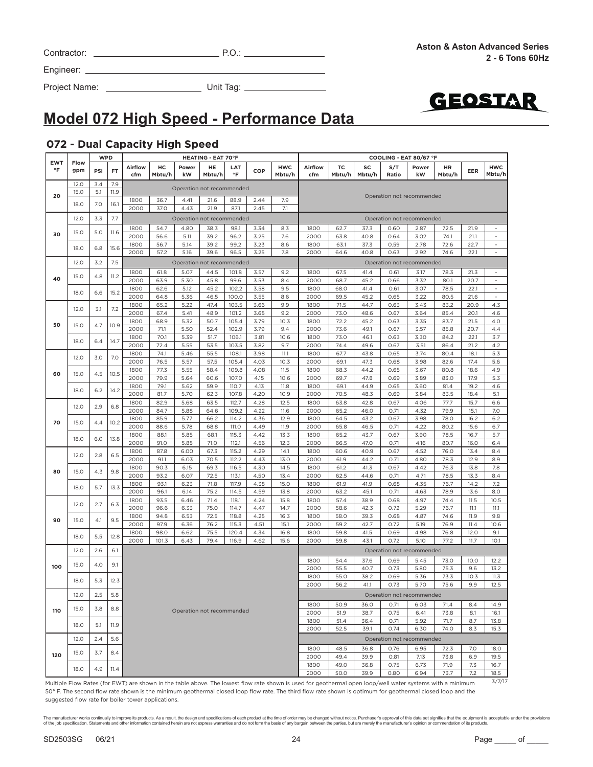| Contractor: |  |  |
|-------------|--|--|
|             |  |  |

Project Name: Unit Tag:



# **Model 072 High Speed - Performance Data**

### **072 - Dual Capacity High Speed**

|                              |             | <b>WPD</b>  |           |                |              |                           | <b>HEATING - EAT 70°F</b> |                  |              |                      |                |                           |              |              | COOLING - EAT 80/67 °F    |              |              |                          |
|------------------------------|-------------|-------------|-----------|----------------|--------------|---------------------------|---------------------------|------------------|--------------|----------------------|----------------|---------------------------|--------------|--------------|---------------------------|--------------|--------------|--------------------------|
| <b>EWT</b><br>$\,^{\circ}$ F | Flow<br>gpm | PSI         | <b>FT</b> | Airflow<br>cfm | нc<br>Mbtu/h | Power<br>kW               | HE<br>Mbtu/h              | LAT<br>$\circ$ F | COP          | <b>HWC</b><br>Mbtu/h | Airflow<br>cfm | тc<br>Mbtu/h              | SC<br>Mbtu/h | S/T<br>Ratio | Power<br>kW               | HR<br>Mbtu/h | EER          | <b>HWC</b><br>Mbtu/h     |
|                              | 12.0        | 3.4         | 7.9       |                |              | Operation not recommended |                           |                  |              |                      |                |                           |              |              |                           |              |              |                          |
| 20                           | <b>15.0</b> | 5.1         | 11.9      |                |              |                           |                           |                  |              |                      |                |                           |              |              |                           |              |              |                          |
|                              | 18.0        | 7.0         | 16.1      | 1800           | 36.7         | 4.41                      | 21.6                      | 88.9             | 2.44         | 7.9                  |                | Operation not recommended |              |              |                           |              |              |                          |
|                              |             |             |           | 2000           | 37.0         | 4.43                      | 21.9                      | 87.1             | 2.45         | 7.1                  |                |                           |              |              |                           |              |              |                          |
|                              | 12.0        | 3.3         | 7.7       |                |              | Operation not recommended |                           |                  |              |                      |                |                           |              |              | Operation not recommended |              |              |                          |
|                              |             |             |           | 1800           | 54.7         | 4.80                      | 38.3                      | 98.1             | 3.34         | 8.3                  | 1800           | 62.7                      | 37.3         | 0.60         | 2.87                      | 72.5         | 21.9         |                          |
| 30                           | 15.0        | 5.0         | 11.6      | 2000           | 56.6         | 5.11                      | 39.2                      | 96.2             | 3.25         | 7.6                  | 2000           | 63.8                      | 40.8         | 0.64         | 3.02                      | 74.1         | 21.1         | $\sim$                   |
|                              | 18.0        | 6.8         | 15.6      | 1800           | 56.7         | 5.14                      | 39.2                      | 99.2             | 3.23         | 8.6                  | 1800           | 63.1                      | 37.3         | 0.59         | 2.78                      | 72.6         | 22.7         | $\overline{\phantom{a}}$ |
|                              |             |             |           | 2000           | 57.2         | 5.16                      | 39.6                      | 96.5             | 3.25         | 7.8                  | 2000           | 64.6                      | 40.8         | 0.63         | 2.92                      | 74.6         | 22.1         | $\sim$                   |
|                              | 12.0        | 3.2         | 7.5       |                |              | Operation not recommended |                           |                  |              |                      |                |                           |              |              | Operation not recommended |              |              |                          |
|                              |             |             |           | 1800           | 61.8         | 5.07                      | 44.5                      | 101.8            | 3.57         | 9.2                  | 1800           | 67.5                      | 41.4         | 0.61         | 3.17                      | 78.3         | 21.3         | $\overline{\phantom{a}}$ |
| 40                           | 15.0        | 4.8         | 11.2      | 2000           | 63.9         | 5.30                      | 45.8                      | 99.6             | 3.53         | 8.4                  | 2000           | 68.7                      | 45.2         | 0.66         | 3.32                      | 80.1         | 20.7         | $\bar{\phantom{a}}$      |
|                              |             |             |           | 1800           | 62.6         | 5.12                      | 45.2                      | 102.2            | 3.58         | 9.5                  | 1800           | 68.0                      | 41.4         | 0.61         | 3.07                      | 78.5         | 22.1         | $\overline{\phantom{a}}$ |
|                              | 18.0        | 6.6         | 15.2      | 2000           | 64.8         | 5.36                      | 46.5                      | 100.0            | 3.55         | 8.6                  | 2000           | 69.5                      | 45.2         | 0.65         | 3.22                      | 80.5         | 21.6         | $\overline{\phantom{a}}$ |
|                              | 12.0        | 3.1         |           | 1800           | 65.2         | 5.22                      | 47.4                      | 103.5            | 3.66         | 9.9                  | 1800           | 71.5                      | 44.7         | 0.63         | 3.43                      | 83.2         | 20.9         | 4.3                      |
|                              |             |             | 7.2       | 2000           | 67.4         | 5.41                      | 48.9                      | 101.2            | 3.65         | 9.2                  | 2000           | 73.0                      | 48.6         | 0.67         | 3.64                      | 85.4         | 20.1         | 4.6                      |
| 50                           | 15.0        | 4.7         | 10.9      | 1800           | 68.9         | 5.32                      | 50.7                      | 105.4            | 3.79         | 10.3                 | 1800           | 72.2                      | 45.2         | 0.63         | 3.35                      | 83.7         | 21.5         | 4.0                      |
|                              |             |             |           | 2000           | 71.1         | 5.50                      | 52.4                      | 102.9            | 3.79         | 9.4                  | 2000           | 73.6                      | 49.1         | 0.67         | 3.57                      | 85.8         | 20.7         | 4.4                      |
|                              | 18.0        | 6.4         | 14.7      | 1800           | 70.1         | 5.39                      | 51.7                      | 106.1            | 3.81         | 10.6                 | 1800           | 73.0                      | 46.1         | 0.63         | 3.30                      | 84.2         | 22.1         | 3.7                      |
|                              |             |             |           | 2000           | 72.4         | 5.55                      | 53.5                      | 103.5            | 3.82         | 9.7                  | 2000           | 74.4                      | 49.6         | 0.67         | 3.51                      | 86.4         | 21.2         | 4.2                      |
|                              | 12.0        | 3.0         | 7.0       | 1800           | 74.1         | 5.46                      | 55.5                      | 108.1            | 3.98         | 11.1                 | 1800           | 67.7                      | 43.8         | 0.65         | 3.74                      | 80.4         | 18.1         | 5.3                      |
|                              |             |             |           | 2000<br>1800   | 76.5<br>77.3 | 5.57<br>5.55              | 57.5<br>58.4              | 105.4<br>109.8   | 4.03<br>4.08 | 10.3<br>11.5         | 2000<br>1800   | 69.1<br>68.3              | 47.3<br>44.2 | 0.68<br>0.65 | 3.98<br>3.67              | 82.6<br>80.8 | 17.4<br>18.6 | $5.6\,$<br>4.9           |
| 60                           | 15.0        | 4.5         | 10.5      | 2000           | 79.9         | 5.64                      | 60.6                      | 107.0            | 4.15         | 10.6                 | 2000           | 69.7                      | 47.8         | 0.69         | 3.89                      | 83.0         | 17.9         | 5.3                      |
|                              |             |             |           | 1800           | 79.1         | 5.62                      | 59.9                      | 110.7            | 4.13         | 11.8                 | 1800           | 69.1                      | 44.9         | 0.65         | 3.60                      | 81.4         | 19.2         | 4.6                      |
|                              | 18.0        | 6.2         | 14.2      | 2000           | 81.7         | 5.70                      | 62.3                      | 107.8            | 4.20         | 10.9                 | 2000           | 70.5                      | 48.3         | 0.69         | 3.84                      | 83.5         | 18.4         | 5.1                      |
|                              |             |             |           | 1800           | 82.9         | 5.68                      | 63.5                      | 112.7            | 4.28         | 12.5                 | 1800           | 63.8                      | 42.8         | 0.67         | 4.06                      | 77.7         | 15.7         | 6.6                      |
|                              | 12.0        | 2.9         | 6.8       | 2000           | 84.7         | 5.88                      | 64.6                      | 109.2            | 4.22         | 11.6                 | 2000           | 65.2                      | 46.0         | 0.71         | 4.32                      | 79.9         | 15.1         | 7.0                      |
| 70                           |             | 15.0<br>4.4 | 10.2      | 1800           | 85.9         | 5.77                      | 66.2                      | 114.2            | 4.36         | 12.9                 | 1800           | 64.5                      | 43.2         | 0.67         | 3.98                      | 78.0         | 16.2         | 6.2                      |
|                              |             |             |           | 2000           | 88.6         | 5.78                      | 68.8                      | <b>111.0</b>     | 4.49         | 11.9                 | 2000           | 65.8                      | 46.5         | 0.71         | 4.22                      | 80.2         | 15.6         | 6.7                      |
|                              | 6.0<br>18.0 |             | 13.8      | 1800           | 88.1         | 5.85                      | 68.1                      | 115.3            | 4.42         | 13.3                 | 1800           | 65.2                      | 43.7         | 0.67         | 3.90                      | 78.5         | 16.7         | 5.7                      |
|                              |             |             |           | 2000           | 91.0         | 5.85                      | 71.0                      | 112.1            | 4.56         | 12.3                 | 2000           | 66.5                      | 47.0         | 0.71         | 4.16                      | 80.7         | 16.0         | 6.4                      |
|                              |             | 12.0<br>2.8 | 6.5       | 1800           | 87.8         | 6.00                      | 67.3                      | 115.2            | 4.29         | 14.1                 | 1800           | 60.6                      | 40.9         | 0.67         | 4.52                      | 76.0         | 13.4         | 8.4                      |
|                              |             |             |           | 2000           | 91.1         | 6.03                      | 70.5                      | 112.2            | 4.43         | 13.0                 | 2000           | 61.9                      | 44.2         | 0.71         | 4.80                      | 78.3         | 12.9         | 8.9                      |
| 80                           | 15.0        | 4.3         | 9.8       | 1800<br>2000   | 90.3<br>93.2 | 6.15<br>6.07              | 69.3<br>72.5              | 116.5<br>113.1   | 4.30<br>4.50 | 14.5<br>13.4         | 1800<br>2000   | 61.2<br>62.5              | 41.3<br>44.6 | 0.67<br>0.71 | 4.42<br>4.71              | 76.3<br>78.5 | 13.8<br>13.3 | 7.8<br>8.4               |
|                              |             |             |           | 1800           | 93.1         | 6.23                      | 71.8                      | 117.9            | 4.38         | 15.0                 | 1800           | 61.9                      | 41.9         | 0.68         | 4.35                      | 76.7         | 14.2         | 7.2                      |
|                              | 18.0        | 5.7         | 13.3      | 2000           | 96.1         | 6.14                      | 75.2                      | 114.5            | 4.59         | 13.8                 | 2000           | 63.2                      | 45.1         | 0.71         | 4.63                      | 78.9         | 13.6         | 8.0                      |
|                              |             |             |           | 1800           | 93.5         | 6.46                      | 71.4                      | 118.1            | 4.24         | 15.8                 | 1800           | 57.4                      | 38.9         | 0.68         | 4.97                      | 74.4         | 11.5         | 10.5                     |
|                              | 12.0        | 2.7         | 6.3       | 2000           | 96.6         | 6.33                      | 75.0                      | 114.7            | 4.47         | 14.7                 | 2000           | 58.6                      | 42.3         | 0.72         | 5.29                      | 76.7         | 11.1         | 11.1                     |
|                              |             |             |           | 1800           | 94.8         | 6.53                      | 72.5                      | 118.8            | 4.25         | 16.3                 | 1800           | 58.0                      | 39.3         | 0.68         | 4.87                      | 74.6         | 11.9         | 9.8                      |
| 90                           | 15.0        | 4.1         | 9.5       | 2000           | 97.9         | 6.36                      | 76.2                      | 115.3            | 4.51         | 15.1                 | 2000           | 59.2                      | 42.7         | 0.72         | 5.19                      | 76.9         | 11.4         | 10.6                     |
|                              | 18.0        | 5.5         | 12.8      | 1800           | 98.0         | 6.62                      | 75.5                      | 120.4            | 4.34         | 16.8                 | 1800           | 59.8                      | 41.5         | 0.69         | 4.98                      | 76.8         | 12.0         | 9.1                      |
|                              |             |             |           | 2000           | 101.3        | 6.43                      | 79.4                      | 116.9            | 4.62         | 15.6                 | 2000           | 59.8                      | 43.1         | 0.72         | 5.10                      | 77.2         | 11.7         | 10.1                     |
|                              | 12.0        | 2.6         | 6.1       |                |              |                           |                           |                  |              |                      |                |                           |              |              | Operation not recommended |              |              |                          |
|                              |             |             |           |                |              |                           |                           |                  |              |                      | 1800           | 54.4                      | 37.6         | 0.69         | 5.45                      | 73.0         | 10.0         | 12.2                     |
| 100                          | 15.0        | 4.0         | 9.1       |                |              |                           |                           |                  |              |                      | 2000           | 55.5                      | 40.7         | 0.73         | 5.80                      | 75.3         | 9.6          | 13.2                     |
|                              | 18.0        | 5.3         | 12.3      |                |              |                           |                           |                  |              |                      | 1800           | 55.0                      | 38.2         | 0.69         | 5.36                      | 73.3         | 10.3         | 11.3                     |
|                              |             |             |           |                |              |                           |                           |                  |              |                      | 2000           | 56.2                      | 41.1         | 0.73         | 5.70                      | 75.6         | 9.9          | 12.5                     |
|                              | 12.0        | 2.5         | 5.8       |                |              |                           |                           |                  |              |                      |                |                           |              |              | Operation not recommended |              |              |                          |
|                              |             |             |           |                |              |                           |                           |                  |              |                      | 1800           | 50.9                      | 36.0         | 0.71         | 6.03                      | 71.4         | 8.4          | 14.9                     |
| 110                          | 15.0        | 3.8         | 8.8       |                |              | Operation not recommended |                           |                  |              |                      | 2000           | 51.9                      | 38.7         | 0.75         | 6.41                      | 73.8         | 8.1          | 16.1                     |
|                              |             |             |           |                |              |                           |                           |                  |              |                      | 1800           | 51.4                      | 36.4         | 0.71         | 5.92                      | 71.7         | 8.7          | 13.8                     |
|                              | 18.0        | 5.1         | 11.9      |                |              |                           |                           |                  |              |                      | 2000           | 52.5                      | 39.1         | 0.74         | 6.30                      | 74.0         | 8.3          | 15.3                     |
|                              | 12.0        | 2.4         | 5.6       |                |              |                           |                           |                  |              |                      |                |                           |              |              | Operation not recommended |              |              |                          |
|                              |             |             |           |                |              |                           |                           |                  |              |                      | 1800           | 48.5                      | 36.8         | 0.76         | 6.95                      | 72.3         | 7.0          | 18.0                     |
| 120                          | 15.0        | 3.7         | 8.4       |                |              |                           |                           |                  |              |                      | 2000           | 49.4                      | 39.9         | 0.81         | 7.13                      | 73.8         | 6.9          | 19.5                     |
|                              |             |             |           |                |              |                           |                           |                  |              |                      | 1800           | 49.0                      | 36.8         | 0.75         | 6.73                      | 71.9         | 7.3          | 16.7                     |
|                              | 18.0        | 4.9         | 11.4      |                |              |                           |                           |                  |              |                      | 2000           | 50.0                      | 39.9         | 0.80         | 6.94                      | 73.7         | 7.2          | 18.5                     |
|                              |             |             |           |                |              |                           |                           |                  |              |                      |                |                           |              |              |                           |              |              | 3/7/17                   |

Multiple Flow Rates (for EWT) are shown in the table above. The lowest flow rate shown is used for geothermal open loop/well water systems with a minimum 50° F. The second flow rate shown is the minimum geothermal closed loop flow rate. The third flow rate shown is optimum for geothermal closed loop and the suggested flow rate for boiler tower applications.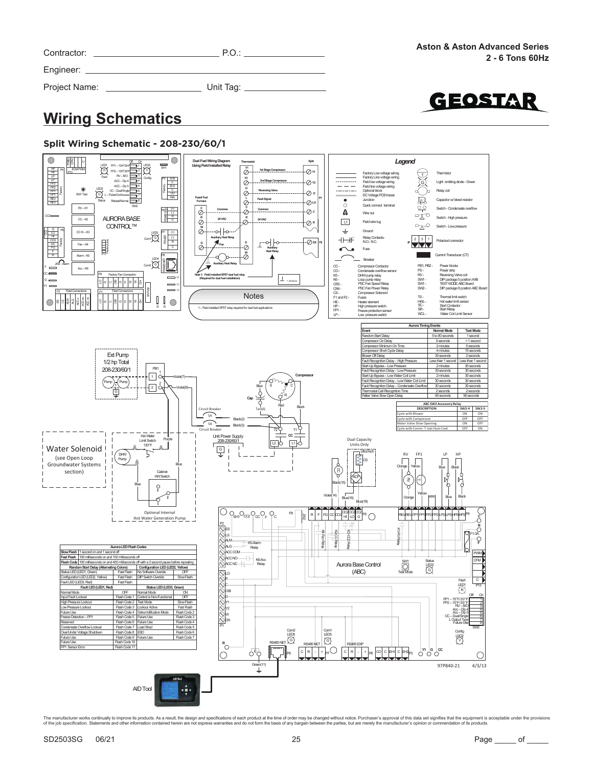| Contractor: ______________________ | P.O.:                                                                                                                                                                                                                          | <b>Aston &amp; Aston Advanced Series</b><br>2 - 6 Tons 60Hz |
|------------------------------------|--------------------------------------------------------------------------------------------------------------------------------------------------------------------------------------------------------------------------------|-------------------------------------------------------------|
|                                    | Engineer: All and the state of the state of the state of the state of the state of the state of the state of the state of the state of the state of the state of the state of the state of the state of the state of the state |                                                             |
| Project Name: __________________   | Unit Tag: _________________                                                                                                                                                                                                    |                                                             |
| MARINE ARTICLE CONTRACTOR          |                                                                                                                                                                                                                                | GEOSTAR                                                     |

### **Wiring Schematics**





The manufacturer works continually to improve this products. As a result, the design and specifications of each product at the time of order may be changed without notice. Purchaser's approval of this data set signifies th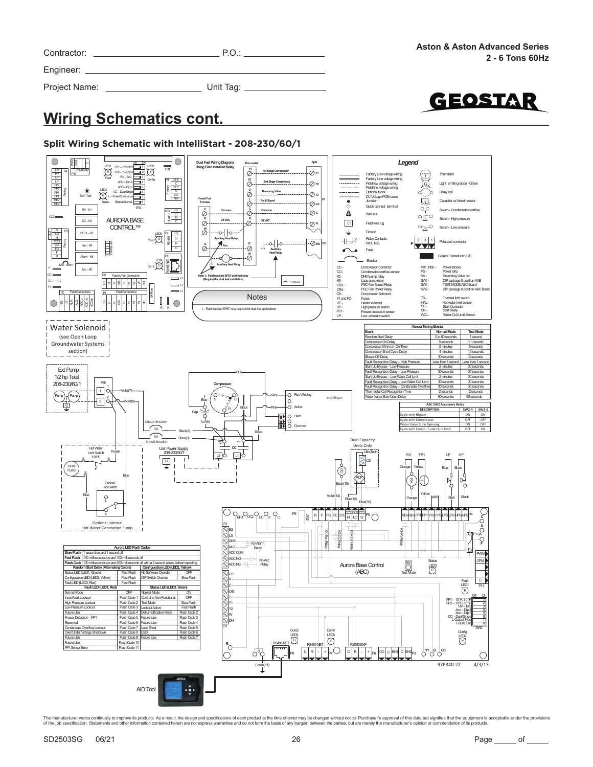| Contractor:   | P.O.                         | <b>Aston 8</b> |
|---------------|------------------------------|----------------|
|               |                              |                |
| Project Name: | Unit Tag: __________________ |                |
|               |                              |                |

**EOSTAR** 

# **Wiring Schematics cont.**

### **Split Wiring Schematic with IntelliStart - 208-230/60/1**

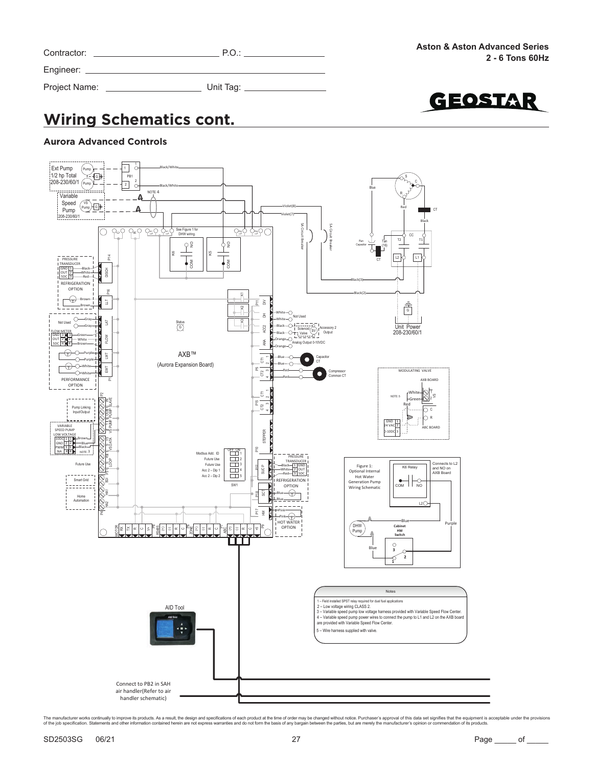| Contractor: |  |
|-------------|--|
| Engineer:   |  |

Project Name: Unit Tag:

GEOSTAR

# **Wiring Schematics cont.**

#### **Aurora Advanced Controls**

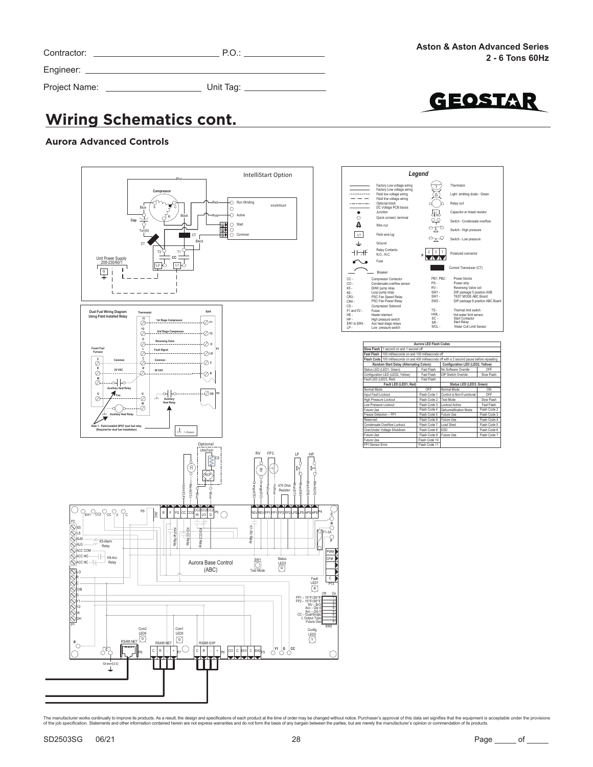| Contractor:   | P.O.      |
|---------------|-----------|
| Engineer: __  |           |
| Project Name: | Unit Tag: |



# **Wiring Schematics cont.**

#### **Aurora Advanced Controls**





| Aurora LED Flash Codes |                                                         |                          |                                                                                                |              |  |  |  |
|------------------------|---------------------------------------------------------|--------------------------|------------------------------------------------------------------------------------------------|--------------|--|--|--|
|                        | Slow Flash 1 second on and 1 second off                 |                          |                                                                                                |              |  |  |  |
|                        | Fast Flash 100 milliseconds on and 100 milliseconds off |                          |                                                                                                |              |  |  |  |
|                        |                                                         |                          | Flash Code 100 milliseconds on and 400 milliseconds off with a 2 second pause before repeating |              |  |  |  |
|                        | Random Start Delay (Alternating Colors)                 |                          | Configuration LED (LED2, Yellow)                                                               |              |  |  |  |
|                        | Status LED (LED1, Green)                                | Fast Flash               | No Software Overide                                                                            | OFF          |  |  |  |
|                        | Configuration LED (LED2, Yellow)                        | Fast Flash               | DIP Switch Overide                                                                             | Slow Flash   |  |  |  |
| Fault LED (LED3, Red)  |                                                         | Fast Flash               |                                                                                                |              |  |  |  |
|                        | Fault LED (LED1, Red)                                   | Status LED (LED3, Green) |                                                                                                |              |  |  |  |
| Normal Mode            |                                                         | OFF                      | Normal Mode                                                                                    | ON           |  |  |  |
| Input Fault Lockout    |                                                         | Flash Code 1             | Control is Non-Functional                                                                      | OFF          |  |  |  |
| High Pressure Lockout  |                                                         | Flash Code 2             | <b>Test Mode</b>                                                                               | Slow Flash   |  |  |  |
| Low Pressure Lockout   |                                                         | Flash Code 3             | Lockout Active                                                                                 | Fast Flash   |  |  |  |
| Future Use             |                                                         | Flash Code 4             | Dehumidification Mode                                                                          | Flash Code 2 |  |  |  |
| Freeze Detection - FP1 |                                                         | Flash Code 5             | Future Use                                                                                     | Flash Code 3 |  |  |  |
| Reserved               |                                                         | Flash Code 6             | Future Use                                                                                     | Flash Code 4 |  |  |  |
|                        | Condensate Overflow Lockout                             | Flash Code 7             | Load Shed                                                                                      | Flash Code 5 |  |  |  |
|                        | Over/Under Voltage Shutdown                             | Flash Code 8             | <b>ESD</b>                                                                                     | Flash Code 6 |  |  |  |
| Future Use             |                                                         | Flash Code 9             | Future Use                                                                                     | Flash Code 7 |  |  |  |
| Future Use             |                                                         | Flash Code 10            |                                                                                                |              |  |  |  |
| FP1 Sensor Error       |                                                         | Flash Code 11            |                                                                                                |              |  |  |  |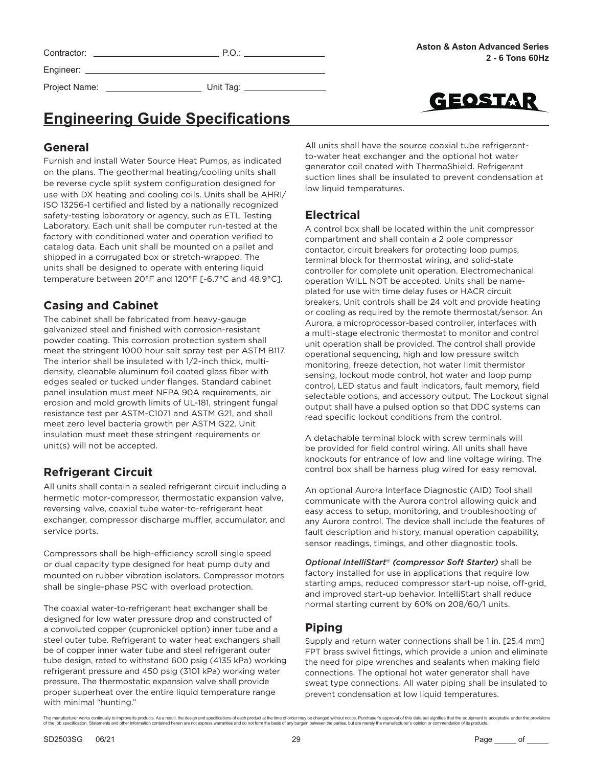| Contractor: |  |
|-------------|--|
| Engineer:   |  |

Project Name: Unit Tag:

 $P.0.:$ 



# **Engineering Guide Specifications**

### **General**

Furnish and install Water Source Heat Pumps, as indicated on the plans. The geothermal heating/cooling units shall be reverse cycle split system configuration designed for use with DX heating and cooling coils. Units shall be AHRI/ ISO 13256-1 certified and listed by a nationally recognized safety-testing laboratory or agency, such as ETL Testing Laboratory. Each unit shall be computer run-tested at the factory with conditioned water and operation verified to catalog data. Each unit shall be mounted on a pallet and shipped in a corrugated box or stretch-wrapped. The units shall be designed to operate with entering liquid temperature between 20°F and 120°F [-6.7°C and 48.9°C].

### **Casing and Cabinet**

The cabinet shall be fabricated from heavy-gauge galvanized steel and finished with corrosion-resistant powder coating. This corrosion protection system shall meet the stringent 1000 hour salt spray test per ASTM B117. The interior shall be insulated with 1/2-inch thick, multidensity, cleanable aluminum foil coated glass fiber with edges sealed or tucked under flanges. Standard cabinet panel insulation must meet NFPA 90A requirements, air erosion and mold growth limits of UL-181, stringent fungal resistance test per ASTM-C1071 and ASTM G21, and shall meet zero level bacteria growth per ASTM G22. Unit insulation must meet these stringent requirements or unit(s) will not be accepted.

### **Refrigerant Circuit**

All units shall contain a sealed refrigerant circuit including a hermetic motor-compressor, thermostatic expansion valve, reversing valve, coaxial tube water-to-refrigerant heat exchanger, compressor discharge muffler, accumulator, and service ports.

Compressors shall be high-efficiency scroll single speed or dual capacity type designed for heat pump duty and mounted on rubber vibration isolators. Compressor motors shall be single-phase PSC with overload protection.

The coaxial water-to-refrigerant heat exchanger shall be designed for low water pressure drop and constructed of a convoluted copper (cupronickel option) inner tube and a steel outer tube. Refrigerant to water heat exchangers shall be of copper inner water tube and steel refrigerant outer tube design, rated to withstand 600 psig (4135 kPa) working refrigerant pressure and 450 psig (3101 kPa) working water pressure. The thermostatic expansion valve shall provide proper superheat over the entire liquid temperature range with minimal "hunting."

All units shall have the source coaxial tube refrigerantto-water heat exchanger and the optional hot water generator coil coated with ThermaShield. Refrigerant suction lines shall be insulated to prevent condensation at low liquid temperatures.

### **Electrical**

A control box shall be located within the unit compressor compartment and shall contain a 2 pole compressor contactor, circuit breakers for protecting loop pumps, terminal block for thermostat wiring, and solid-state controller for complete unit operation. Electromechanical operation WILL NOT be accepted. Units shall be nameplated for use with time delay fuses or HACR circuit breakers. Unit controls shall be 24 volt and provide heating or cooling as required by the remote thermostat/sensor. An Aurora, a microprocessor-based controller, interfaces with a multi-stage electronic thermostat to monitor and control unit operation shall be provided. The control shall provide operational sequencing, high and low pressure switch monitoring, freeze detection, hot water limit thermistor sensing, lockout mode control, hot water and loop pump control, LED status and fault indicators, fault memory, field selectable options, and accessory output. The Lockout signal output shall have a pulsed option so that DDC systems can read specific lockout conditions from the control.

A detachable terminal block with screw terminals will be provided for field control wiring. All units shall have knockouts for entrance of low and line voltage wiring. The control box shall be harness plug wired for easy removal.

An optional Aurora Interface Diagnostic (AID) Tool shall communicate with the Aurora control allowing quick and easy access to setup, monitoring, and troubleshooting of any Aurora control. The device shall include the features of fault description and history, manual operation capability, sensor readings, timings, and other diagnostic tools.

*Optional IntelliStart® (compressor Soft Starter)* shall be factory installed for use in applications that require low starting amps, reduced compressor start-up noise, off-grid, and improved start-up behavior. IntelliStart shall reduce normal starting current by 60% on 208/60/1 units.

### **Piping**

Supply and return water connections shall be 1 in. [25.4 mm] FPT brass swivel fittings, which provide a union and eliminate the need for pipe wrenches and sealants when making field connections. The optional hot water generator shall have sweat type connections. All water piping shall be insulated to prevent condensation at low liquid temperatures.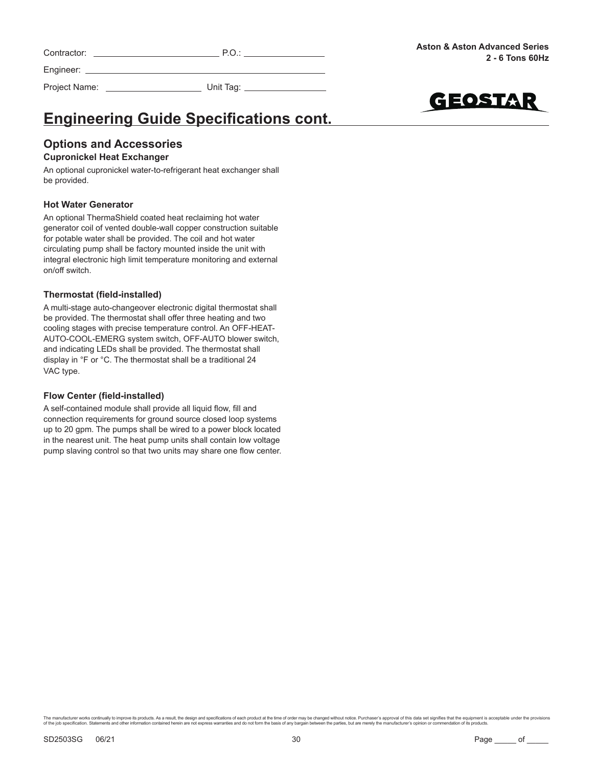| Contractor: |  |
|-------------|--|
|-------------|--|



Project Name: Unit Tag: \_



# **Engineering Guide Specifications cont.**

### **Options and Accessories**

#### **Cupronickel Heat Exchanger**

An optional cupronickel water-to-refrigerant heat exchanger shall be provided.

#### **Hot Water Generator**

An optional ThermaShield coated heat reclaiming hot water generator coil of vented double-wall copper construction suitable for potable water shall be provided. The coil and hot water circulating pump shall be factory mounted inside the unit with integral electronic high limit temperature monitoring and external on/off switch.

#### **Thermostat (field-installed)**

A multi-stage auto-changeover electronic digital thermostat shall be provided. The thermostat shall offer three heating and two cooling stages with precise temperature control. An OFF-HEAT-AUTO-COOL-EMERG system switch, OFF-AUTO blower switch, and indicating LEDs shall be provided. The thermostat shall display in °F or °C. The thermostat shall be a traditional 24 VAC type.

#### **Flow Center (field-installed)**

A self-contained module shall provide all liquid flow, fill and connection requirements for ground source closed loop systems up to 20 gpm. The pumps shall be wired to a power block located in the nearest unit. The heat pump units shall contain low voltage pump slaving control so that two units may share one flow center.